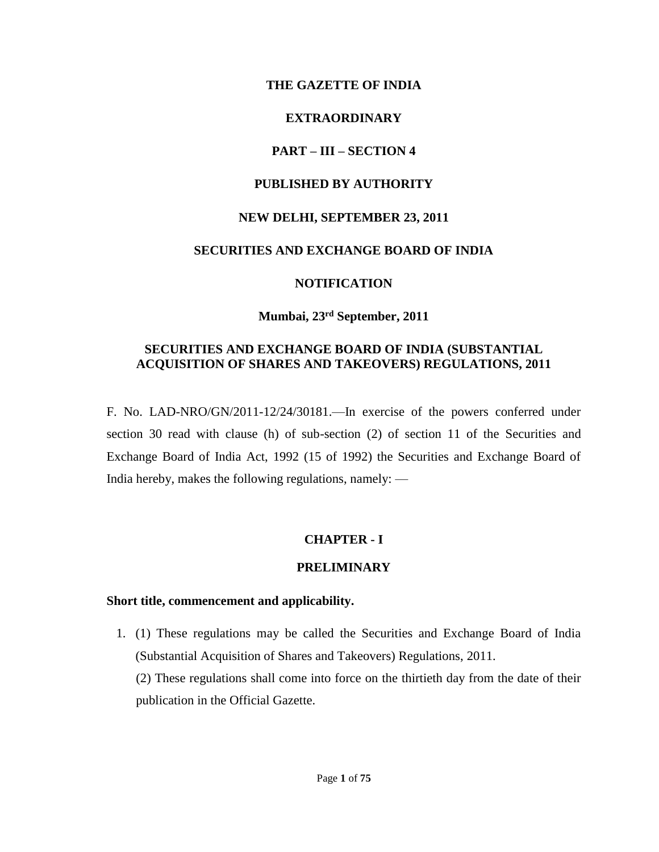# **THE GAZETTE OF INDIA**

# **EXTRAORDINARY**

# **PART – III – SECTION 4**

# **PUBLISHED BY AUTHORITY**

### **NEW DELHI, SEPTEMBER 23, 2011**

## **SECURITIES AND EXCHANGE BOARD OF INDIA**

## **NOTIFICATION**

# **Mumbai, 23rd September, 2011**

# **SECURITIES AND EXCHANGE BOARD OF INDIA (SUBSTANTIAL ACQUISITION OF SHARES AND TAKEOVERS) REGULATIONS, 2011**

F. No. LAD-NRO/GN/2011-12/24/30181.—In exercise of the powers conferred under section 30 read with clause (h) of sub-section (2) of section 11 of the Securities and Exchange Board of India Act, 1992 (15 of 1992) the Securities and Exchange Board of India hereby, makes the following regulations, namely: —

### **CHAPTER - I**

### **PRELIMINARY**

#### **Short title, commencement and applicability.**

1. (1) These regulations may be called the Securities and Exchange Board of India (Substantial Acquisition of Shares and Takeovers) Regulations, 2011. (2) These regulations shall come into force on the thirtieth day from the date of their

publication in the Official Gazette.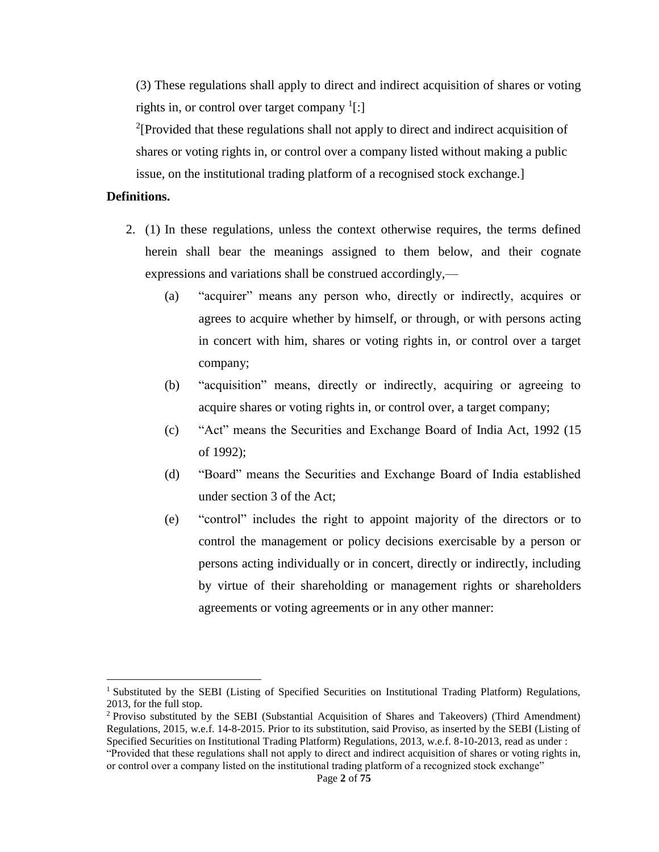(3) These regulations shall apply to direct and indirect acquisition of shares or voting rights in, or control over target company  ${}^{1}$ [:]

 $2$ [Provided that these regulations shall not apply to direct and indirect acquisition of shares or voting rights in, or control over a company listed without making a public issue, on the institutional trading platform of a recognised stock exchange.]

### **Definitions.**

- 2. (1) In these regulations, unless the context otherwise requires, the terms defined herein shall bear the meanings assigned to them below, and their cognate expressions and variations shall be construed accordingly,—
	- (a) "acquirer" means any person who, directly or indirectly, acquires or agrees to acquire whether by himself, or through, or with persons acting in concert with him, shares or voting rights in, or control over a target company;
	- (b) "acquisition" means, directly or indirectly, acquiring or agreeing to acquire shares or voting rights in, or control over, a target company;
	- (c) "Act" means the Securities and Exchange Board of India Act, 1992 (15 of 1992);
	- (d) "Board" means the Securities and Exchange Board of India established under section 3 of the Act;
	- (e) "control" includes the right to appoint majority of the directors or to control the management or policy decisions exercisable by a person or persons acting individually or in concert, directly or indirectly, including by virtue of their shareholding or management rights or shareholders agreements or voting agreements or in any other manner:

<sup>&</sup>lt;sup>1</sup> Substituted by the SEBI (Listing of Specified Securities on Institutional Trading Platform) Regulations, 2013, for the full stop.

<sup>2</sup> Proviso substituted by the SEBI (Substantial Acquisition of Shares and Takeovers) (Third Amendment) Regulations, 2015, w.e.f. 14-8-2015. Prior to its substitution, said Proviso, as inserted by the SEBI (Listing of Specified Securities on Institutional Trading Platform) Regulations, 2013, w.e.f. 8-10-2013, read as under : "Provided that these regulations shall not apply to direct and indirect acquisition of shares or voting rights in, or control over a company listed on the institutional trading platform of a recognized stock exchange"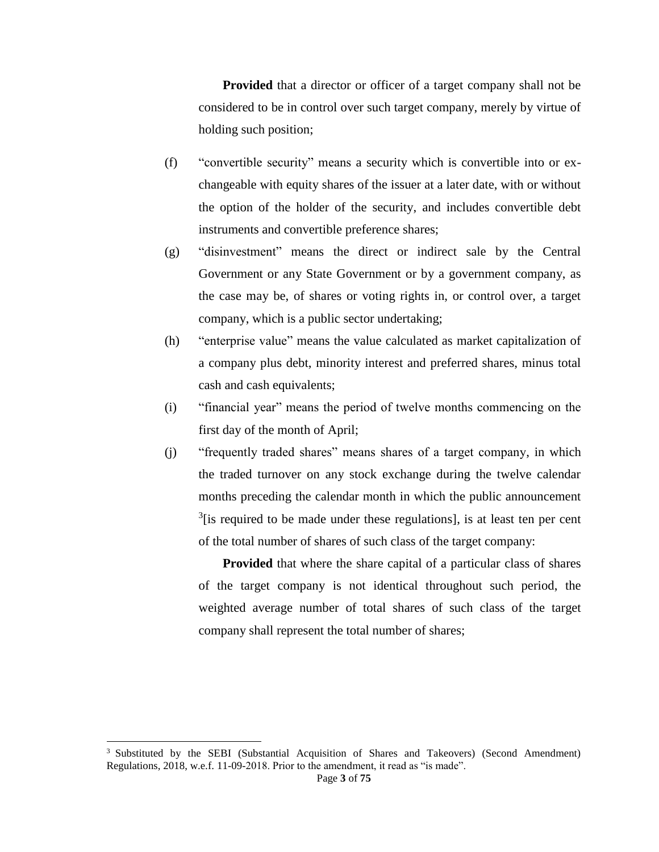**Provided** that a director or officer of a target company shall not be considered to be in control over such target company, merely by virtue of holding such position;

- (f) "convertible security" means a security which is convertible into or exchangeable with equity shares of the issuer at a later date, with or without the option of the holder of the security, and includes convertible debt instruments and convertible preference shares;
- (g) "disinvestment" means the direct or indirect sale by the Central Government or any State Government or by a government company, as the case may be, of shares or voting rights in, or control over, a target company, which is a public sector undertaking;
- (h) "enterprise value" means the value calculated as market capitalization of a company plus debt, minority interest and preferred shares, minus total cash and cash equivalents;
- (i) "financial year" means the period of twelve months commencing on the first day of the month of April;
- (j) "frequently traded shares" means shares of a target company, in which the traded turnover on any stock exchange during the twelve calendar months preceding the calendar month in which the public announcement  $3$ [is required to be made under these regulations], is at least ten per cent of the total number of shares of such class of the target company:

**Provided** that where the share capital of a particular class of shares of the target company is not identical throughout such period, the weighted average number of total shares of such class of the target company shall represent the total number of shares;

<sup>&</sup>lt;sup>3</sup> Substituted by the SEBI (Substantial Acquisition of Shares and Takeovers) (Second Amendment) Regulations, 2018, w.e.f. 11-09-2018. Prior to the amendment, it read as "is made".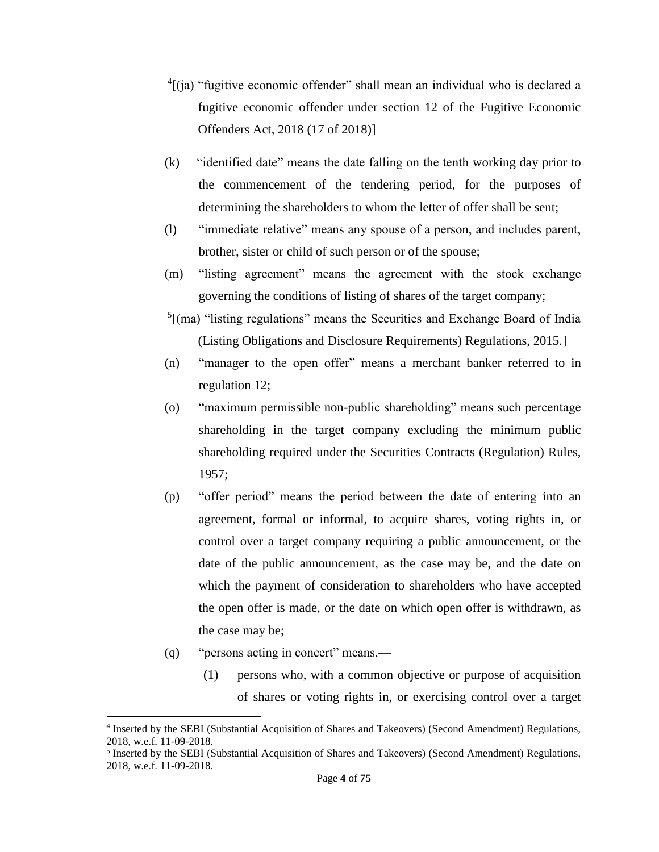- $^{4}$ [(ja) "fugitive economic offender" shall mean an individual who is declared a fugitive economic offender under section 12 of the Fugitive Economic Offenders Act, 2018 (17 of 2018)]
- (k) "identified date" means the date falling on the tenth working day prior to the commencement of the tendering period, for the purposes of determining the shareholders to whom the letter of offer shall be sent;
- (l) "immediate relative" means any spouse of a person, and includes parent, brother, sister or child of such person or of the spouse;
- (m) "listing agreement" means the agreement with the stock exchange governing the conditions of listing of shares of the target company;
- $<sup>5</sup>$ [(ma) "listing regulations" means the Securities and Exchange Board of India</sup> (Listing Obligations and Disclosure Requirements) Regulations, 2015.]
- (n) "manager to the open offer" means a merchant banker referred to in regulation 12;
- (o) "maximum permissible non-public shareholding" means such percentage shareholding in the target company excluding the minimum public shareholding required under the Securities Contracts (Regulation) Rules, 1957;
- (p) "offer period" means the period between the date of entering into an agreement, formal or informal, to acquire shares, voting rights in, or control over a target company requiring a public announcement, or the date of the public announcement, as the case may be, and the date on which the payment of consideration to shareholders who have accepted the open offer is made, or the date on which open offer is withdrawn, as the case may be;
- (q) "persons acting in concert" means,—

l

(1) persons who, with a common objective or purpose of acquisition of shares or voting rights in, or exercising control over a target

<sup>4</sup> Inserted by the SEBI (Substantial Acquisition of Shares and Takeovers) (Second Amendment) Regulations, 2018, w.e.f. 11-09-2018.

<sup>&</sup>lt;sup>5</sup> Inserted by the SEBI (Substantial Acquisition of Shares and Takeovers) (Second Amendment) Regulations, 2018, w.e.f. 11-09-2018.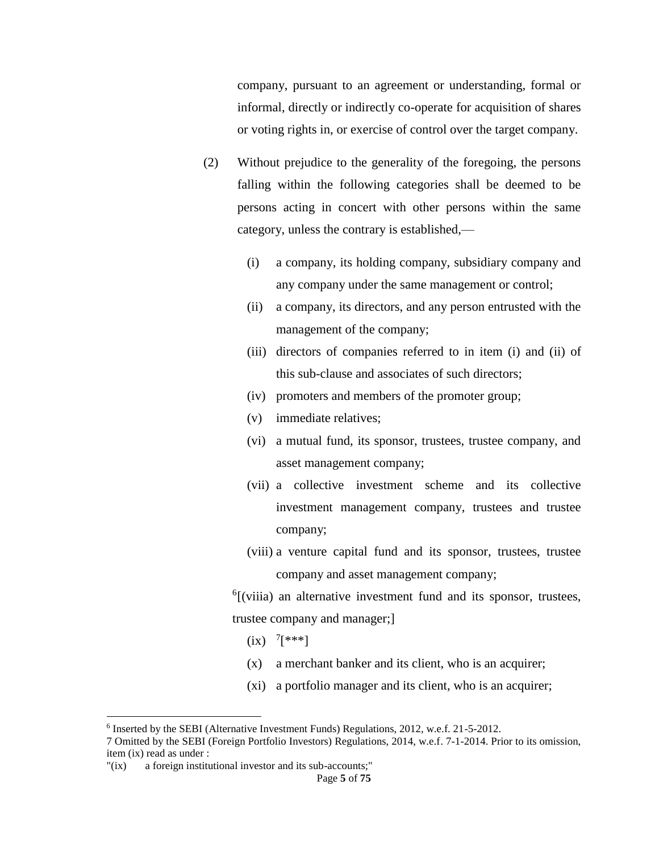company, pursuant to an agreement or understanding, formal or informal, directly or indirectly co-operate for acquisition of shares or voting rights in, or exercise of control over the target company.

- (2) Without prejudice to the generality of the foregoing, the persons falling within the following categories shall be deemed to be persons acting in concert with other persons within the same category, unless the contrary is established,—
	- (i) a company, its holding company, subsidiary company and any company under the same management or control;
	- (ii) a company, its directors, and any person entrusted with the management of the company;
	- (iii) directors of companies referred to in item (i) and (ii) of this sub-clause and associates of such directors;
	- (iv) promoters and members of the promoter group;
	- (v) immediate relatives;
	- (vi) a mutual fund, its sponsor, trustees, trustee company, and asset management company;
	- (vii) a collective investment scheme and its collective investment management company, trustees and trustee company;
	- (viii) a venture capital fund and its sponsor, trustees, trustee company and asset management company;

<sup>6</sup>[(viiia) an alternative investment fund and its sponsor, trustees, trustee company and manager;]

- $(ix)$  <sup>7</sup>[\*\*\*]
- (x) a merchant banker and its client, who is an acquirer;
- (xi) a portfolio manager and its client, who is an acquirer;

l

<sup>&</sup>lt;sup>6</sup> Inserted by the SEBI (Alternative Investment Funds) Regulations, 2012, w.e.f. 21-5-2012.

<sup>7</sup> Omitted by the SEBI (Foreign Portfolio Investors) Regulations, 2014, w.e.f. 7-1-2014. Prior to its omission, item (ix) read as under :

<sup>&</sup>quot;(ix) a foreign institutional investor and its sub-accounts;"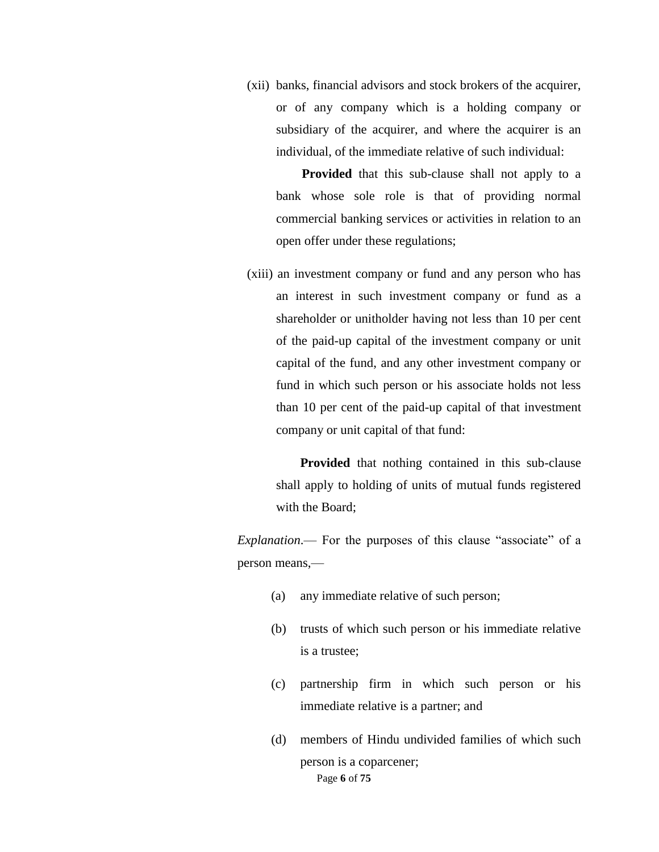(xii) banks, financial advisors and stock brokers of the acquirer, or of any company which is a holding company or subsidiary of the acquirer, and where the acquirer is an individual, of the immediate relative of such individual:

 **Provided** that this sub-clause shall not apply to a bank whose sole role is that of providing normal commercial banking services or activities in relation to an open offer under these regulations;

(xiii) an investment company or fund and any person who has an interest in such investment company or fund as a shareholder or unitholder having not less than 10 per cent of the paid-up capital of the investment company or unit capital of the fund, and any other investment company or fund in which such person or his associate holds not less than 10 per cent of the paid-up capital of that investment company or unit capital of that fund:

**Provided** that nothing contained in this sub-clause shall apply to holding of units of mutual funds registered with the Board;

*Explanation*.— For the purposes of this clause "associate" of a person means,—

- (a) any immediate relative of such person;
- (b) trusts of which such person or his immediate relative is a trustee;
- (c) partnership firm in which such person or his immediate relative is a partner; and
- Page **6** of **75** (d) members of Hindu undivided families of which such person is a coparcener;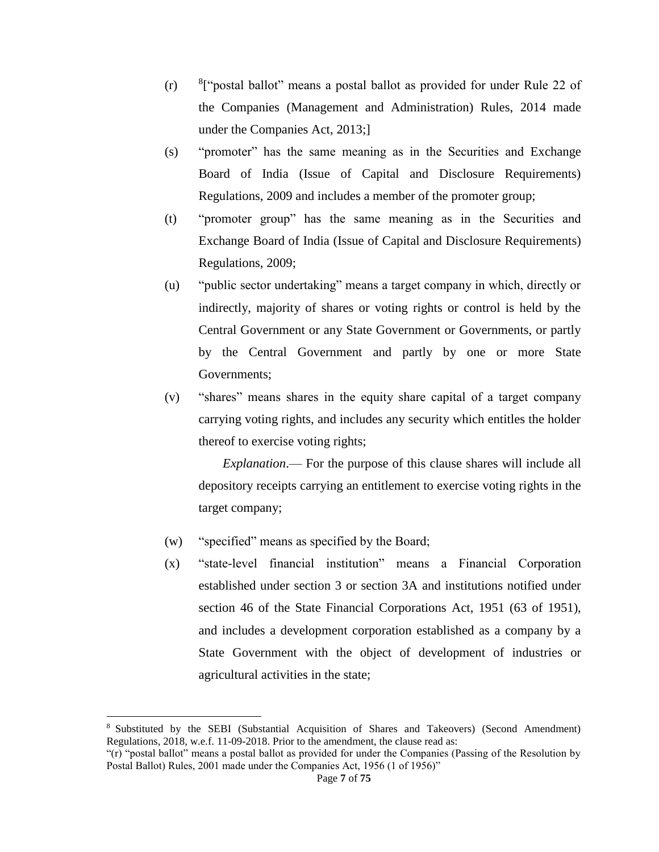- $(r)$  $\frac{8}{1}$ "postal ballot" means a postal ballot as provided for under Rule 22 of the Companies (Management and Administration) Rules, 2014 made under the Companies Act, 2013;]
- (s) "promoter" has the same meaning as in the Securities and Exchange Board of India (Issue of Capital and Disclosure Requirements) Regulations, 2009 and includes a member of the promoter group;
- (t) "promoter group" has the same meaning as in the Securities and Exchange Board of India (Issue of Capital and Disclosure Requirements) Regulations, 2009;
- (u) "public sector undertaking" means a target company in which, directly or indirectly, majority of shares or voting rights or control is held by the Central Government or any State Government or Governments, or partly by the Central Government and partly by one or more State Governments;
- (v) "shares" means shares in the equity share capital of a target company carrying voting rights, and includes any security which entitles the holder thereof to exercise voting rights;

*Explanation*.— For the purpose of this clause shares will include all depository receipts carrying an entitlement to exercise voting rights in the target company;

(w) "specified" means as specified by the Board;

l

(x) "state-level financial institution" means a Financial Corporation established under section 3 or section 3A and institutions notified under section 46 of the State Financial Corporations Act, 1951 (63 of 1951), and includes a development corporation established as a company by a State Government with the object of development of industries or agricultural activities in the state;

<sup>8</sup> Substituted by the SEBI (Substantial Acquisition of Shares and Takeovers) (Second Amendment) Regulations, 2018, w.e.f. 11-09-2018. Prior to the amendment, the clause read as:

<sup>&</sup>quot;(r) "postal ballot" means a postal ballot as provided for under the Companies (Passing of the Resolution by Postal Ballot) Rules, 2001 made under the Companies Act, 1956 (1 of 1956)"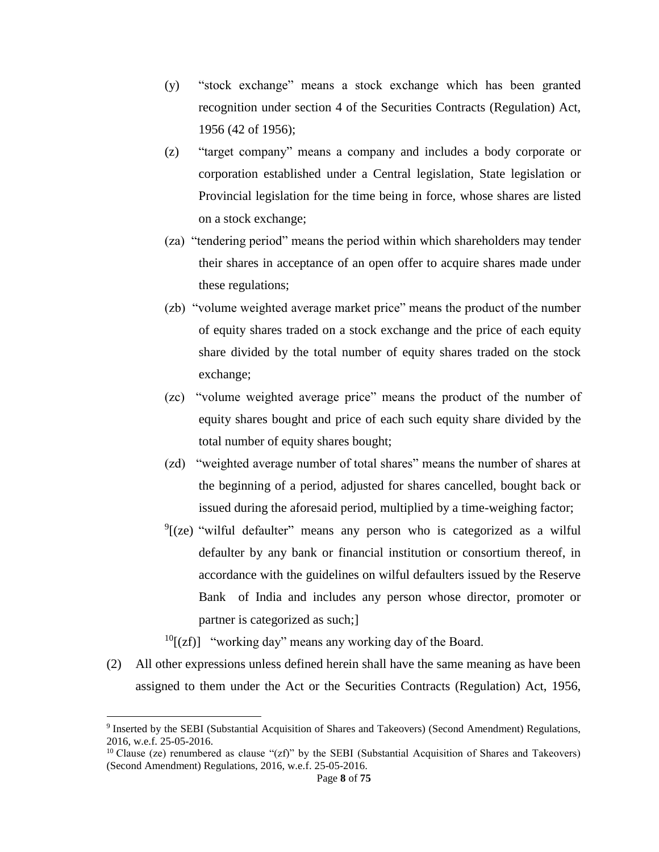- (y) "stock exchange" means a stock exchange which has been granted recognition under section 4 of the Securities Contracts (Regulation) Act, 1956 (42 of 1956);
- (z) "target company" means a company and includes a body corporate or corporation established under a Central legislation, State legislation or Provincial legislation for the time being in force, whose shares are listed on a stock exchange;
- (za) "tendering period" means the period within which shareholders may tender their shares in acceptance of an open offer to acquire shares made under these regulations;
- (zb) "volume weighted average market price" means the product of the number of equity shares traded on a stock exchange and the price of each equity share divided by the total number of equity shares traded on the stock exchange;
- (zc) "volume weighted average price" means the product of the number of equity shares bought and price of each such equity share divided by the total number of equity shares bought;
- (zd) "weighted average number of total shares" means the number of shares at the beginning of a period, adjusted for shares cancelled, bought back or issued during the aforesaid period, multiplied by a time-weighing factor;
- $^{9}$ [(ze) "wilful defaulter" means any person who is categorized as a wilful defaulter by any bank or financial institution or consortium thereof, in accordance with the guidelines on wilful defaulters issued by the Reserve Bank of India and includes any person whose director, promoter or partner is categorized as such;]

 $\frac{10}{2}$ [(zf)] "working day" means any working day of the Board.

l

(2) All other expressions unless defined herein shall have the same meaning as have been assigned to them under the Act or the Securities Contracts (Regulation) Act, 1956,

<sup>9</sup> Inserted by the SEBI (Substantial Acquisition of Shares and Takeovers) (Second Amendment) Regulations, 2016, w.e.f. 25-05-2016.

<sup>&</sup>lt;sup>10</sup> Clause (ze) renumbered as clause " $(zf)$ " by the SEBI (Substantial Acquisition of Shares and Takeovers) (Second Amendment) Regulations, 2016, w.e.f. 25-05-2016.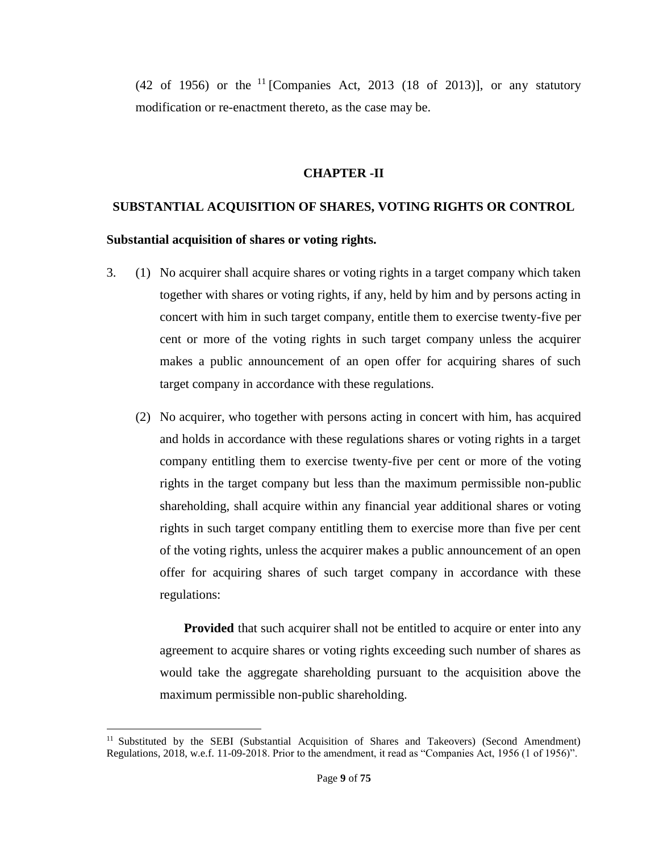$(42$  of 1956) or the <sup>11</sup> [Companies Act, 2013 (18 of 2013)], or any statutory modification or re-enactment thereto, as the case may be.

#### **CHAPTER -II**

### **SUBSTANTIAL ACQUISITION OF SHARES, VOTING RIGHTS OR CONTROL**

#### **Substantial acquisition of shares or voting rights.**

 $\overline{a}$ 

- 3. (1) No acquirer shall acquire shares or voting rights in a target company which taken together with shares or voting rights, if any, held by him and by persons acting in concert with him in such target company, entitle them to exercise twenty-five per cent or more of the voting rights in such target company unless the acquirer makes a public announcement of an open offer for acquiring shares of such target company in accordance with these regulations.
	- (2) No acquirer, who together with persons acting in concert with him, has acquired and holds in accordance with these regulations shares or voting rights in a target company entitling them to exercise twenty-five per cent or more of the voting rights in the target company but less than the maximum permissible non-public shareholding, shall acquire within any financial year additional shares or voting rights in such target company entitling them to exercise more than five per cent of the voting rights, unless the acquirer makes a public announcement of an open offer for acquiring shares of such target company in accordance with these regulations:

**Provided** that such acquirer shall not be entitled to acquire or enter into any agreement to acquire shares or voting rights exceeding such number of shares as would take the aggregate shareholding pursuant to the acquisition above the maximum permissible non-public shareholding.

<sup>&</sup>lt;sup>11</sup> Substituted by the SEBI (Substantial Acquisition of Shares and Takeovers) (Second Amendment) Regulations, 2018, w.e.f. 11-09-2018. Prior to the amendment, it read as "Companies Act, 1956 (1 of 1956)".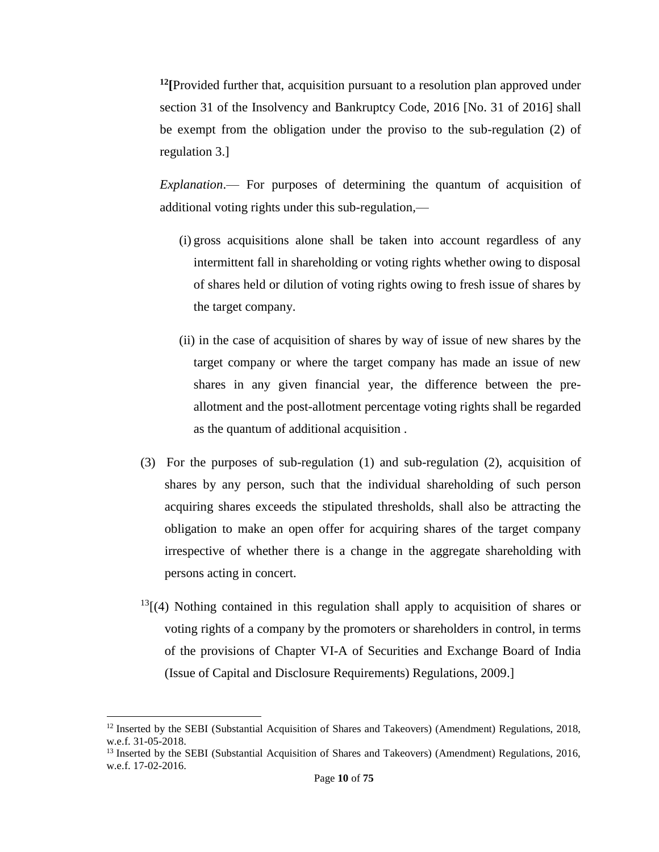**<sup>12</sup>[**Provided further that, acquisition pursuant to a resolution plan approved under section 31 of the Insolvency and Bankruptcy Code, 2016 [No. 31 of 2016] shall be exempt from the obligation under the proviso to the sub-regulation (2) of regulation 3.]

*Explanation*.— For purposes of determining the quantum of acquisition of additional voting rights under this sub-regulation*,*—

- (i) gross acquisitions alone shall be taken into account regardless of any intermittent fall in shareholding or voting rights whether owing to disposal of shares held or dilution of voting rights owing to fresh issue of shares by the target company.
- (ii) in the case of acquisition of shares by way of issue of new shares by the target company or where the target company has made an issue of new shares in any given financial year, the difference between the preallotment and the post-allotment percentage voting rights shall be regarded as the quantum of additional acquisition .
- (3) For the purposes of sub-regulation (1) and sub-regulation (2), acquisition of shares by any person, such that the individual shareholding of such person acquiring shares exceeds the stipulated thresholds, shall also be attracting the obligation to make an open offer for acquiring shares of the target company irrespective of whether there is a change in the aggregate shareholding with persons acting in concert.
- $13$ [(4) Nothing contained in this regulation shall apply to acquisition of shares or voting rights of a company by the promoters or shareholders in control, in terms of the provisions of Chapter VI-A of Securities and Exchange Board of India (Issue of Capital and Disclosure Requirements) Regulations, 2009.]

l

<sup>&</sup>lt;sup>12</sup> Inserted by the SEBI (Substantial Acquisition of Shares and Takeovers) (Amendment) Regulations, 2018, w.e.f. 31-05-2018.

<sup>&</sup>lt;sup>13</sup> Inserted by the SEBI (Substantial Acquisition of Shares and Takeovers) (Amendment) Regulations, 2016, w.e.f. 17-02-2016.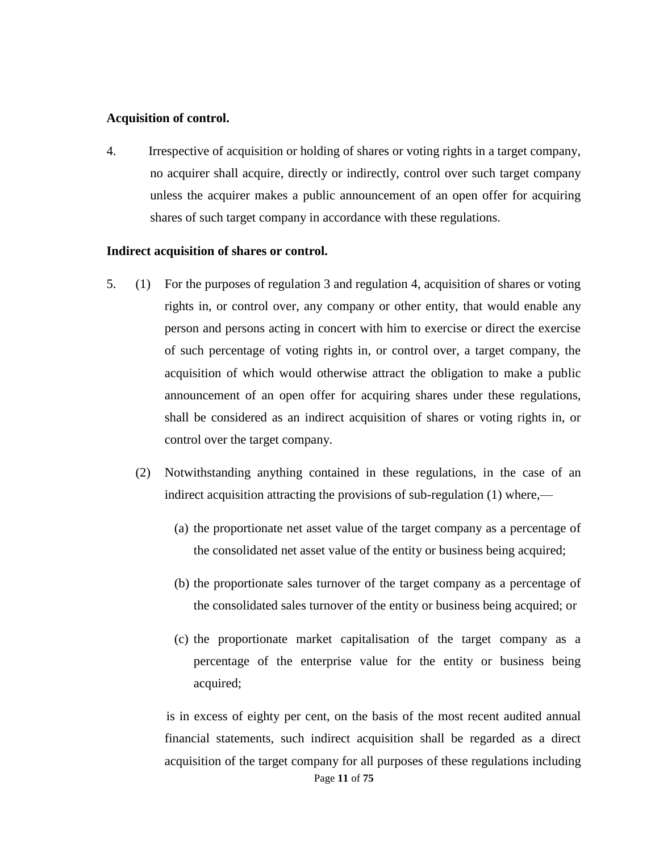#### **Acquisition of control.**

4. Irrespective of acquisition or holding of shares or voting rights in a target company, no acquirer shall acquire, directly or indirectly, control over such target company unless the acquirer makes a public announcement of an open offer for acquiring shares of such target company in accordance with these regulations.

#### **Indirect acquisition of shares or control.**

- 5. (1) For the purposes of regulation 3 and regulation 4, acquisition of shares or voting rights in, or control over, any company or other entity, that would enable any person and persons acting in concert with him to exercise or direct the exercise of such percentage of voting rights in, or control over, a target company, the acquisition of which would otherwise attract the obligation to make a public announcement of an open offer for acquiring shares under these regulations, shall be considered as an indirect acquisition of shares or voting rights in, or control over the target company.
	- (2) Notwithstanding anything contained in these regulations, in the case of an indirect acquisition attracting the provisions of sub-regulation (1) where,—
		- (a) the proportionate net asset value of the target company as a percentage of the consolidated net asset value of the entity or business being acquired;
		- (b) the proportionate sales turnover of the target company as a percentage of the consolidated sales turnover of the entity or business being acquired; or
		- (c) the proportionate market capitalisation of the target company as a percentage of the enterprise value for the entity or business being acquired;

Page **11** of **75** is in excess of eighty per cent, on the basis of the most recent audited annual financial statements, such indirect acquisition shall be regarded as a direct acquisition of the target company for all purposes of these regulations including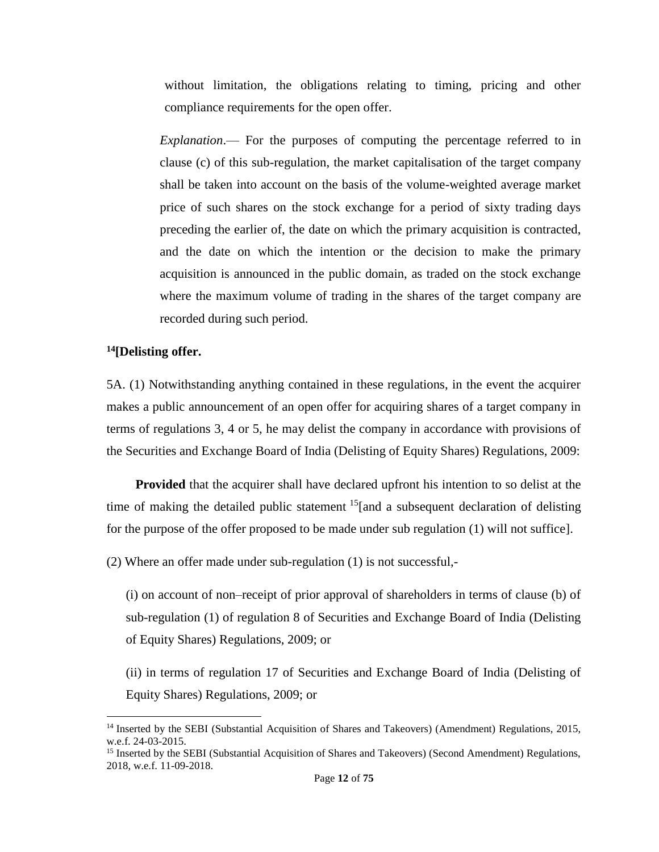without limitation, the obligations relating to timing, pricing and other compliance requirements for the open offer.

*Explanation*.— For the purposes of computing the percentage referred to in clause (c) of this sub-regulation, the market capitalisation of the target company shall be taken into account on the basis of the volume-weighted average market price of such shares on the stock exchange for a period of sixty trading days preceding the earlier of, the date on which the primary acquisition is contracted, and the date on which the intention or the decision to make the primary acquisition is announced in the public domain, as traded on the stock exchange where the maximum volume of trading in the shares of the target company are recorded during such period.

## **<sup>14</sup>[Delisting offer.**

l

5A. (1) Notwithstanding anything contained in these regulations, in the event the acquirer makes a public announcement of an open offer for acquiring shares of a target company in terms of regulations 3, 4 or 5, he may delist the company in accordance with provisions of the Securities and Exchange Board of India (Delisting of Equity Shares) Regulations, 2009:

**Provided** that the acquirer shall have declared upfront his intention to so delist at the time of making the detailed public statement  $^{15}$ [and a subsequent declaration of delisting for the purpose of the offer proposed to be made under sub regulation (1) will not suffice].

(2) Where an offer made under sub-regulation (1) is not successful,-

(i) on account of non–receipt of prior approval of shareholders in terms of clause (b) of sub-regulation (1) of regulation 8 of Securities and Exchange Board of India (Delisting of Equity Shares) Regulations, 2009; or

(ii) in terms of regulation 17 of Securities and Exchange Board of India (Delisting of Equity Shares) Regulations, 2009; or

<sup>&</sup>lt;sup>14</sup> Inserted by the SEBI (Substantial Acquisition of Shares and Takeovers) (Amendment) Regulations, 2015, w.e.f. 24-03-2015.

<sup>&</sup>lt;sup>15</sup> Inserted by the SEBI (Substantial Acquisition of Shares and Takeovers) (Second Amendment) Regulations, 2018, w.e.f. 11-09-2018.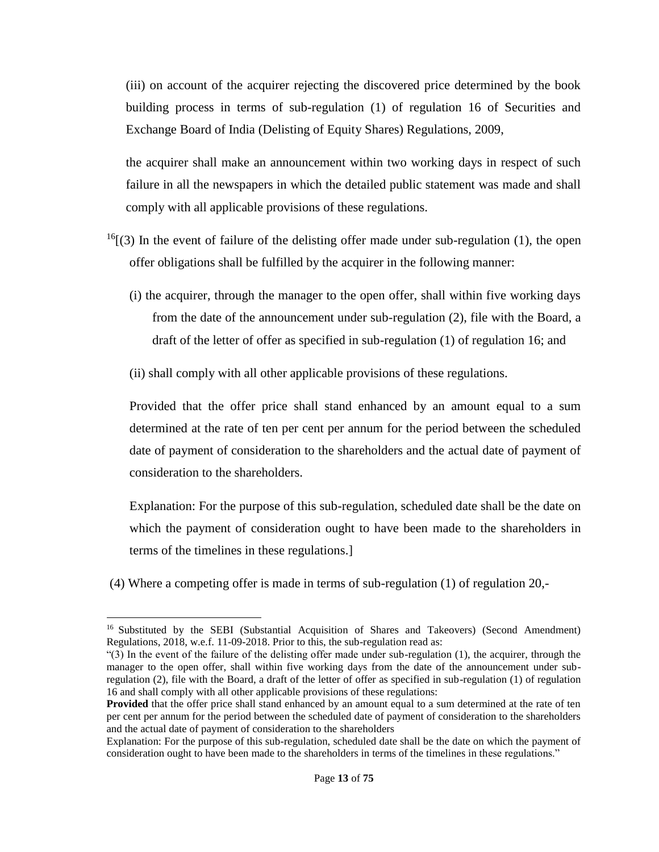(iii) on account of the acquirer rejecting the discovered price determined by the book building process in terms of sub-regulation (1) of regulation 16 of Securities and Exchange Board of India (Delisting of Equity Shares) Regulations, 2009,

the acquirer shall make an announcement within two working days in respect of such failure in all the newspapers in which the detailed public statement was made and shall comply with all applicable provisions of these regulations.

- $^{16}$ [(3) In the event of failure of the delisting offer made under sub-regulation (1), the open offer obligations shall be fulfilled by the acquirer in the following manner:
	- (i) the acquirer, through the manager to the open offer, shall within five working days from the date of the announcement under sub-regulation (2), file with the Board, a draft of the letter of offer as specified in sub-regulation (1) of regulation 16; and
	- (ii) shall comply with all other applicable provisions of these regulations.

Provided that the offer price shall stand enhanced by an amount equal to a sum determined at the rate of ten per cent per annum for the period between the scheduled date of payment of consideration to the shareholders and the actual date of payment of consideration to the shareholders.

Explanation: For the purpose of this sub-regulation, scheduled date shall be the date on which the payment of consideration ought to have been made to the shareholders in terms of the timelines in these regulations.]

(4) Where a competing offer is made in terms of sub-regulation (1) of regulation 20,-

 $\overline{a}$ 

<sup>&</sup>lt;sup>16</sup> Substituted by the SEBI (Substantial Acquisition of Shares and Takeovers) (Second Amendment) Regulations, 2018, w.e.f. 11-09-2018. Prior to this, the sub-regulation read as:

<sup>&</sup>quot;(3) In the event of the failure of the delisting offer made under sub-regulation (1), the acquirer, through the manager to the open offer, shall within five working days from the date of the announcement under subregulation (2), file with the Board, a draft of the letter of offer as specified in sub-regulation (1) of regulation 16 and shall comply with all other applicable provisions of these regulations:

**Provided** that the offer price shall stand enhanced by an amount equal to a sum determined at the rate of ten per cent per annum for the period between the scheduled date of payment of consideration to the shareholders and the actual date of payment of consideration to the shareholders

Explanation: For the purpose of this sub-regulation, scheduled date shall be the date on which the payment of consideration ought to have been made to the shareholders in terms of the timelines in these regulations."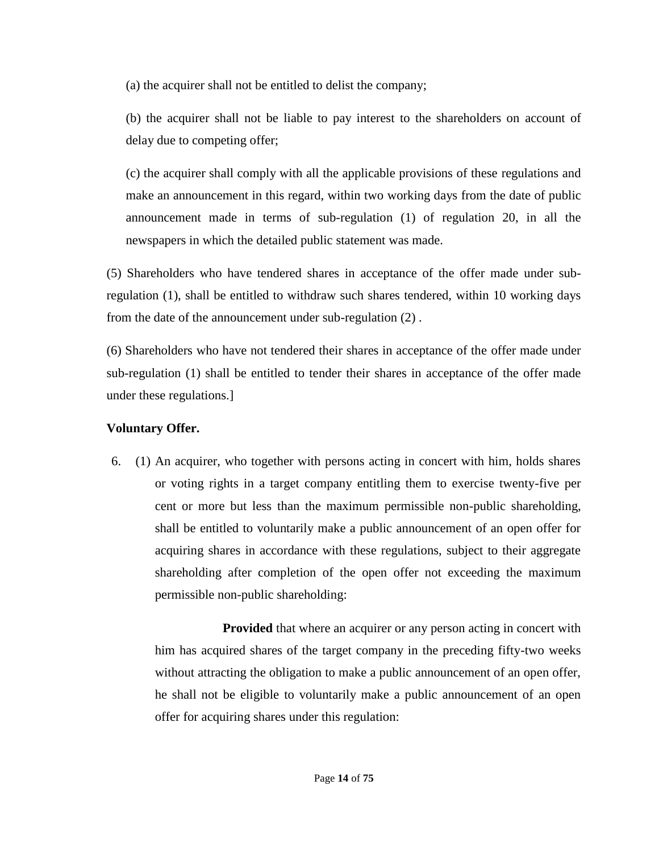(a) the acquirer shall not be entitled to delist the company;

(b) the acquirer shall not be liable to pay interest to the shareholders on account of delay due to competing offer;

(c) the acquirer shall comply with all the applicable provisions of these regulations and make an announcement in this regard, within two working days from the date of public announcement made in terms of sub-regulation (1) of regulation 20, in all the newspapers in which the detailed public statement was made.

(5) Shareholders who have tendered shares in acceptance of the offer made under subregulation (1), shall be entitled to withdraw such shares tendered, within 10 working days from the date of the announcement under sub-regulation (2) .

(6) Shareholders who have not tendered their shares in acceptance of the offer made under sub-regulation (1) shall be entitled to tender their shares in acceptance of the offer made under these regulations.]

# **Voluntary Offer.**

6. (1) An acquirer, who together with persons acting in concert with him, holds shares or voting rights in a target company entitling them to exercise twenty-five per cent or more but less than the maximum permissible non-public shareholding, shall be entitled to voluntarily make a public announcement of an open offer for acquiring shares in accordance with these regulations, subject to their aggregate shareholding after completion of the open offer not exceeding the maximum permissible non-public shareholding:

**Provided** that where an acquirer or any person acting in concert with him has acquired shares of the target company in the preceding fifty-two weeks without attracting the obligation to make a public announcement of an open offer, he shall not be eligible to voluntarily make a public announcement of an open offer for acquiring shares under this regulation: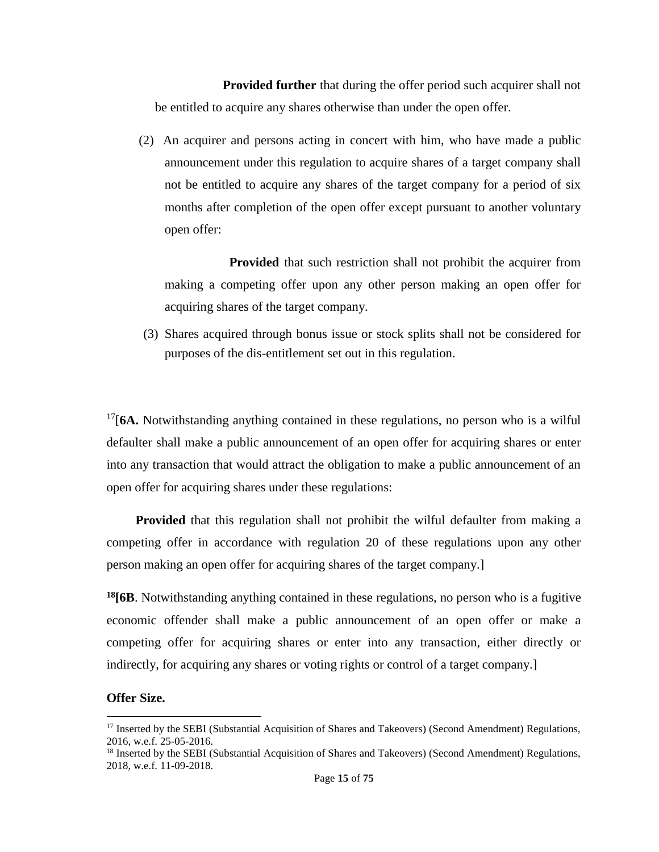**Provided further** that during the offer period such acquirer shall not be entitled to acquire any shares otherwise than under the open offer.

(2) An acquirer and persons acting in concert with him, who have made a public announcement under this regulation to acquire shares of a target company shall not be entitled to acquire any shares of the target company for a period of six months after completion of the open offer except pursuant to another voluntary open offer:

 **Provided** that such restriction shall not prohibit the acquirer from making a competing offer upon any other person making an open offer for acquiring shares of the target company.

(3) Shares acquired through bonus issue or stock splits shall not be considered for purposes of the dis-entitlement set out in this regulation.

<sup>17</sup>[**6A.** Notwithstanding anything contained in these regulations, no person who is a wilful defaulter shall make a public announcement of an open offer for acquiring shares or enter into any transaction that would attract the obligation to make a public announcement of an open offer for acquiring shares under these regulations:

**Provided** that this regulation shall not prohibit the wilful defaulter from making a competing offer in accordance with regulation 20 of these regulations upon any other person making an open offer for acquiring shares of the target company.]

**<sup>18</sup>[6B**. Notwithstanding anything contained in these regulations, no person who is a fugitive economic offender shall make a public announcement of an open offer or make a competing offer for acquiring shares or enter into any transaction, either directly or indirectly, for acquiring any shares or voting rights or control of a target company.]

#### **Offer Size.**

l

<sup>&</sup>lt;sup>17</sup> Inserted by the SEBI (Substantial Acquisition of Shares and Takeovers) (Second Amendment) Regulations, 2016, w.e.f. 25-05-2016.

<sup>&</sup>lt;sup>18</sup> Inserted by the SEBI (Substantial Acquisition of Shares and Takeovers) (Second Amendment) Regulations, 2018, w.e.f. 11-09-2018.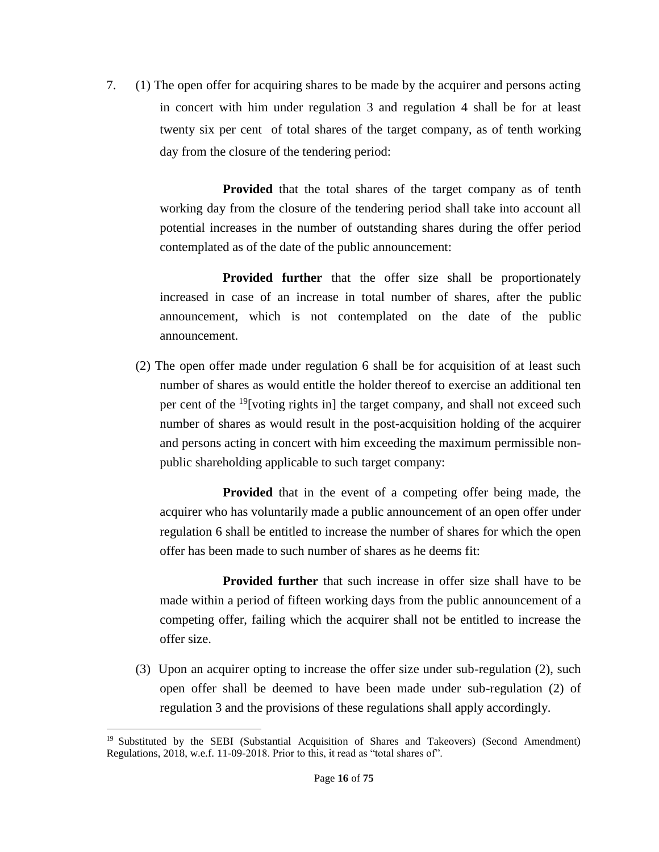7. (1) The open offer for acquiring shares to be made by the acquirer and persons acting in concert with him under regulation 3 and regulation 4 shall be for at least twenty six per cent of total shares of the target company, as of tenth working day from the closure of the tendering period:

> **Provided** that the total shares of the target company as of tenth working day from the closure of the tendering period shall take into account all potential increases in the number of outstanding shares during the offer period contemplated as of the date of the public announcement:

> **Provided further** that the offer size shall be proportionately increased in case of an increase in total number of shares, after the public announcement, which is not contemplated on the date of the public announcement.

(2) The open offer made under regulation 6 shall be for acquisition of at least such number of shares as would entitle the holder thereof to exercise an additional ten per cent of the <sup>19</sup>[voting rights in] the target company, and shall not exceed such number of shares as would result in the post-acquisition holding of the acquirer and persons acting in concert with him exceeding the maximum permissible nonpublic shareholding applicable to such target company:

**Provided** that in the event of a competing offer being made, the acquirer who has voluntarily made a public announcement of an open offer under regulation 6 shall be entitled to increase the number of shares for which the open offer has been made to such number of shares as he deems fit:

**Provided further** that such increase in offer size shall have to be made within a period of fifteen working days from the public announcement of a competing offer, failing which the acquirer shall not be entitled to increase the offer size.

(3) Upon an acquirer opting to increase the offer size under sub-regulation (2), such open offer shall be deemed to have been made under sub-regulation (2) of regulation 3 and the provisions of these regulations shall apply accordingly.

 $\overline{a}$ 

<sup>&</sup>lt;sup>19</sup> Substituted by the SEBI (Substantial Acquisition of Shares and Takeovers) (Second Amendment) Regulations, 2018, w.e.f. 11-09-2018. Prior to this, it read as "total shares of".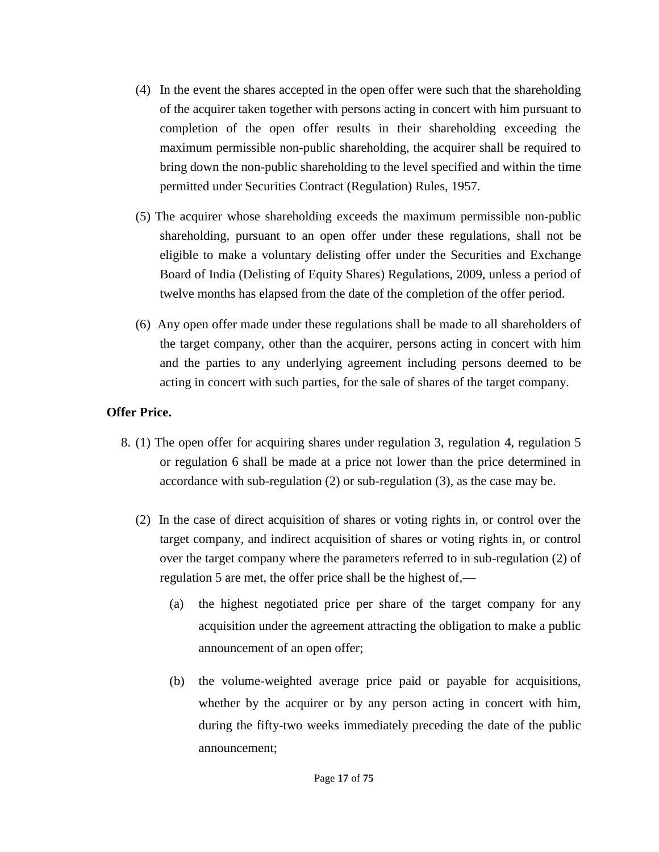- (4) In the event the shares accepted in the open offer were such that the shareholding of the acquirer taken together with persons acting in concert with him pursuant to completion of the open offer results in their shareholding exceeding the maximum permissible non-public shareholding, the acquirer shall be required to bring down the non-public shareholding to the level specified and within the time permitted under Securities Contract (Regulation) Rules, 1957.
- (5) The acquirer whose shareholding exceeds the maximum permissible non-public shareholding, pursuant to an open offer under these regulations, shall not be eligible to make a voluntary delisting offer under the Securities and Exchange Board of India (Delisting of Equity Shares) Regulations, 2009, unless a period of twelve months has elapsed from the date of the completion of the offer period.
- (6) Any open offer made under these regulations shall be made to all shareholders of the target company, other than the acquirer, persons acting in concert with him and the parties to any underlying agreement including persons deemed to be acting in concert with such parties, for the sale of shares of the target company.

# **Offer Price.**

- 8. (1) The open offer for acquiring shares under regulation 3, regulation 4, regulation 5 or regulation 6 shall be made at a price not lower than the price determined in accordance with sub-regulation (2) or sub-regulation (3), as the case may be.
	- (2) In the case of direct acquisition of shares or voting rights in, or control over the target company, and indirect acquisition of shares or voting rights in, or control over the target company where the parameters referred to in sub-regulation (2) of regulation 5 are met, the offer price shall be the highest of,—
		- (a) the highest negotiated price per share of the target company for any acquisition under the agreement attracting the obligation to make a public announcement of an open offer;
		- (b) the volume-weighted average price paid or payable for acquisitions, whether by the acquirer or by any person acting in concert with him, during the fifty-two weeks immediately preceding the date of the public announcement;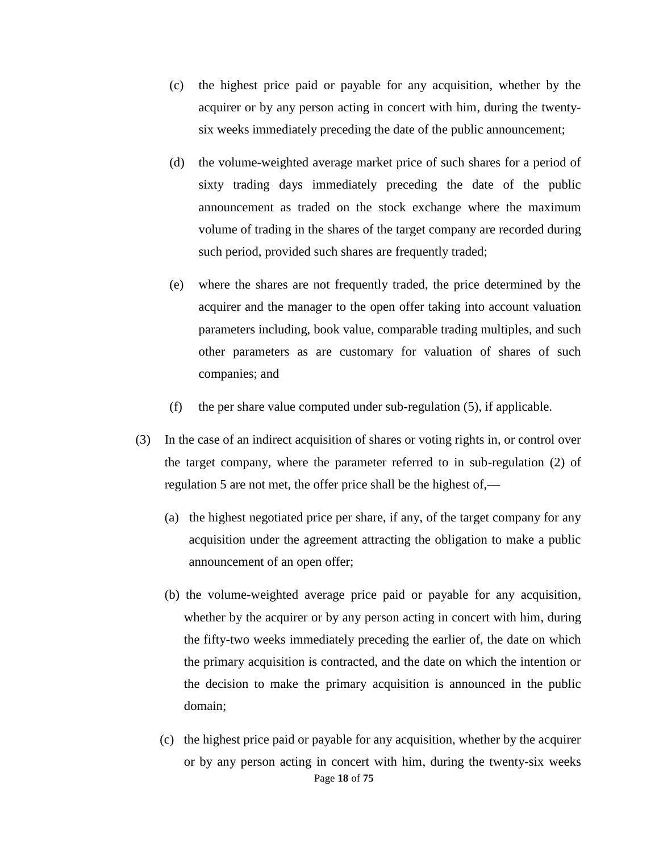- (c) the highest price paid or payable for any acquisition, whether by the acquirer or by any person acting in concert with him, during the twentysix weeks immediately preceding the date of the public announcement;
- (d) the volume-weighted average market price of such shares for a period of sixty trading days immediately preceding the date of the public announcement as traded on the stock exchange where the maximum volume of trading in the shares of the target company are recorded during such period, provided such shares are frequently traded;
- (e) where the shares are not frequently traded, the price determined by the acquirer and the manager to the open offer taking into account valuation parameters including, book value, comparable trading multiples, and such other parameters as are customary for valuation of shares of such companies; and
- (f) the per share value computed under sub-regulation (5), if applicable.
- (3) In the case of an indirect acquisition of shares or voting rights in, or control over the target company, where the parameter referred to in sub-regulation (2) of regulation 5 are not met, the offer price shall be the highest of,—
	- (a) the highest negotiated price per share, if any, of the target company for any acquisition under the agreement attracting the obligation to make a public announcement of an open offer;
	- (b) the volume-weighted average price paid or payable for any acquisition, whether by the acquirer or by any person acting in concert with him, during the fifty-two weeks immediately preceding the earlier of, the date on which the primary acquisition is contracted, and the date on which the intention or the decision to make the primary acquisition is announced in the public domain;
	- Page **18** of **75** (c) the highest price paid or payable for any acquisition, whether by the acquirer or by any person acting in concert with him, during the twenty-six weeks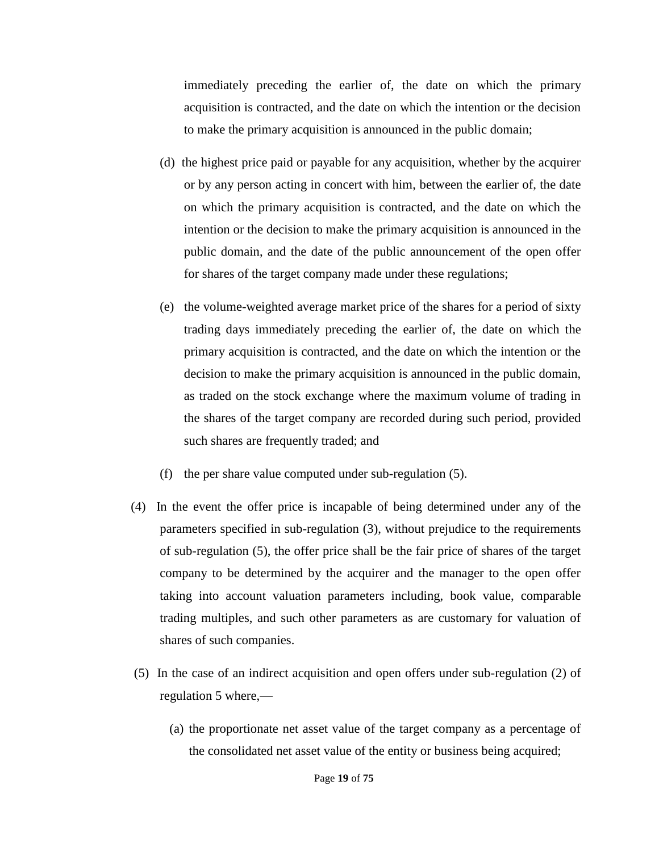immediately preceding the earlier of, the date on which the primary acquisition is contracted, and the date on which the intention or the decision to make the primary acquisition is announced in the public domain;

- (d) the highest price paid or payable for any acquisition, whether by the acquirer or by any person acting in concert with him, between the earlier of, the date on which the primary acquisition is contracted, and the date on which the intention or the decision to make the primary acquisition is announced in the public domain, and the date of the public announcement of the open offer for shares of the target company made under these regulations;
- (e) the volume-weighted average market price of the shares for a period of sixty trading days immediately preceding the earlier of, the date on which the primary acquisition is contracted, and the date on which the intention or the decision to make the primary acquisition is announced in the public domain, as traded on the stock exchange where the maximum volume of trading in the shares of the target company are recorded during such period, provided such shares are frequently traded; and
- (f) the per share value computed under sub-regulation (5).
- (4) In the event the offer price is incapable of being determined under any of the parameters specified in sub-regulation (3), without prejudice to the requirements of sub-regulation (5), the offer price shall be the fair price of shares of the target company to be determined by the acquirer and the manager to the open offer taking into account valuation parameters including, book value, comparable trading multiples, and such other parameters as are customary for valuation of shares of such companies.
- (5) In the case of an indirect acquisition and open offers under sub-regulation (2) of regulation 5 where,—
	- (a) the proportionate net asset value of the target company as a percentage of the consolidated net asset value of the entity or business being acquired;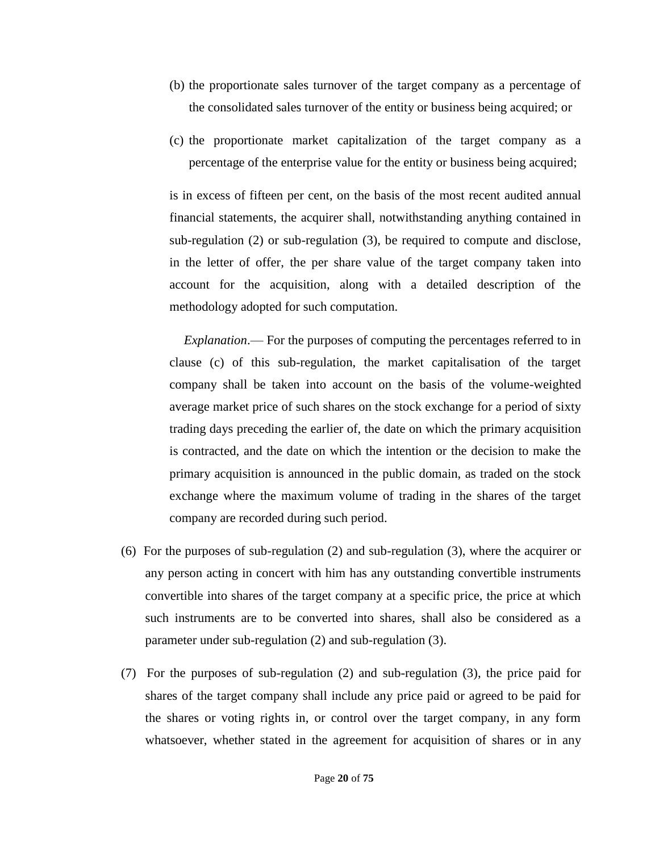- (b) the proportionate sales turnover of the target company as a percentage of the consolidated sales turnover of the entity or business being acquired; or
- (c) the proportionate market capitalization of the target company as a percentage of the enterprise value for the entity or business being acquired;

is in excess of fifteen per cent, on the basis of the most recent audited annual financial statements, the acquirer shall, notwithstanding anything contained in sub-regulation (2) or sub-regulation (3), be required to compute and disclose, in the letter of offer, the per share value of the target company taken into account for the acquisition, along with a detailed description of the methodology adopted for such computation.

*Explanation*.— For the purposes of computing the percentages referred to in clause (c) of this sub-regulation, the market capitalisation of the target company shall be taken into account on the basis of the volume-weighted average market price of such shares on the stock exchange for a period of sixty trading days preceding the earlier of, the date on which the primary acquisition is contracted, and the date on which the intention or the decision to make the primary acquisition is announced in the public domain, as traded on the stock exchange where the maximum volume of trading in the shares of the target company are recorded during such period.

- (6) For the purposes of sub-regulation (2) and sub-regulation (3), where the acquirer or any person acting in concert with him has any outstanding convertible instruments convertible into shares of the target company at a specific price, the price at which such instruments are to be converted into shares, shall also be considered as a parameter under sub-regulation (2) and sub-regulation (3).
- (7) For the purposes of sub-regulation (2) and sub-regulation (3), the price paid for shares of the target company shall include any price paid or agreed to be paid for the shares or voting rights in, or control over the target company, in any form whatsoever, whether stated in the agreement for acquisition of shares or in any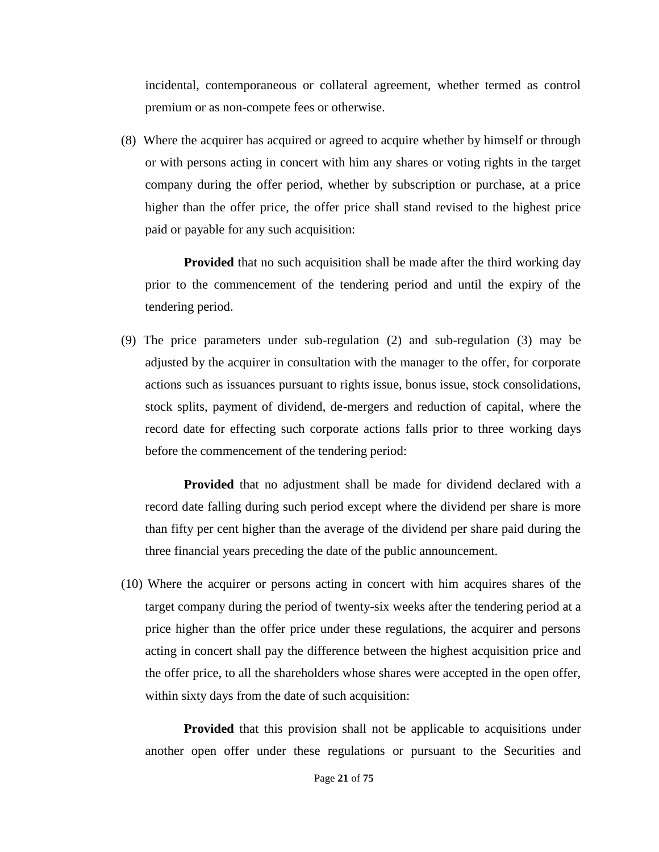incidental, contemporaneous or collateral agreement, whether termed as control premium or as non-compete fees or otherwise.

(8) Where the acquirer has acquired or agreed to acquire whether by himself or through or with persons acting in concert with him any shares or voting rights in the target company during the offer period, whether by subscription or purchase, at a price higher than the offer price, the offer price shall stand revised to the highest price paid or payable for any such acquisition:

**Provided** that no such acquisition shall be made after the third working day prior to the commencement of the tendering period and until the expiry of the tendering period.

(9) The price parameters under sub-regulation (2) and sub-regulation (3) may be adjusted by the acquirer in consultation with the manager to the offer, for corporate actions such as issuances pursuant to rights issue, bonus issue, stock consolidations, stock splits, payment of dividend, de-mergers and reduction of capital, where the record date for effecting such corporate actions falls prior to three working days before the commencement of the tendering period:

**Provided** that no adjustment shall be made for dividend declared with a record date falling during such period except where the dividend per share is more than fifty per cent higher than the average of the dividend per share paid during the three financial years preceding the date of the public announcement.

(10) Where the acquirer or persons acting in concert with him acquires shares of the target company during the period of twenty-six weeks after the tendering period at a price higher than the offer price under these regulations, the acquirer and persons acting in concert shall pay the difference between the highest acquisition price and the offer price, to all the shareholders whose shares were accepted in the open offer, within sixty days from the date of such acquisition:

**Provided** that this provision shall not be applicable to acquisitions under another open offer under these regulations or pursuant to the Securities and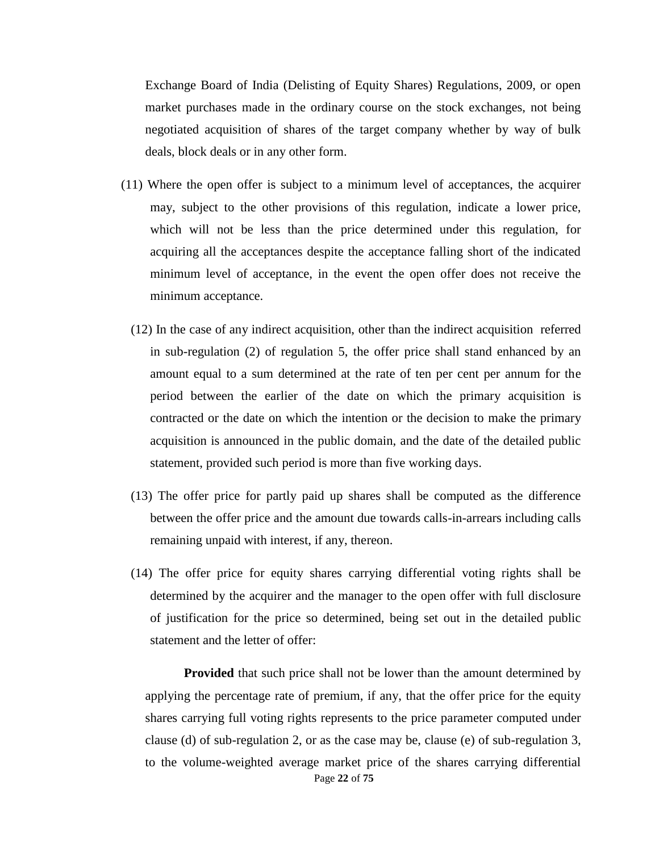Exchange Board of India (Delisting of Equity Shares) Regulations, 2009, or open market purchases made in the ordinary course on the stock exchanges, not being negotiated acquisition of shares of the target company whether by way of bulk deals, block deals or in any other form.

- (11) Where the open offer is subject to a minimum level of acceptances, the acquirer may, subject to the other provisions of this regulation, indicate a lower price, which will not be less than the price determined under this regulation, for acquiring all the acceptances despite the acceptance falling short of the indicated minimum level of acceptance, in the event the open offer does not receive the minimum acceptance.
	- (12) In the case of any indirect acquisition, other than the indirect acquisition referred in sub-regulation (2) of regulation 5, the offer price shall stand enhanced by an amount equal to a sum determined at the rate of ten per cent per annum for the period between the earlier of the date on which the primary acquisition is contracted or the date on which the intention or the decision to make the primary acquisition is announced in the public domain, and the date of the detailed public statement, provided such period is more than five working days.
	- (13) The offer price for partly paid up shares shall be computed as the difference between the offer price and the amount due towards calls-in-arrears including calls remaining unpaid with interest, if any, thereon.
	- (14) The offer price for equity shares carrying differential voting rights shall be determined by the acquirer and the manager to the open offer with full disclosure of justification for the price so determined, being set out in the detailed public statement and the letter of offer:

Page **22** of **75 Provided** that such price shall not be lower than the amount determined by applying the percentage rate of premium, if any, that the offer price for the equity shares carrying full voting rights represents to the price parameter computed under clause (d) of sub-regulation 2, or as the case may be, clause (e) of sub-regulation 3, to the volume-weighted average market price of the shares carrying differential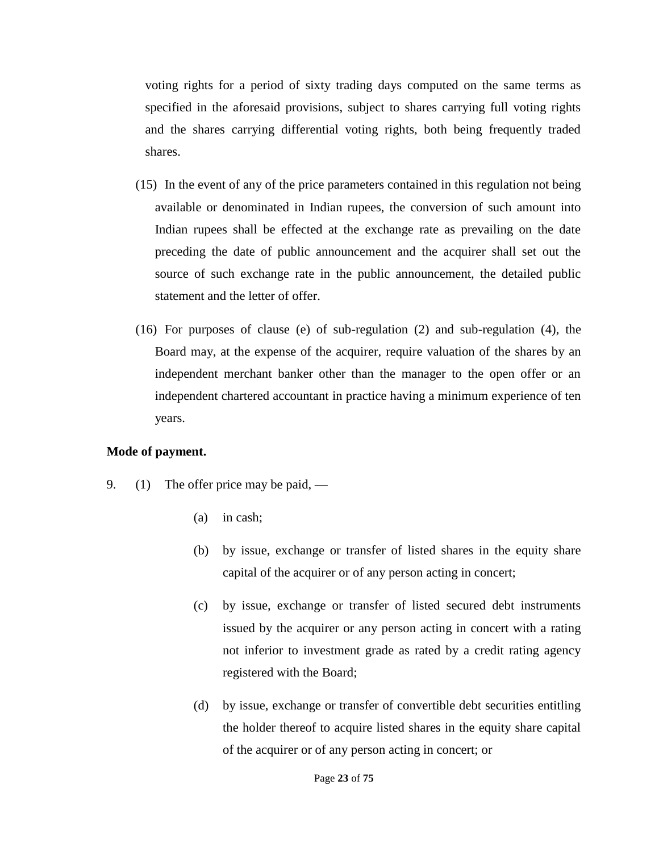voting rights for a period of sixty trading days computed on the same terms as specified in the aforesaid provisions, subject to shares carrying full voting rights and the shares carrying differential voting rights, both being frequently traded shares.

- (15) In the event of any of the price parameters contained in this regulation not being available or denominated in Indian rupees, the conversion of such amount into Indian rupees shall be effected at the exchange rate as prevailing on the date preceding the date of public announcement and the acquirer shall set out the source of such exchange rate in the public announcement, the detailed public statement and the letter of offer.
- (16) For purposes of clause (e) of sub-regulation (2) and sub-regulation (4), the Board may, at the expense of the acquirer, require valuation of the shares by an independent merchant banker other than the manager to the open offer or an independent chartered accountant in practice having a minimum experience of ten years.

# **Mode of payment.**

- 9. (1) The offer price may be paid,
	- (a) in cash;
	- (b) by issue, exchange or transfer of listed shares in the equity share capital of the acquirer or of any person acting in concert;
	- (c) by issue, exchange or transfer of listed secured debt instruments issued by the acquirer or any person acting in concert with a rating not inferior to investment grade as rated by a credit rating agency registered with the Board;
	- (d) by issue, exchange or transfer of convertible debt securities entitling the holder thereof to acquire listed shares in the equity share capital of the acquirer or of any person acting in concert; or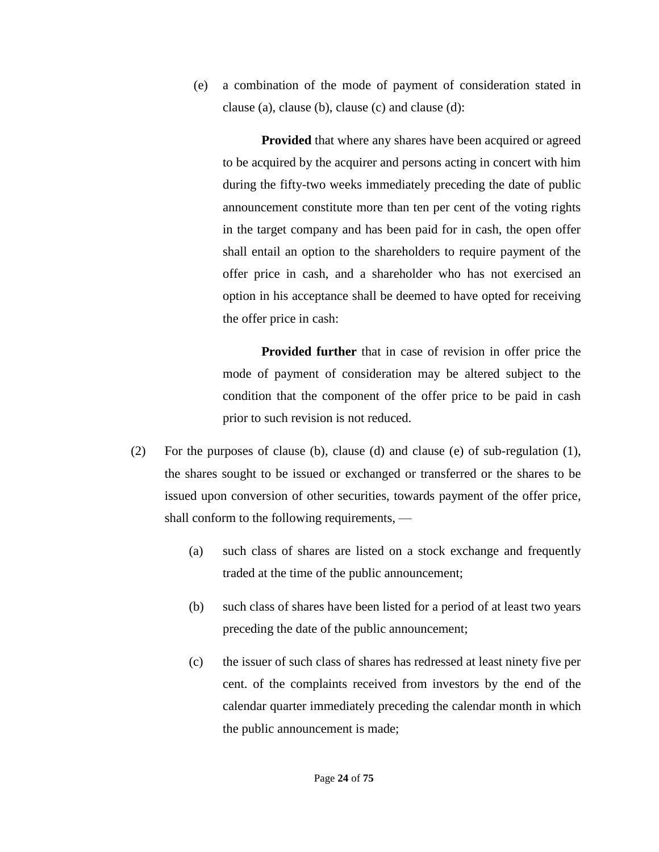(e) a combination of the mode of payment of consideration stated in clause (a), clause (b), clause (c) and clause (d):

**Provided** that where any shares have been acquired or agreed to be acquired by the acquirer and persons acting in concert with him during the fifty-two weeks immediately preceding the date of public announcement constitute more than ten per cent of the voting rights in the target company and has been paid for in cash, the open offer shall entail an option to the shareholders to require payment of the offer price in cash, and a shareholder who has not exercised an option in his acceptance shall be deemed to have opted for receiving the offer price in cash:

**Provided further** that in case of revision in offer price the mode of payment of consideration may be altered subject to the condition that the component of the offer price to be paid in cash prior to such revision is not reduced.

- (2) For the purposes of clause (b), clause (d) and clause (e) of sub-regulation (1), the shares sought to be issued or exchanged or transferred or the shares to be issued upon conversion of other securities, towards payment of the offer price, shall conform to the following requirements, —
	- (a) such class of shares are listed on a stock exchange and frequently traded at the time of the public announcement;
	- (b) such class of shares have been listed for a period of at least two years preceding the date of the public announcement;
	- (c) the issuer of such class of shares has redressed at least ninety five per cent. of the complaints received from investors by the end of the calendar quarter immediately preceding the calendar month in which the public announcement is made;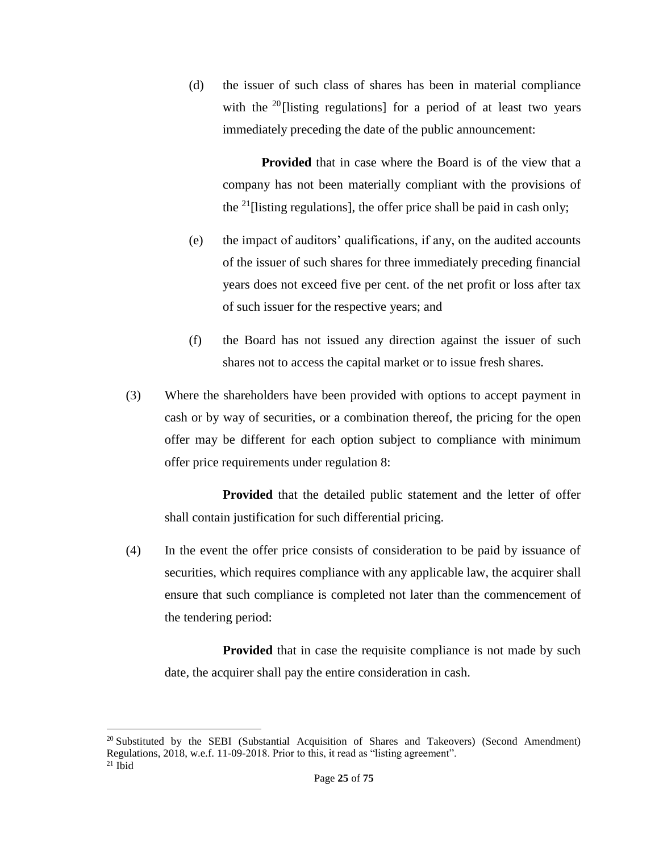(d) the issuer of such class of shares has been in material compliance with the  $^{20}$ [listing regulations] for a period of at least two years immediately preceding the date of the public announcement:

**Provided** that in case where the Board is of the view that a company has not been materially compliant with the provisions of the  $21$ [listing regulations], the offer price shall be paid in cash only;

- (e) the impact of auditors' qualifications, if any, on the audited accounts of the issuer of such shares for three immediately preceding financial years does not exceed five per cent. of the net profit or loss after tax of such issuer for the respective years; and
- (f) the Board has not issued any direction against the issuer of such shares not to access the capital market or to issue fresh shares.
- (3) Where the shareholders have been provided with options to accept payment in cash or by way of securities, or a combination thereof, the pricing for the open offer may be different for each option subject to compliance with minimum offer price requirements under regulation 8:

**Provided** that the detailed public statement and the letter of offer shall contain justification for such differential pricing.

(4) In the event the offer price consists of consideration to be paid by issuance of securities, which requires compliance with any applicable law, the acquirer shall ensure that such compliance is completed not later than the commencement of the tendering period:

**Provided** that in case the requisite compliance is not made by such date, the acquirer shall pay the entire consideration in cash.

 $\overline{a}$ 

<sup>&</sup>lt;sup>20</sup> Substituted by the SEBI (Substantial Acquisition of Shares and Takeovers) (Second Amendment) Regulations, 2018, w.e.f. 11-09-2018. Prior to this, it read as "listing agreement".  $21$  Ibid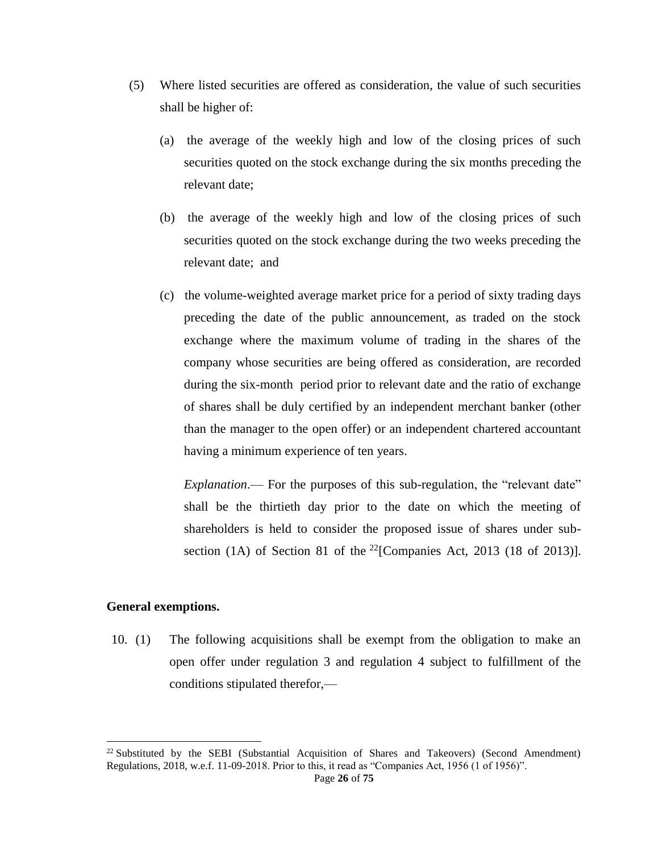- (5) Where listed securities are offered as consideration, the value of such securities shall be higher of:
	- (a) the average of the weekly high and low of the closing prices of such securities quoted on the stock exchange during the six months preceding the relevant date;
	- (b) the average of the weekly high and low of the closing prices of such securities quoted on the stock exchange during the two weeks preceding the relevant date; and
	- (c) the volume-weighted average market price for a period of sixty trading days preceding the date of the public announcement, as traded on the stock exchange where the maximum volume of trading in the shares of the company whose securities are being offered as consideration, are recorded during the six-month period prior to relevant date and the ratio of exchange of shares shall be duly certified by an independent merchant banker (other than the manager to the open offer) or an independent chartered accountant having a minimum experience of ten years.

*Explanation*.— For the purposes of this sub-regulation, the "relevant date" shall be the thirtieth day prior to the date on which the meeting of shareholders is held to consider the proposed issue of shares under subsection (1A) of Section 81 of the  $^{22}$ [Companies Act, 2013 (18 of 2013)].

#### **General exemptions.**

 $\overline{\phantom{a}}$ 

10. (1) The following acquisitions shall be exempt from the obligation to make an open offer under regulation 3 and regulation 4 subject to fulfillment of the conditions stipulated therefor,—

 $^{22}$  Substituted by the SEBI (Substantial Acquisition of Shares and Takeovers) (Second Amendment) Regulations, 2018, w.e.f. 11-09-2018. Prior to this, it read as "Companies Act, 1956 (1 of 1956)".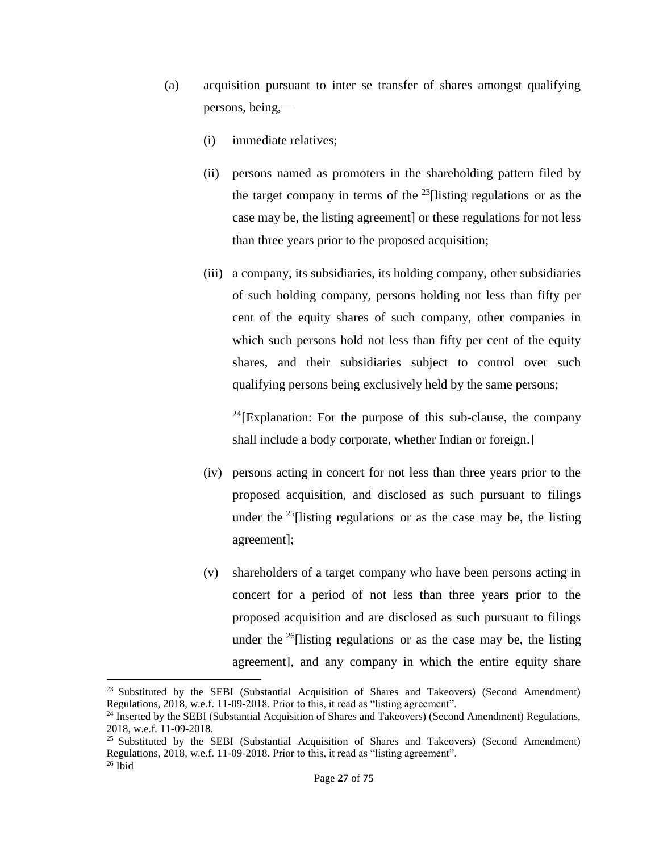- (a) acquisition pursuant to inter se transfer of shares amongst qualifying persons, being,—
	- (i) immediate relatives;
	- (ii) persons named as promoters in the shareholding pattern filed by the target company in terms of the  $^{23}$ [listing regulations or as the case may be, the listing agreement] or these regulations for not less than three years prior to the proposed acquisition;
	- (iii) a company, its subsidiaries, its holding company, other subsidiaries of such holding company, persons holding not less than fifty per cent of the equity shares of such company, other companies in which such persons hold not less than fifty per cent of the equity shares, and their subsidiaries subject to control over such qualifying persons being exclusively held by the same persons;

 $^{24}$ [Explanation: For the purpose of this sub-clause, the company shall include a body corporate, whether Indian or foreign.]

- (iv) persons acting in concert for not less than three years prior to the proposed acquisition, and disclosed as such pursuant to filings under the <sup>25</sup>[listing regulations or as the case may be, the listing agreement];
- (v) shareholders of a target company who have been persons acting in concert for a period of not less than three years prior to the proposed acquisition and are disclosed as such pursuant to filings under the  $^{26}$ [listing regulations or as the case may be, the listing agreement], and any company in which the entire equity share

<sup>&</sup>lt;sup>23</sup> Substituted by the SEBI (Substantial Acquisition of Shares and Takeovers) (Second Amendment) Regulations, 2018, w.e.f. 11-09-2018. Prior to this, it read as "listing agreement".

<sup>&</sup>lt;sup>24</sup> Inserted by the SEBI (Substantial Acquisition of Shares and Takeovers) (Second Amendment) Regulations, 2018, w.e.f. 11-09-2018.

<sup>&</sup>lt;sup>25</sup> Substituted by the SEBI (Substantial Acquisition of Shares and Takeovers) (Second Amendment) Regulations, 2018, w.e.f. 11-09-2018. Prior to this, it read as "listing agreement".

 $26$  Ibid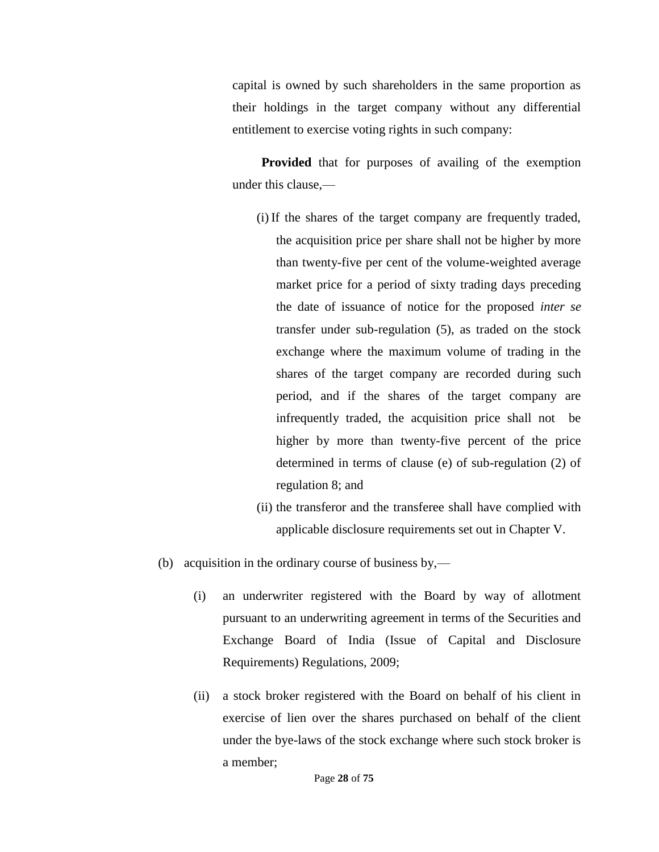capital is owned by such shareholders in the same proportion as their holdings in the target company without any differential entitlement to exercise voting rights in such company:

**Provided** that for purposes of availing of the exemption under this clause,—

- (i) If the shares of the target company are frequently traded, the acquisition price per share shall not be higher by more than twenty-five per cent of the volume-weighted average market price for a period of sixty trading days preceding the date of issuance of notice for the proposed *inter se* transfer under sub-regulation (5), as traded on the stock exchange where the maximum volume of trading in the shares of the target company are recorded during such period, and if the shares of the target company are infrequently traded, the acquisition price shall not be higher by more than twenty-five percent of the price determined in terms of clause (e) of sub-regulation (2) of regulation 8; and
- (ii) the transferor and the transferee shall have complied with applicable disclosure requirements set out in Chapter V.
- (b) acquisition in the ordinary course of business by,—
	- (i) an underwriter registered with the Board by way of allotment pursuant to an underwriting agreement in terms of the Securities and Exchange Board of India (Issue of Capital and Disclosure Requirements) Regulations, 2009;
	- (ii) a stock broker registered with the Board on behalf of his client in exercise of lien over the shares purchased on behalf of the client under the bye-laws of the stock exchange where such stock broker is a member;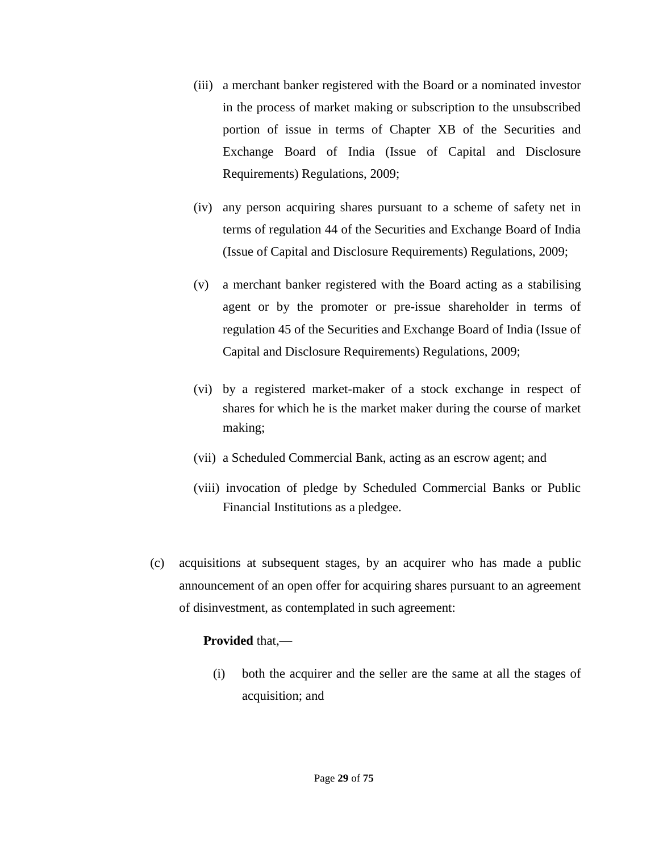- (iii) a merchant banker registered with the Board or a nominated investor in the process of market making or subscription to the unsubscribed portion of issue in terms of Chapter XB of the Securities and Exchange Board of India (Issue of Capital and Disclosure Requirements) Regulations, 2009;
- (iv) any person acquiring shares pursuant to a scheme of safety net in terms of regulation 44 of the Securities and Exchange Board of India (Issue of Capital and Disclosure Requirements) Regulations, 2009;
- (v) a merchant banker registered with the Board acting as a stabilising agent or by the promoter or pre-issue shareholder in terms of regulation 45 of the Securities and Exchange Board of India (Issue of Capital and Disclosure Requirements) Regulations, 2009;
- (vi) by a registered market-maker of a stock exchange in respect of shares for which he is the market maker during the course of market making;
- (vii) a Scheduled Commercial Bank, acting as an escrow agent; and
- (viii) invocation of pledge by Scheduled Commercial Banks or Public Financial Institutions as a pledgee.
- (c) acquisitions at subsequent stages, by an acquirer who has made a public announcement of an open offer for acquiring shares pursuant to an agreement of disinvestment, as contemplated in such agreement:

# **Provided** that,—

(i) both the acquirer and the seller are the same at all the stages of acquisition; and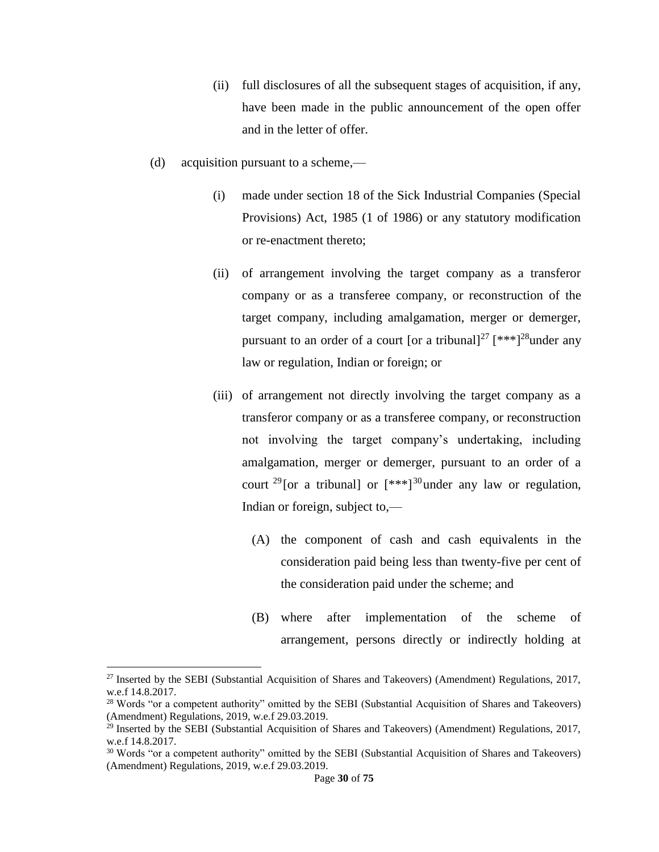- (ii) full disclosures of all the subsequent stages of acquisition, if any, have been made in the public announcement of the open offer and in the letter of offer.
- (d) acquisition pursuant to a scheme,—
	- (i) made under section 18 of the Sick Industrial Companies (Special Provisions) Act, 1985 (1 of 1986) or any statutory modification or re-enactment thereto;
	- (ii) of arrangement involving the target company as a transferor company or as a transferee company, or reconstruction of the target company, including amalgamation, merger or demerger, pursuant to an order of a court [or a tribunal]<sup>27</sup> [\*\*\*]<sup>28</sup>under any law or regulation, Indian or foreign; or
	- (iii) of arrangement not directly involving the target company as a transferor company or as a transferee company, or reconstruction not involving the target company's undertaking, including amalgamation, merger or demerger, pursuant to an order of a court <sup>29</sup> [or a tribunal] or  $[***]$ <sup>30</sup> under any law or regulation, Indian or foreign, subject to,—
		- (A) the component of cash and cash equivalents in the consideration paid being less than twenty-five per cent of the consideration paid under the scheme; and
		- (B) where after implementation of the scheme of arrangement, persons directly or indirectly holding at

<sup>&</sup>lt;sup>27</sup> Inserted by the SEBI (Substantial Acquisition of Shares and Takeovers) (Amendment) Regulations, 2017, w.e.f 14.8.2017.

<sup>&</sup>lt;sup>28</sup> Words "or a competent authority" omitted by the SEBI (Substantial Acquisition of Shares and Takeovers) (Amendment) Regulations, 2019, w.e.f 29.03.2019.

<sup>29</sup> Inserted by the SEBI (Substantial Acquisition of Shares and Takeovers) (Amendment) Regulations, 2017, w.e.f 14.8.2017.

<sup>&</sup>lt;sup>30</sup> Words "or a competent authority" omitted by the SEBI (Substantial Acquisition of Shares and Takeovers) (Amendment) Regulations, 2019, w.e.f 29.03.2019.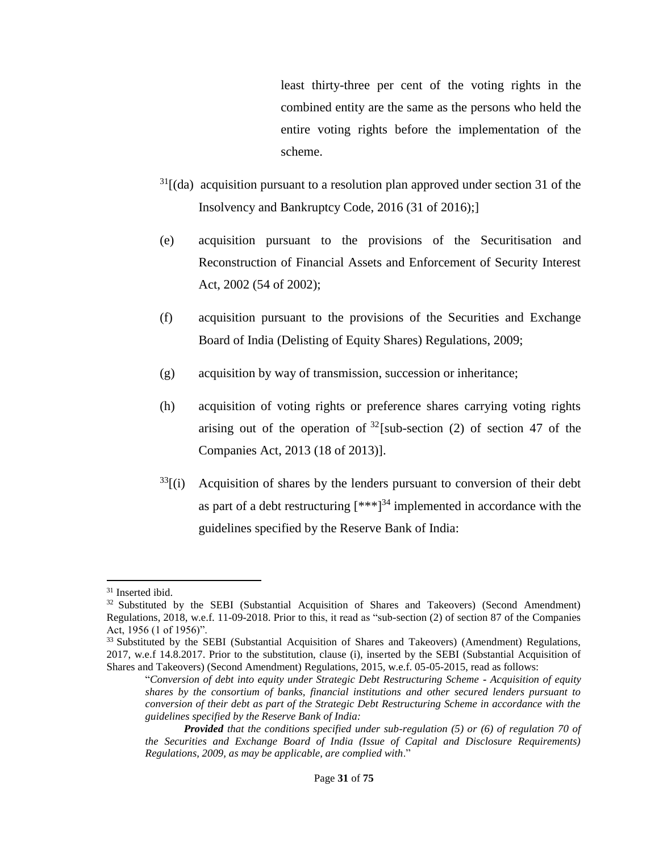least thirty-three per cent of the voting rights in the combined entity are the same as the persons who held the entire voting rights before the implementation of the scheme.

- $31$ [(da) acquisition pursuant to a resolution plan approved under section 31 of the Insolvency and Bankruptcy Code, 2016 (31 of 2016);]
- (e) acquisition pursuant to the provisions of the Securitisation and Reconstruction of Financial Assets and Enforcement of Security Interest Act, 2002 (54 of 2002);
- (f) acquisition pursuant to the provisions of the Securities and Exchange Board of India (Delisting of Equity Shares) Regulations, 2009;
- (g) acquisition by way of transmission, succession or inheritance;
- (h) acquisition of voting rights or preference shares carrying voting rights arising out of the operation of  $^{32}$ [sub-section (2) of section 47 of the Companies Act, 2013 (18 of 2013)].
- $33$ [(i) Acquisition of shares by the lenders pursuant to conversion of their debt as part of a debt restructuring  $[***]^{34}$  implemented in accordance with the guidelines specified by the Reserve Bank of India:

<sup>&</sup>lt;sup>31</sup> Inserted ibid.

<sup>&</sup>lt;sup>32</sup> Substituted by the SEBI (Substantial Acquisition of Shares and Takeovers) (Second Amendment) Regulations, 2018, w.e.f. 11-09-2018. Prior to this, it read as "sub-section (2) of section 87 of the Companies Act, 1956 (1 of 1956)".

<sup>&</sup>lt;sup>33</sup> Substituted by the SEBI (Substantial Acquisition of Shares and Takeovers) (Amendment) Regulations, 2017, w.e.f 14.8.2017. Prior to the substitution, clause (i), inserted by the SEBI (Substantial Acquisition of Shares and Takeovers) (Second Amendment) Regulations, 2015, w.e.f. 05-05-2015, read as follows:

<sup>&</sup>quot;*Conversion of debt into equity under Strategic Debt Restructuring Scheme - Acquisition of equity shares by the consortium of banks, financial institutions and other secured lenders pursuant to conversion of their debt as part of the Strategic Debt Restructuring Scheme in accordance with the guidelines specified by the Reserve Bank of India:* 

*Provided that the conditions specified under sub-regulation (5) or (6) of regulation 70 of the Securities and Exchange Board of India (Issue of Capital and Disclosure Requirements) Regulations, 2009, as may be applicable, are complied with*."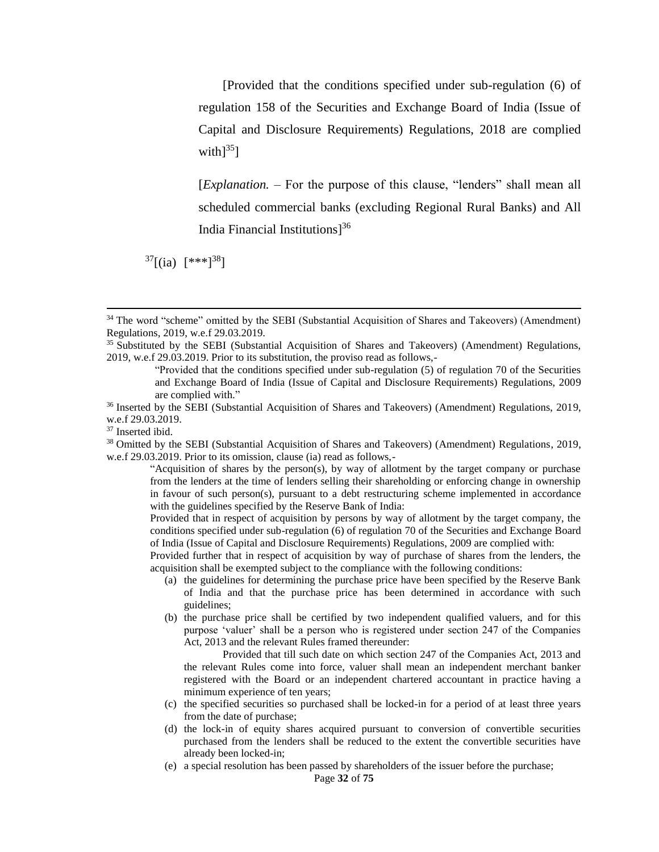[Provided that the conditions specified under sub-regulation (6) of regulation 158 of the Securities and Exchange Board of India (Issue of Capital and Disclosure Requirements) Regulations, 2018 are complied with $]^{35}]$ 

[*Explanation. –* For the purpose of this clause, "lenders" shall mean all scheduled commercial banks (excluding Regional Rural Banks) and All India Financial Institutions] 36

 $37$ [(ia) [\*\*\*]<sup>38</sup>]

l

<sup>38</sup> Omitted by the SEBI (Substantial Acquisition of Shares and Takeovers) (Amendment) Regulations, 2019, w.e.f 29.03.2019. Prior to its omission, clause (ia) read as follows,-

"Acquisition of shares by the person(s), by way of allotment by the target company or purchase from the lenders at the time of lenders selling their shareholding or enforcing change in ownership in favour of such person(s), pursuant to a debt restructuring scheme implemented in accordance with the guidelines specified by the Reserve Bank of India:

Provided that in respect of acquisition by persons by way of allotment by the target company, the conditions specified under sub-regulation (6) of regulation 70 of the Securities and Exchange Board of India (Issue of Capital and Disclosure Requirements) Regulations, 2009 are complied with:

Provided further that in respect of acquisition by way of purchase of shares from the lenders, the acquisition shall be exempted subject to the compliance with the following conditions:

- (a) the guidelines for determining the purchase price have been specified by the Reserve Bank of India and that the purchase price has been determined in accordance with such guidelines;
- (b) the purchase price shall be certified by two independent qualified valuers, and for this purpose 'valuer' shall be a person who is registered under section 247 of the Companies Act, 2013 and the relevant Rules framed thereunder:

Provided that till such date on which section 247 of the Companies Act, 2013 and the relevant Rules come into force, valuer shall mean an independent merchant banker registered with the Board or an independent chartered accountant in practice having a minimum experience of ten years;

- (c) the specified securities so purchased shall be locked-in for a period of at least three years from the date of purchase;
- (d) the lock-in of equity shares acquired pursuant to conversion of convertible securities purchased from the lenders shall be reduced to the extent the convertible securities have already been locked-in;
- (e) a special resolution has been passed by shareholders of the issuer before the purchase;

<sup>&</sup>lt;sup>34</sup> The word "scheme" omitted by the SEBI (Substantial Acquisition of Shares and Takeovers) (Amendment) Regulations, 2019, w.e.f 29.03.2019.

<sup>&</sup>lt;sup>35</sup> Substituted by the SEBI (Substantial Acquisition of Shares and Takeovers) (Amendment) Regulations, 2019, w.e.f 29.03.2019. Prior to its substitution, the proviso read as follows,-

<sup>&</sup>quot;Provided that the conditions specified under sub-regulation (5) of regulation 70 of the Securities and Exchange Board of India (Issue of Capital and Disclosure Requirements) Regulations, 2009 are complied with."

<sup>36</sup> Inserted by the SEBI (Substantial Acquisition of Shares and Takeovers) (Amendment) Regulations, 2019, w.e.f 29.03.2019.

<sup>37</sup> Inserted ibid.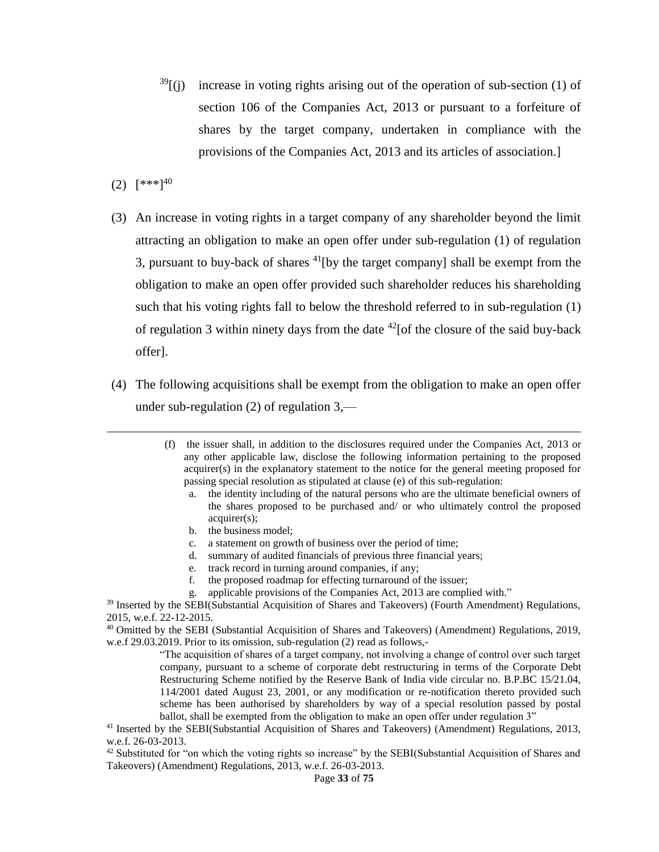- $39$ [(j) increase in voting rights arising out of the operation of sub-section (1) of section 106 of the Companies Act, 2013 or pursuant to a forfeiture of shares by the target company, undertaken in compliance with the provisions of the Companies Act, 2013 and its articles of association.]
- $(2)$   $[***]^{40}$

 $\overline{\phantom{a}}$ 

- (3) An increase in voting rights in a target company of any shareholder beyond the limit attracting an obligation to make an open offer under sub-regulation (1) of regulation 3, pursuant to buy-back of shares  $41$ [by the target company] shall be exempt from the obligation to make an open offer provided such shareholder reduces his shareholding such that his voting rights fall to below the threshold referred to in sub-regulation (1) of regulation 3 within ninety days from the date  $^{42}$  [of the closure of the said buy-back offer].
- (4) The following acquisitions shall be exempt from the obligation to make an open offer under sub-regulation (2) of regulation 3,—

(f) the issuer shall, in addition to the disclosures required under the Companies Act, 2013 or any other applicable law, disclose the following information pertaining to the proposed acquirer(s) in the explanatory statement to the notice for the general meeting proposed for passing special resolution as stipulated at clause (e) of this sub-regulation:

- a. the identity including of the natural persons who are the ultimate beneficial owners of the shares proposed to be purchased and/ or who ultimately control the proposed acquirer(s);
- b. the business model;
- c. a statement on growth of business over the period of time;
- d. summary of audited financials of previous three financial years;
- e. track record in turning around companies, if any;
- f. the proposed roadmap for effecting turnaround of the issuer;
- g. applicable provisions of the Companies Act, 2013 are complied with."

<sup>39</sup> Inserted by the SEBI(Substantial Acquisition of Shares and Takeovers) (Fourth Amendment) Regulations, 2015, w.e.f. 22-12-2015.

<sup>40</sup> Omitted by the SEBI (Substantial Acquisition of Shares and Takeovers) (Amendment) Regulations, 2019, w.e.f 29.03.2019. Prior to its omission, sub-regulation (2) read as follows,-

> "The acquisition of shares of a target company, not involving a change of control over such target company, pursuant to a scheme of corporate debt restructuring in terms of the Corporate Debt Restructuring Scheme notified by the Reserve Bank of India vide circular no. B.P.BC 15/21.04, 114/2001 dated August 23, 2001, or any modification or re-notification thereto provided such scheme has been authorised by shareholders by way of a special resolution passed by postal ballot, shall be exempted from the obligation to make an open offer under regulation 3"

<sup>41</sup> Inserted by the SEBI(Substantial Acquisition of Shares and Takeovers) (Amendment) Regulations, 2013, w.e.f. 26-03-2013.

<sup>42</sup> Substituted for "on which the voting rights so increase" by the SEBI(Substantial Acquisition of Shares and Takeovers) (Amendment) Regulations, 2013, w.e.f. 26-03-2013.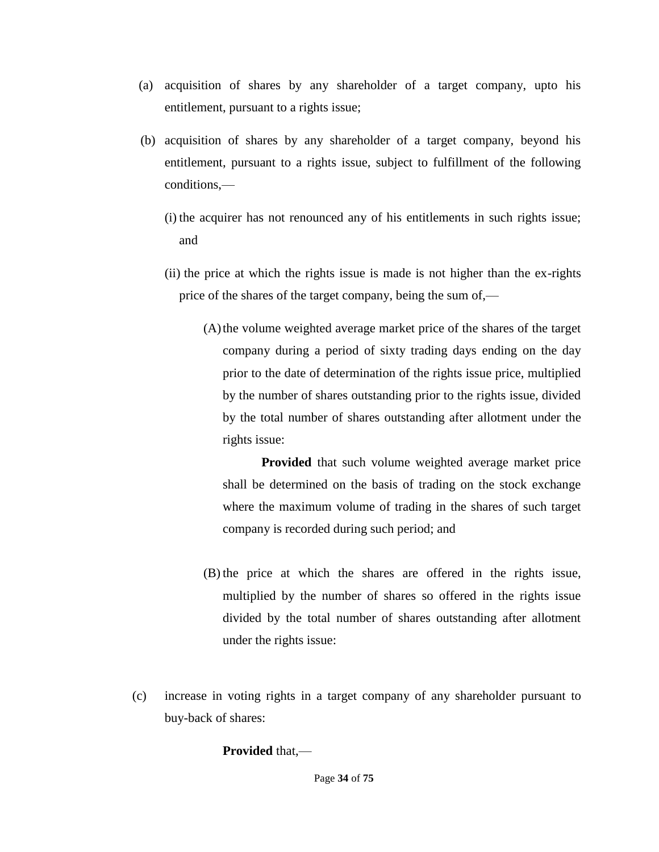- (a) acquisition of shares by any shareholder of a target company, upto his entitlement, pursuant to a rights issue;
- (b) acquisition of shares by any shareholder of a target company, beyond his entitlement, pursuant to a rights issue, subject to fulfillment of the following conditions,—
	- (i) the acquirer has not renounced any of his entitlements in such rights issue; and
	- (ii) the price at which the rights issue is made is not higher than the ex-rights price of the shares of the target company, being the sum of,—
		- (A)the volume weighted average market price of the shares of the target company during a period of sixty trading days ending on the day prior to the date of determination of the rights issue price, multiplied by the number of shares outstanding prior to the rights issue, divided by the total number of shares outstanding after allotment under the rights issue:

**Provided** that such volume weighted average market price shall be determined on the basis of trading on the stock exchange where the maximum volume of trading in the shares of such target company is recorded during such period; and

- (B) the price at which the shares are offered in the rights issue, multiplied by the number of shares so offered in the rights issue divided by the total number of shares outstanding after allotment under the rights issue:
- (c) increase in voting rights in a target company of any shareholder pursuant to buy-back of shares:

# **Provided** that,—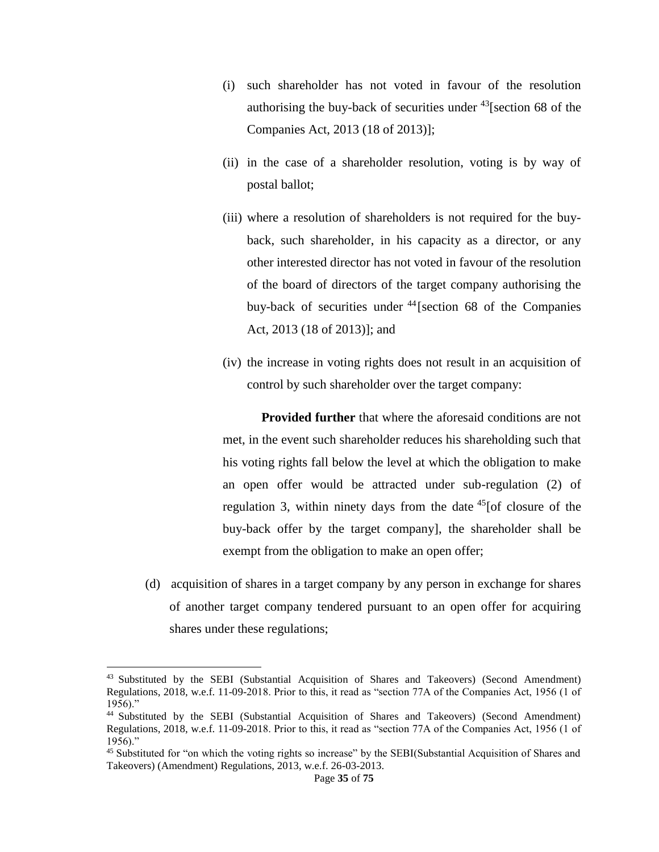- (i) such shareholder has not voted in favour of the resolution authorising the buy-back of securities under  $43$ [section 68 of the Companies Act, 2013 (18 of 2013)];
- (ii) in the case of a shareholder resolution, voting is by way of postal ballot;
- (iii) where a resolution of shareholders is not required for the buyback, such shareholder, in his capacity as a director, or any other interested director has not voted in favour of the resolution of the board of directors of the target company authorising the buy-back of securities under <sup>44</sup> [section 68 of the Companies Act, 2013 (18 of 2013)]; and
- (iv) the increase in voting rights does not result in an acquisition of control by such shareholder over the target company:

**Provided further** that where the aforesaid conditions are not met, in the event such shareholder reduces his shareholding such that his voting rights fall below the level at which the obligation to make an open offer would be attracted under sub-regulation (2) of regulation 3, within ninety days from the date  $45$  [of closure of the buy-back offer by the target company], the shareholder shall be exempt from the obligation to make an open offer;

(d) acquisition of shares in a target company by any person in exchange for shares of another target company tendered pursuant to an open offer for acquiring shares under these regulations;

<sup>&</sup>lt;sup>43</sup> Substituted by the SEBI (Substantial Acquisition of Shares and Takeovers) (Second Amendment) Regulations, 2018, w.e.f. 11-09-2018. Prior to this, it read as "section 77A of the Companies Act, 1956 (1 of 1956)."

<sup>44</sup> Substituted by the SEBI (Substantial Acquisition of Shares and Takeovers) (Second Amendment) Regulations, 2018, w.e.f. 11-09-2018. Prior to this, it read as "section 77A of the Companies Act, 1956 (1 of 1956)."

<sup>45</sup> Substituted for "on which the voting rights so increase" by the SEBI(Substantial Acquisition of Shares and Takeovers) (Amendment) Regulations, 2013, w.e.f. 26-03-2013.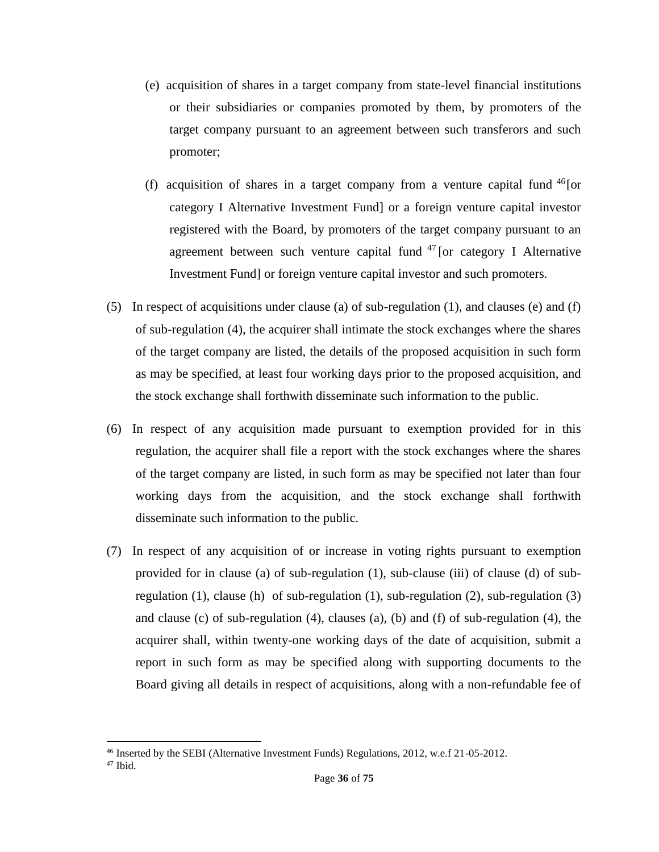- (e) acquisition of shares in a target company from state-level financial institutions or their subsidiaries or companies promoted by them, by promoters of the target company pursuant to an agreement between such transferors and such promoter;
- (f) acquisition of shares in a target company from a venture capital fund  $^{46}$  [or category I Alternative Investment Fund] or a foreign venture capital investor registered with the Board, by promoters of the target company pursuant to an agreement between such venture capital fund  $47$  [or category I Alternative Investment Fund] or foreign venture capital investor and such promoters.
- (5) In respect of acquisitions under clause (a) of sub-regulation (1), and clauses (e) and (f) of sub-regulation (4), the acquirer shall intimate the stock exchanges where the shares of the target company are listed, the details of the proposed acquisition in such form as may be specified, at least four working days prior to the proposed acquisition, and the stock exchange shall forthwith disseminate such information to the public.
- (6) In respect of any acquisition made pursuant to exemption provided for in this regulation, the acquirer shall file a report with the stock exchanges where the shares of the target company are listed, in such form as may be specified not later than four working days from the acquisition, and the stock exchange shall forthwith disseminate such information to the public.
- (7) In respect of any acquisition of or increase in voting rights pursuant to exemption provided for in clause (a) of sub-regulation (1), sub-clause (iii) of clause (d) of subregulation (1), clause (h) of sub-regulation (1), sub-regulation (2), sub-regulation (3) and clause (c) of sub-regulation (4), clauses (a), (b) and (f) of sub-regulation (4), the acquirer shall, within twenty-one working days of the date of acquisition, submit a report in such form as may be specified along with supporting documents to the Board giving all details in respect of acquisitions, along with a non-refundable fee of

<sup>&</sup>lt;sup>46</sup> Inserted by the SEBI (Alternative Investment Funds) Regulations, 2012, w.e.f 21-05-2012.

<sup>47</sup> Ibid.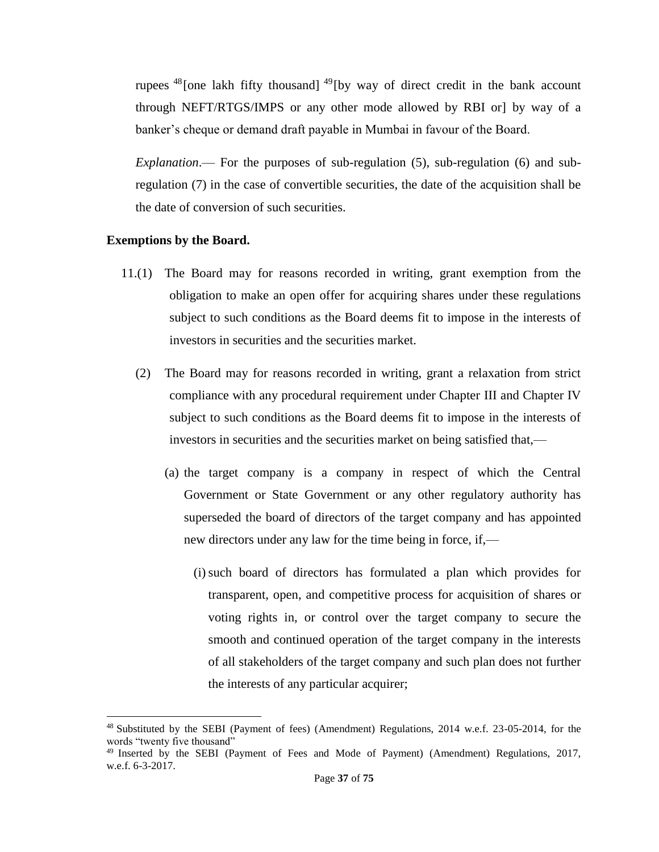rupees  $48$ [one lakh fifty thousand]  $49$ [by way of direct credit in the bank account through NEFT/RTGS/IMPS or any other mode allowed by RBI or] by way of a banker's cheque or demand draft payable in Mumbai in favour of the Board.

*Explanation*.— For the purposes of sub-regulation (5), sub-regulation (6) and subregulation (7) in the case of convertible securities, the date of the acquisition shall be the date of conversion of such securities.

#### **Exemptions by the Board.**

l

- 11.(1) The Board may for reasons recorded in writing, grant exemption from the obligation to make an open offer for acquiring shares under these regulations subject to such conditions as the Board deems fit to impose in the interests of investors in securities and the securities market.
	- (2) The Board may for reasons recorded in writing, grant a relaxation from strict compliance with any procedural requirement under Chapter III and Chapter IV subject to such conditions as the Board deems fit to impose in the interests of investors in securities and the securities market on being satisfied that,—
		- (a) the target company is a company in respect of which the Central Government or State Government or any other regulatory authority has superseded the board of directors of the target company and has appointed new directors under any law for the time being in force, if,—
			- (i)such board of directors has formulated a plan which provides for transparent, open, and competitive process for acquisition of shares or voting rights in, or control over the target company to secure the smooth and continued operation of the target company in the interests of all stakeholders of the target company and such plan does not further the interests of any particular acquirer;

<sup>48</sup> Substituted by the SEBI (Payment of fees) (Amendment) Regulations, 2014 w.e.f. 23-05-2014, for the words "twenty five thousand"

<sup>49</sup> Inserted by the SEBI (Payment of Fees and Mode of Payment) (Amendment) Regulations, 2017, w.e.f. 6-3-2017.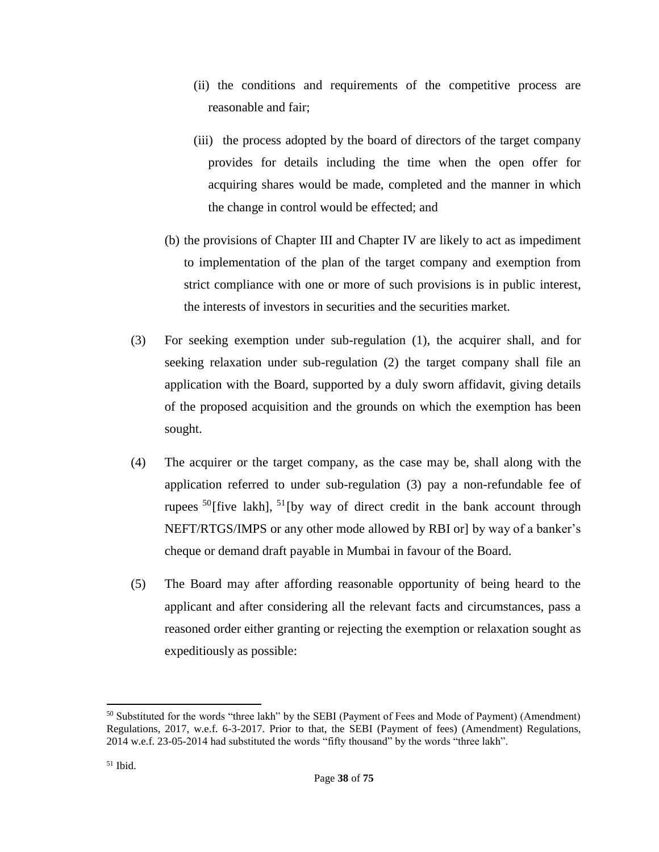- (ii) the conditions and requirements of the competitive process are reasonable and fair;
- (iii) the process adopted by the board of directors of the target company provides for details including the time when the open offer for acquiring shares would be made, completed and the manner in which the change in control would be effected; and
- (b) the provisions of Chapter III and Chapter IV are likely to act as impediment to implementation of the plan of the target company and exemption from strict compliance with one or more of such provisions is in public interest, the interests of investors in securities and the securities market.
- (3) For seeking exemption under sub-regulation (1), the acquirer shall, and for seeking relaxation under sub-regulation (2) the target company shall file an application with the Board, supported by a duly sworn affidavit, giving details of the proposed acquisition and the grounds on which the exemption has been sought.
- (4) The acquirer or the target company, as the case may be, shall along with the application referred to under sub-regulation (3) pay a non-refundable fee of rupees  $50$ [five lakh],  $51$ [by way of direct credit in the bank account through NEFT/RTGS/IMPS or any other mode allowed by RBI or] by way of a banker's cheque or demand draft payable in Mumbai in favour of the Board.
- (5) The Board may after affording reasonable opportunity of being heard to the applicant and after considering all the relevant facts and circumstances, pass a reasoned order either granting or rejecting the exemption or relaxation sought as expeditiously as possible:

 $\overline{\phantom{a}}$ <sup>50</sup> Substituted for the words "three lakh" by the SEBI (Payment of Fees and Mode of Payment) (Amendment) Regulations, 2017, w.e.f. 6-3-2017. Prior to that, the SEBI (Payment of fees) (Amendment) Regulations, 2014 w.e.f. 23-05-2014 had substituted the words "fifty thousand" by the words "three lakh".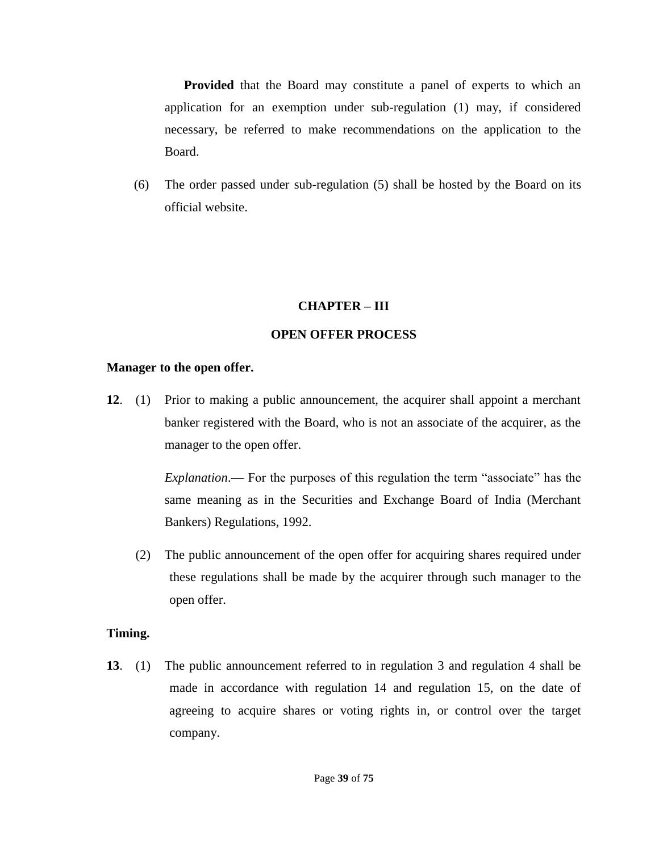**Provided** that the Board may constitute a panel of experts to which an application for an exemption under sub-regulation (1) may, if considered necessary, be referred to make recommendations on the application to the Board.

(6) The order passed under sub-regulation (5) shall be hosted by the Board on its official website.

### **CHAPTER – III**

### **OPEN OFFER PROCESS**

### **Manager to the open offer.**

**12**. (1) Prior to making a public announcement, the acquirer shall appoint a merchant banker registered with the Board, who is not an associate of the acquirer, as the manager to the open offer.

> *Explanation*.— For the purposes of this regulation the term "associate" has the same meaning as in the Securities and Exchange Board of India (Merchant Bankers) Regulations, 1992.

(2) The public announcement of the open offer for acquiring shares required under these regulations shall be made by the acquirer through such manager to the open offer.

### **Timing.**

**13**. (1) The public announcement referred to in regulation 3 and regulation 4 shall be made in accordance with regulation 14 and regulation 15, on the date of agreeing to acquire shares or voting rights in, or control over the target company.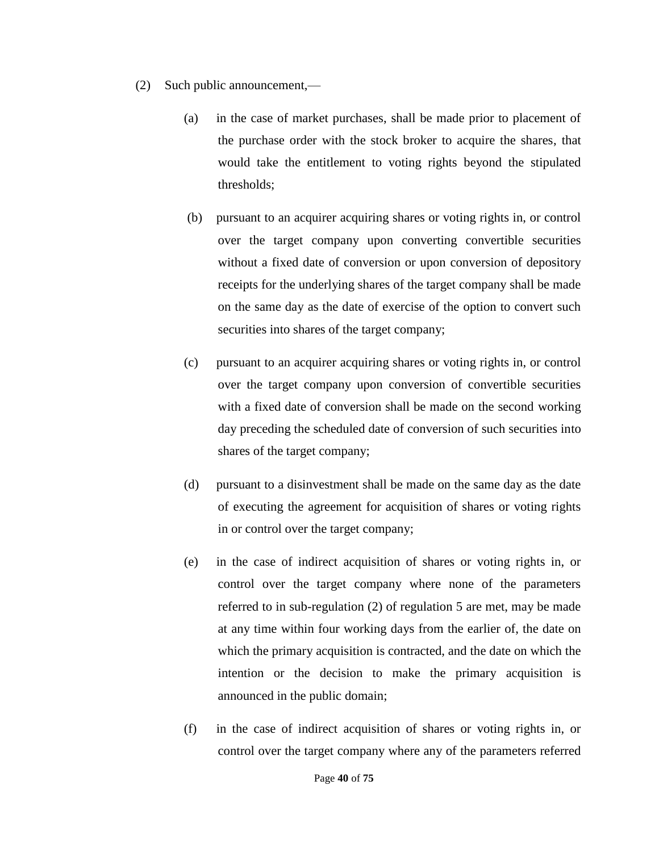- (2) Such public announcement,—
	- (a) in the case of market purchases, shall be made prior to placement of the purchase order with the stock broker to acquire the shares, that would take the entitlement to voting rights beyond the stipulated thresholds;
	- (b) pursuant to an acquirer acquiring shares or voting rights in, or control over the target company upon converting convertible securities without a fixed date of conversion or upon conversion of depository receipts for the underlying shares of the target company shall be made on the same day as the date of exercise of the option to convert such securities into shares of the target company;
	- (c) pursuant to an acquirer acquiring shares or voting rights in, or control over the target company upon conversion of convertible securities with a fixed date of conversion shall be made on the second working day preceding the scheduled date of conversion of such securities into shares of the target company;
	- (d) pursuant to a disinvestment shall be made on the same day as the date of executing the agreement for acquisition of shares or voting rights in or control over the target company;
	- (e) in the case of indirect acquisition of shares or voting rights in, or control over the target company where none of the parameters referred to in sub-regulation (2) of regulation 5 are met, may be made at any time within four working days from the earlier of, the date on which the primary acquisition is contracted, and the date on which the intention or the decision to make the primary acquisition is announced in the public domain;
	- (f) in the case of indirect acquisition of shares or voting rights in, or control over the target company where any of the parameters referred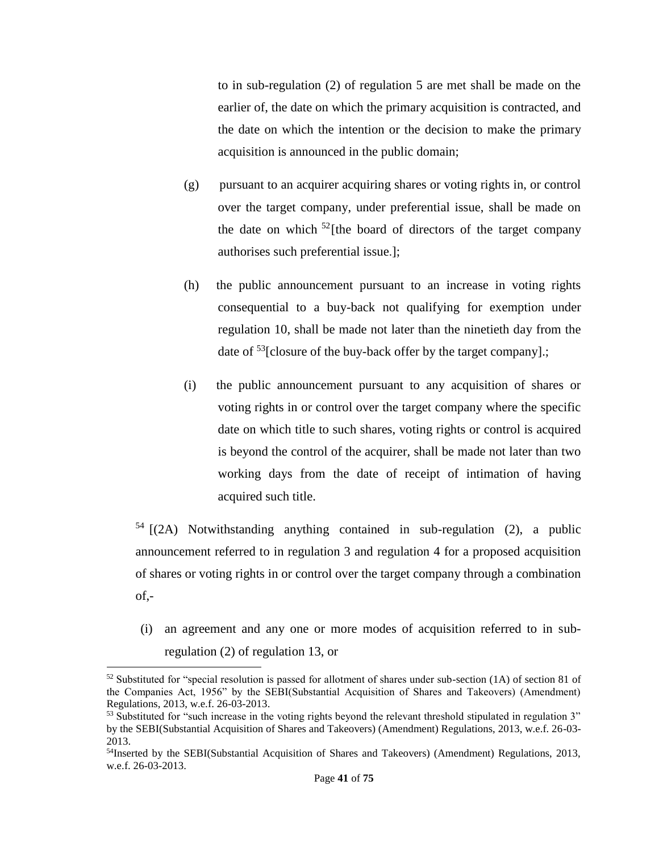to in sub-regulation (2) of regulation 5 are met shall be made on the earlier of, the date on which the primary acquisition is contracted, and the date on which the intention or the decision to make the primary acquisition is announced in the public domain;

- (g) pursuant to an acquirer acquiring shares or voting rights in, or control over the target company, under preferential issue, shall be made on the date on which  $52$ [the board of directors of the target company authorises such preferential issue.];
- (h) the public announcement pursuant to an increase in voting rights consequential to a buy-back not qualifying for exemption under regulation 10, shall be made not later than the ninetieth day from the date of  $53$ [closure of the buy-back offer by the target company].;
- (i) the public announcement pursuant to any acquisition of shares or voting rights in or control over the target company where the specific date on which title to such shares, voting rights or control is acquired is beyond the control of the acquirer, shall be made not later than two working days from the date of receipt of intimation of having acquired such title.

 $54$   $[(2)$  Notwithstanding anything contained in sub-regulation (2), a public announcement referred to in regulation 3 and regulation 4 for a proposed acquisition of shares or voting rights in or control over the target company through a combination of,-

(i) an agreement and any one or more modes of acquisition referred to in subregulation (2) of regulation 13, or

 $52$  Substituted for "special resolution is passed for allotment of shares under sub-section (1A) of section 81 of the Companies Act, 1956" by the SEBI(Substantial Acquisition of Shares and Takeovers) (Amendment) Regulations, 2013, w.e.f. 26-03-2013.

<sup>&</sup>lt;sup>53</sup> Substituted for "such increase in the voting rights beyond the relevant threshold stipulated in regulation 3" by the SEBI(Substantial Acquisition of Shares and Takeovers) (Amendment) Regulations, 2013, w.e.f. 26-03- 2013.

<sup>54</sup>Inserted by the SEBI(Substantial Acquisition of Shares and Takeovers) (Amendment) Regulations, 2013, w.e.f. 26-03-2013.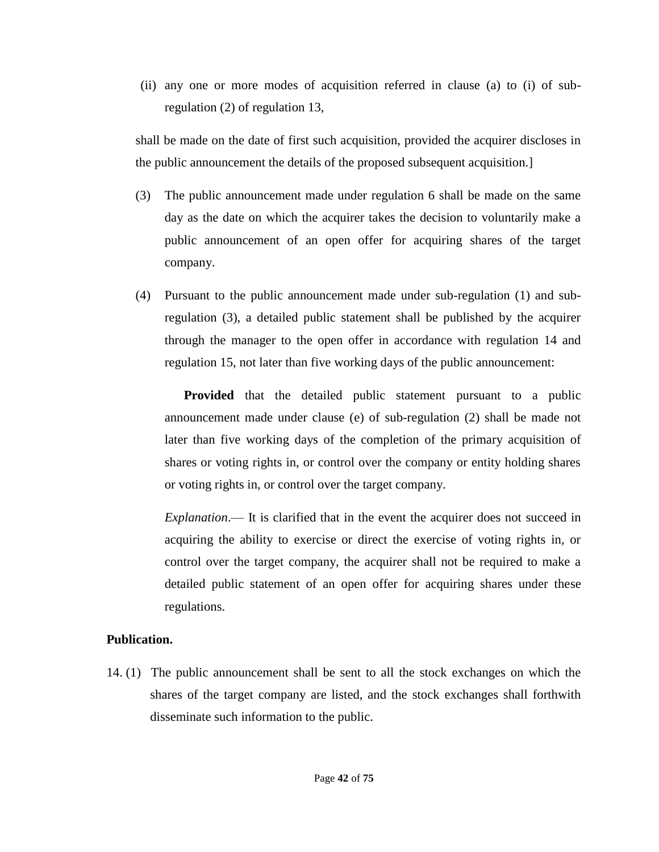(ii) any one or more modes of acquisition referred in clause (a) to (i) of subregulation (2) of regulation 13,

shall be made on the date of first such acquisition, provided the acquirer discloses in the public announcement the details of the proposed subsequent acquisition.]

- (3) The public announcement made under regulation 6 shall be made on the same day as the date on which the acquirer takes the decision to voluntarily make a public announcement of an open offer for acquiring shares of the target company.
- (4) Pursuant to the public announcement made under sub-regulation (1) and subregulation (3), a detailed public statement shall be published by the acquirer through the manager to the open offer in accordance with regulation 14 and regulation 15, not later than five working days of the public announcement:

**Provided** that the detailed public statement pursuant to a public announcement made under clause (e) of sub-regulation (2) shall be made not later than five working days of the completion of the primary acquisition of shares or voting rights in, or control over the company or entity holding shares or voting rights in, or control over the target company.

*Explanation*.— It is clarified that in the event the acquirer does not succeed in acquiring the ability to exercise or direct the exercise of voting rights in, or control over the target company, the acquirer shall not be required to make a detailed public statement of an open offer for acquiring shares under these regulations.

### **Publication.**

14. (1) The public announcement shall be sent to all the stock exchanges on which the shares of the target company are listed, and the stock exchanges shall forthwith disseminate such information to the public.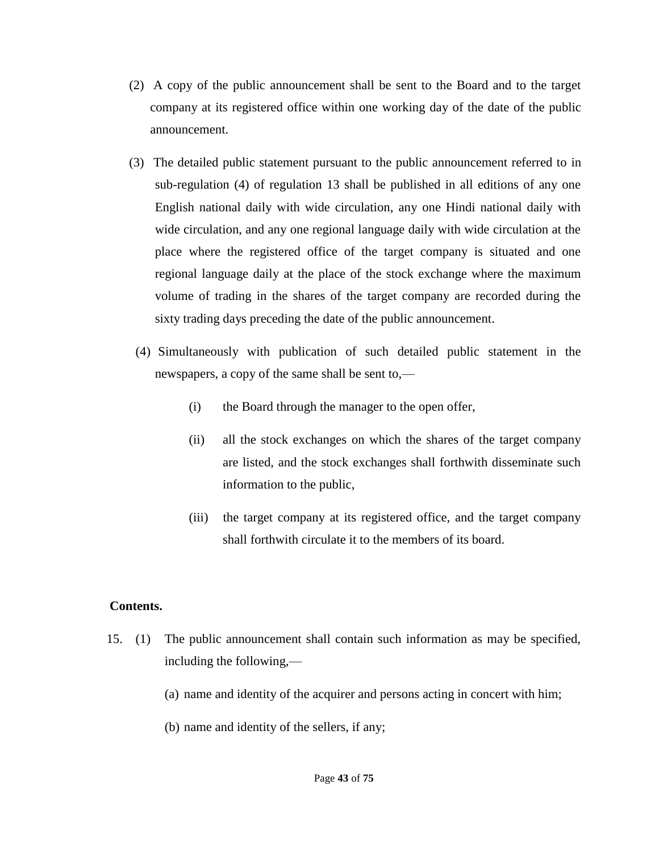- (2) A copy of the public announcement shall be sent to the Board and to the target company at its registered office within one working day of the date of the public announcement.
- (3) The detailed public statement pursuant to the public announcement referred to in sub-regulation (4) of regulation 13 shall be published in all editions of any one English national daily with wide circulation, any one Hindi national daily with wide circulation, and any one regional language daily with wide circulation at the place where the registered office of the target company is situated and one regional language daily at the place of the stock exchange where the maximum volume of trading in the shares of the target company are recorded during the sixty trading days preceding the date of the public announcement.
- (4) Simultaneously with publication of such detailed public statement in the newspapers, a copy of the same shall be sent to,—
	- (i) the Board through the manager to the open offer,
	- (ii) all the stock exchanges on which the shares of the target company are listed, and the stock exchanges shall forthwith disseminate such information to the public,
	- (iii) the target company at its registered office, and the target company shall forthwith circulate it to the members of its board.

### **Contents.**

- 15. (1) The public announcement shall contain such information as may be specified, including the following,—
	- (a) name and identity of the acquirer and persons acting in concert with him;
	- (b) name and identity of the sellers, if any;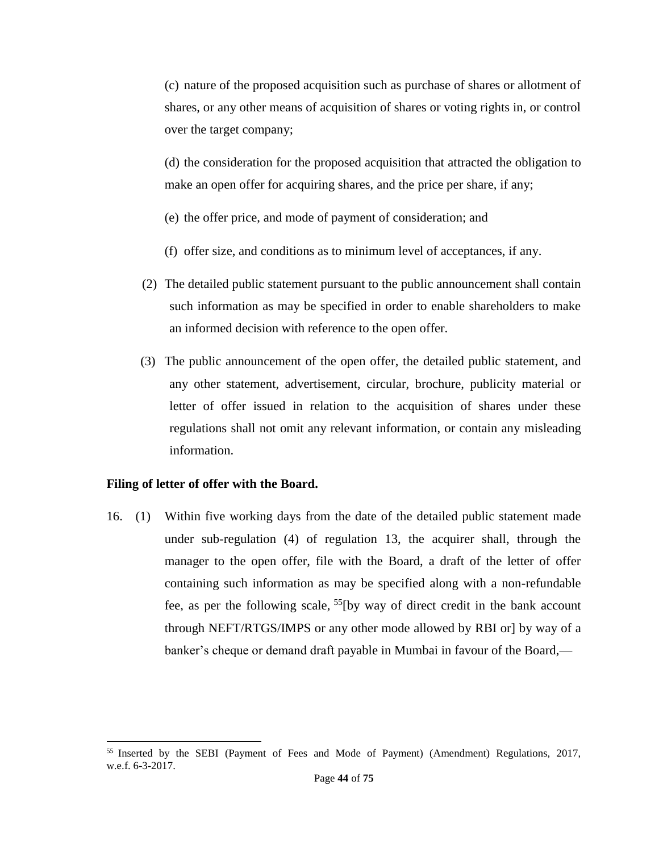(c) nature of the proposed acquisition such as purchase of shares or allotment of shares, or any other means of acquisition of shares or voting rights in, or control over the target company;

(d) the consideration for the proposed acquisition that attracted the obligation to make an open offer for acquiring shares, and the price per share, if any;

- (e) the offer price, and mode of payment of consideration; and
- (f) offer size, and conditions as to minimum level of acceptances, if any.
- (2) The detailed public statement pursuant to the public announcement shall contain such information as may be specified in order to enable shareholders to make an informed decision with reference to the open offer.
- (3) The public announcement of the open offer, the detailed public statement, and any other statement, advertisement, circular, brochure, publicity material or letter of offer issued in relation to the acquisition of shares under these regulations shall not omit any relevant information, or contain any misleading information.

#### **Filing of letter of offer with the Board.**

 $\overline{\phantom{a}}$ 

16. (1) Within five working days from the date of the detailed public statement made under sub-regulation (4) of regulation 13, the acquirer shall, through the manager to the open offer, file with the Board, a draft of the letter of offer containing such information as may be specified along with a non-refundable fee, as per the following scale,  $^{55}$ [by way of direct credit in the bank account through NEFT/RTGS/IMPS or any other mode allowed by RBI or] by way of a banker's cheque or demand draft payable in Mumbai in favour of the Board,—

<sup>&</sup>lt;sup>55</sup> Inserted by the SEBI (Payment of Fees and Mode of Payment) (Amendment) Regulations, 2017, w.e.f. 6-3-2017.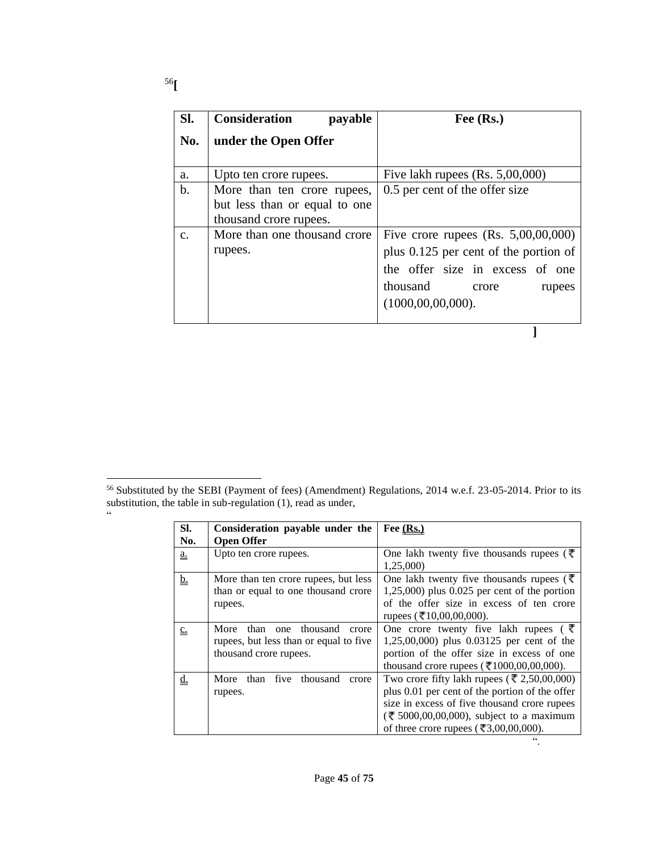| SI.           | <b>Consideration</b><br>payable                                                        | Fee $(Rs.)$                                                                                                                                                              |
|---------------|----------------------------------------------------------------------------------------|--------------------------------------------------------------------------------------------------------------------------------------------------------------------------|
| No.           | under the Open Offer                                                                   |                                                                                                                                                                          |
| a.            | Upto ten crore rupees.                                                                 | Five lakh rupees $(Rs. 5,00,000)$                                                                                                                                        |
| $\mathbf b$ . | More than ten crore rupees,<br>but less than or equal to one<br>thousand crore rupees. | 0.5 per cent of the offer size                                                                                                                                           |
| $C_{\bullet}$ | More than one thousand crore<br>rupees.                                                | Five crore rupees $(Rs. 5,00,00,000)$<br>plus 0.125 per cent of the portion of<br>the offer size in excess of one<br>thousand<br>crore<br>rupees<br>(1000, 00, 00, 000). |
|               |                                                                                        |                                                                                                                                                                          |

 $\overline{\phantom{a}}$  $56$  Substituted by the SEBI (Payment of fees) (Amendment) Regulations, 2014 w.e.f. 23-05-2014. Prior to its substitution, the table in sub-regulation (1), read as under,  $\epsilon$ 

| SI.                           | Consideration payable under the                                                                        | Fee $(Rs.)$                                                                                                                                                                                                                                                       |
|-------------------------------|--------------------------------------------------------------------------------------------------------|-------------------------------------------------------------------------------------------------------------------------------------------------------------------------------------------------------------------------------------------------------------------|
| No.                           | <b>Open Offer</b>                                                                                      |                                                                                                                                                                                                                                                                   |
| <u>a.</u>                     | Upto ten crore rupees.                                                                                 | One lakh twenty five thousands rupees ( $\bar{\tau}$ )<br>1,25,000)                                                                                                                                                                                               |
| $\underline{\underline{b}}$ . | More than ten crore rupees, but less<br>than or equal to one thousand crore<br>rupees.                 | One lakh twenty five thousands rupees ( $\bar{\tau}$ )<br>$1,25,000$ ) plus $0.025$ per cent of the portion<br>of the offer size in excess of ten crore<br>rupees ( $\bar{z}$ 10,00,00,000).                                                                      |
| $\underline{\underline{c}}$ . | than one thousand<br>More<br>crore<br>rupees, but less than or equal to five<br>thousand crore rupees. | One crore twenty five lakh rupees ( $\bar{\tau}$ )<br>$1,25,00,000$ plus $0.03125$ per cent of the<br>portion of the offer size in excess of one<br>thousand crore rupees (₹1000,00,00,000).                                                                      |
| d.                            | More than five thousand<br>crore<br>rupees.                                                            | Two crore fifty lakh rupees ( $\overline{\xi}$ 2,50,00,000)<br>plus 0.01 per cent of the portion of the offer<br>size in excess of five thousand crore rupees<br>$(\bar{\tau} 5000, 00, 00, 000)$ , subject to a maximum<br>of three crore rupees (₹3,00,00,000). |
|                               |                                                                                                        |                                                                                                                                                                                                                                                                   |

56**[**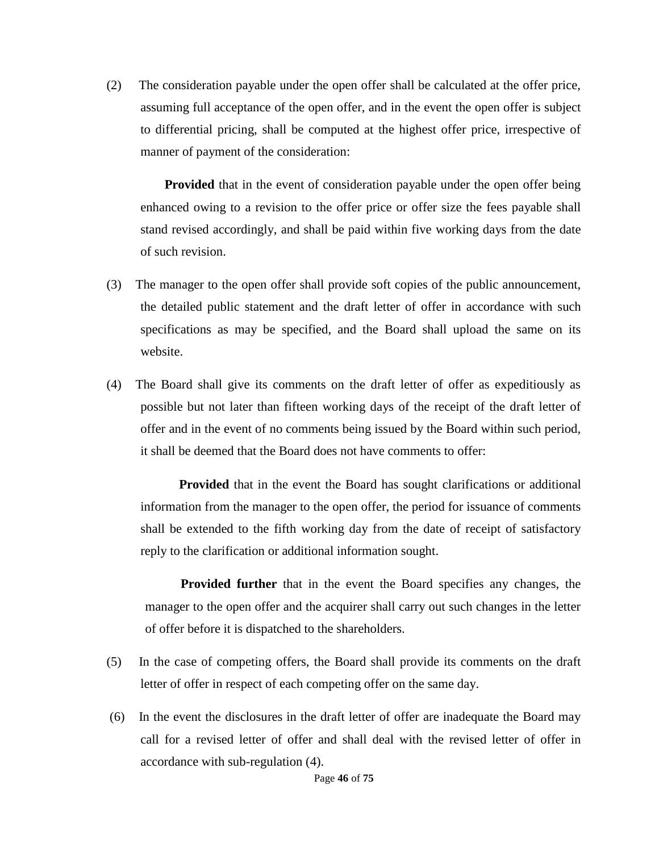(2) The consideration payable under the open offer shall be calculated at the offer price, assuming full acceptance of the open offer, and in the event the open offer is subject to differential pricing, shall be computed at the highest offer price, irrespective of manner of payment of the consideration:

**Provided** that in the event of consideration payable under the open offer being enhanced owing to a revision to the offer price or offer size the fees payable shall stand revised accordingly, and shall be paid within five working days from the date of such revision.

- (3) The manager to the open offer shall provide soft copies of the public announcement, the detailed public statement and the draft letter of offer in accordance with such specifications as may be specified, and the Board shall upload the same on its website.
- (4) The Board shall give its comments on the draft letter of offer as expeditiously as possible but not later than fifteen working days of the receipt of the draft letter of offer and in the event of no comments being issued by the Board within such period, it shall be deemed that the Board does not have comments to offer:

**Provided** that in the event the Board has sought clarifications or additional information from the manager to the open offer, the period for issuance of comments shall be extended to the fifth working day from the date of receipt of satisfactory reply to the clarification or additional information sought.

 **Provided further** that in the event the Board specifies any changes, the manager to the open offer and the acquirer shall carry out such changes in the letter of offer before it is dispatched to the shareholders.

- (5) In the case of competing offers, the Board shall provide its comments on the draft letter of offer in respect of each competing offer on the same day.
- (6) In the event the disclosures in the draft letter of offer are inadequate the Board may call for a revised letter of offer and shall deal with the revised letter of offer in accordance with sub-regulation (4).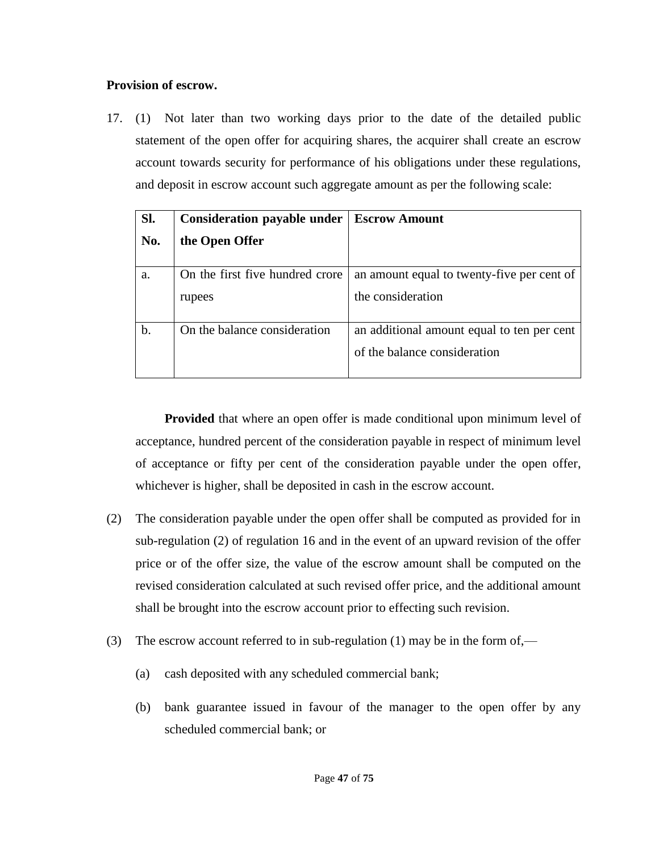## **Provision of escrow.**

17. (1) Not later than two working days prior to the date of the detailed public statement of the open offer for acquiring shares, the acquirer shall create an escrow account towards security for performance of his obligations under these regulations, and deposit in escrow account such aggregate amount as per the following scale:

| Sl. | <b>Consideration payable under</b> | <b>Escrow Amount</b>                                                       |
|-----|------------------------------------|----------------------------------------------------------------------------|
| No. | the Open Offer                     |                                                                            |
|     |                                    |                                                                            |
| a.  | On the first five hundred crore    | an amount equal to twenty-five per cent of                                 |
|     | rupees                             | the consideration                                                          |
| b.  | On the balance consideration       | an additional amount equal to ten per cent<br>of the balance consideration |

**Provided** that where an open offer is made conditional upon minimum level of acceptance, hundred percent of the consideration payable in respect of minimum level of acceptance or fifty per cent of the consideration payable under the open offer, whichever is higher, shall be deposited in cash in the escrow account.

- (2) The consideration payable under the open offer shall be computed as provided for in sub-regulation (2) of regulation 16 and in the event of an upward revision of the offer price or of the offer size, the value of the escrow amount shall be computed on the revised consideration calculated at such revised offer price, and the additional amount shall be brought into the escrow account prior to effecting such revision.
- (3) The escrow account referred to in sub-regulation (1) may be in the form of,—
	- (a) cash deposited with any scheduled commercial bank;
	- (b) bank guarantee issued in favour of the manager to the open offer by any scheduled commercial bank; or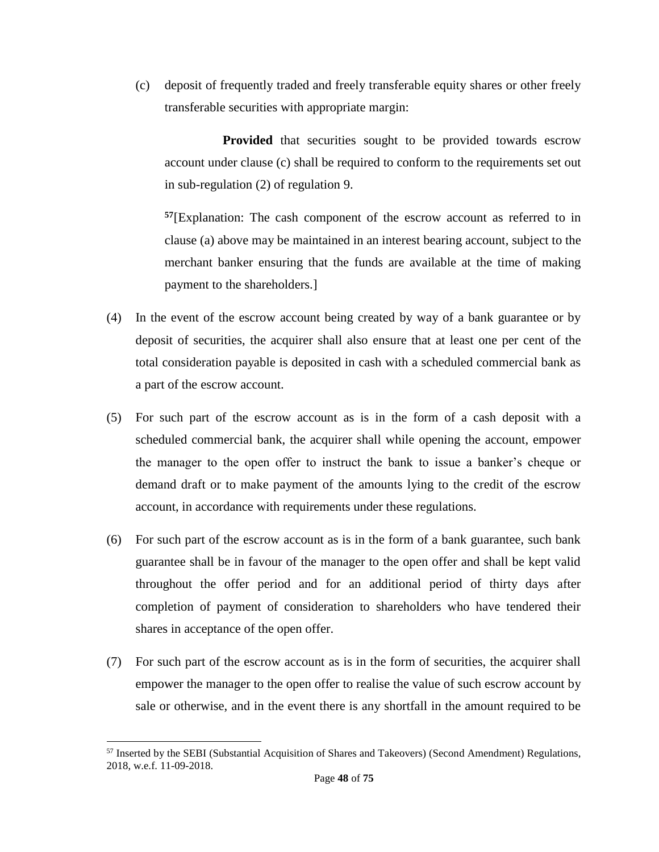(c) deposit of frequently traded and freely transferable equity shares or other freely transferable securities with appropriate margin:

**Provided** that securities sought to be provided towards escrow account under clause (c) shall be required to conform to the requirements set out in sub-regulation (2) of regulation 9.

**<sup>57</sup>**[Explanation: The cash component of the escrow account as referred to in clause (a) above may be maintained in an interest bearing account, subject to the merchant banker ensuring that the funds are available at the time of making payment to the shareholders.]

- (4) In the event of the escrow account being created by way of a bank guarantee or by deposit of securities, the acquirer shall also ensure that at least one per cent of the total consideration payable is deposited in cash with a scheduled commercial bank as a part of the escrow account.
- (5) For such part of the escrow account as is in the form of a cash deposit with a scheduled commercial bank, the acquirer shall while opening the account, empower the manager to the open offer to instruct the bank to issue a banker's cheque or demand draft or to make payment of the amounts lying to the credit of the escrow account, in accordance with requirements under these regulations.
- (6) For such part of the escrow account as is in the form of a bank guarantee, such bank guarantee shall be in favour of the manager to the open offer and shall be kept valid throughout the offer period and for an additional period of thirty days after completion of payment of consideration to shareholders who have tendered their shares in acceptance of the open offer.
- (7) For such part of the escrow account as is in the form of securities, the acquirer shall empower the manager to the open offer to realise the value of such escrow account by sale or otherwise, and in the event there is any shortfall in the amount required to be

<sup>57</sup> Inserted by the SEBI (Substantial Acquisition of Shares and Takeovers) (Second Amendment) Regulations, 2018, w.e.f. 11-09-2018.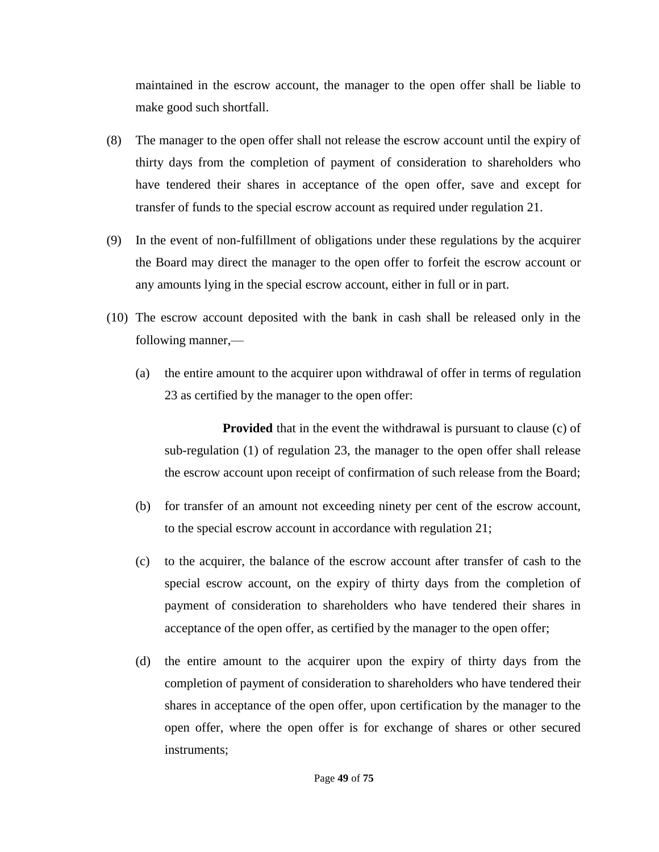maintained in the escrow account, the manager to the open offer shall be liable to make good such shortfall.

- (8) The manager to the open offer shall not release the escrow account until the expiry of thirty days from the completion of payment of consideration to shareholders who have tendered their shares in acceptance of the open offer, save and except for transfer of funds to the special escrow account as required under regulation 21.
- (9) In the event of non-fulfillment of obligations under these regulations by the acquirer the Board may direct the manager to the open offer to forfeit the escrow account or any amounts lying in the special escrow account, either in full or in part.
- (10) The escrow account deposited with the bank in cash shall be released only in the following manner,—
	- (a) the entire amount to the acquirer upon withdrawal of offer in terms of regulation 23 as certified by the manager to the open offer:

**Provided** that in the event the withdrawal is pursuant to clause (c) of sub-regulation (1) of regulation 23, the manager to the open offer shall release the escrow account upon receipt of confirmation of such release from the Board;

- (b) for transfer of an amount not exceeding ninety per cent of the escrow account, to the special escrow account in accordance with regulation 21;
- (c) to the acquirer, the balance of the escrow account after transfer of cash to the special escrow account, on the expiry of thirty days from the completion of payment of consideration to shareholders who have tendered their shares in acceptance of the open offer, as certified by the manager to the open offer;
- (d) the entire amount to the acquirer upon the expiry of thirty days from the completion of payment of consideration to shareholders who have tendered their shares in acceptance of the open offer, upon certification by the manager to the open offer, where the open offer is for exchange of shares or other secured instruments;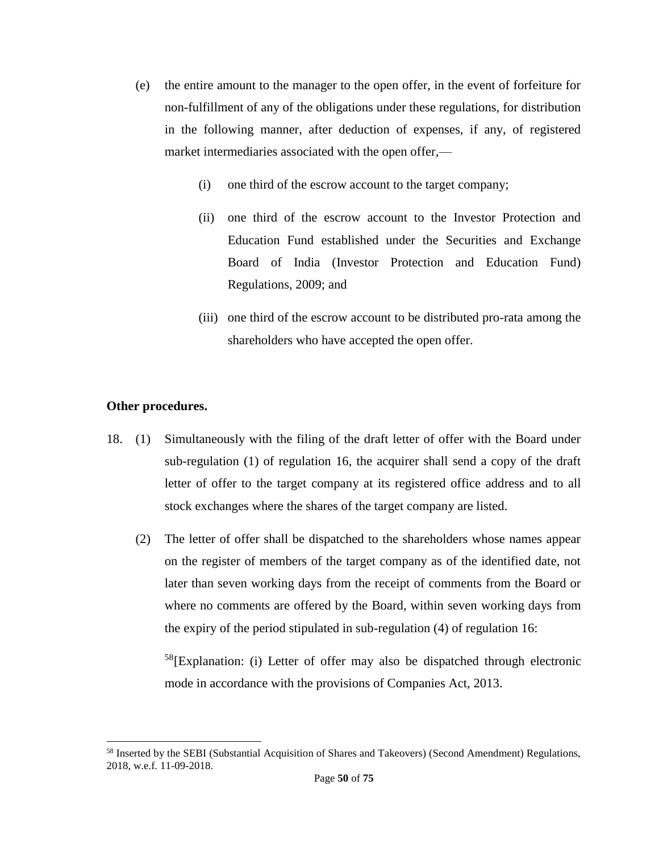- (e) the entire amount to the manager to the open offer, in the event of forfeiture for non-fulfillment of any of the obligations under these regulations, for distribution in the following manner, after deduction of expenses, if any, of registered market intermediaries associated with the open offer,—
	- (i) one third of the escrow account to the target company;
	- (ii) one third of the escrow account to the Investor Protection and Education Fund established under the Securities and Exchange Board of India (Investor Protection and Education Fund) Regulations, 2009; and
	- (iii) one third of the escrow account to be distributed pro-rata among the shareholders who have accepted the open offer.

## **Other procedures.**

 $\overline{\phantom{a}}$ 

- 18. (1) Simultaneously with the filing of the draft letter of offer with the Board under sub-regulation (1) of regulation 16, the acquirer shall send a copy of the draft letter of offer to the target company at its registered office address and to all stock exchanges where the shares of the target company are listed.
	- (2) The letter of offer shall be dispatched to the shareholders whose names appear on the register of members of the target company as of the identified date, not later than seven working days from the receipt of comments from the Board or where no comments are offered by the Board, within seven working days from the expiry of the period stipulated in sub-regulation (4) of regulation 16:

 $58$ [Explanation: (i) Letter of offer may also be dispatched through electronic mode in accordance with the provisions of Companies Act, 2013.

<sup>&</sup>lt;sup>58</sup> Inserted by the SEBI (Substantial Acquisition of Shares and Takeovers) (Second Amendment) Regulations, 2018, w.e.f. 11-09-2018.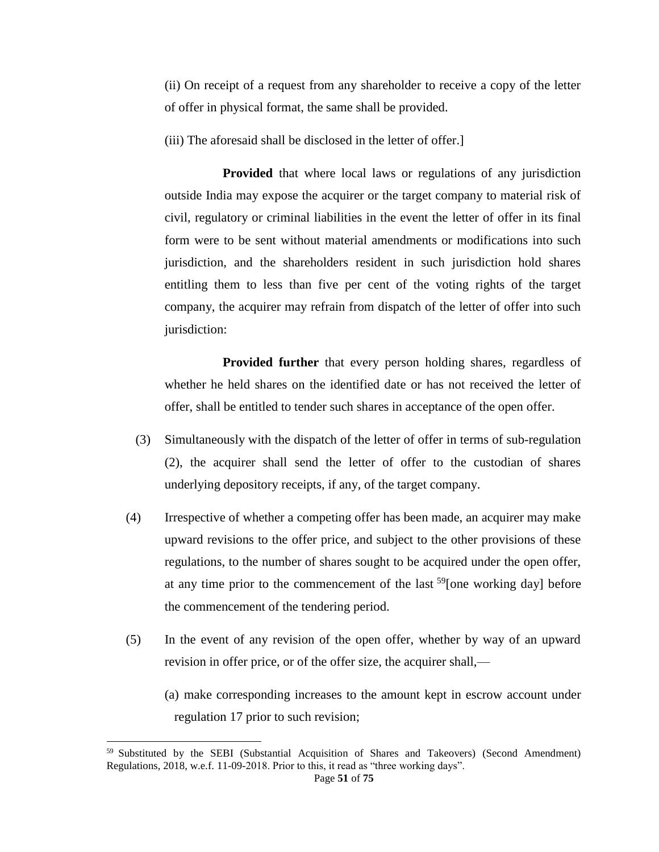(ii) On receipt of a request from any shareholder to receive a copy of the letter of offer in physical format, the same shall be provided.

(iii) The aforesaid shall be disclosed in the letter of offer.]

**Provided** that where local laws or regulations of any jurisdiction outside India may expose the acquirer or the target company to material risk of civil, regulatory or criminal liabilities in the event the letter of offer in its final form were to be sent without material amendments or modifications into such jurisdiction, and the shareholders resident in such jurisdiction hold shares entitling them to less than five per cent of the voting rights of the target company, the acquirer may refrain from dispatch of the letter of offer into such jurisdiction:

**Provided further** that every person holding shares, regardless of whether he held shares on the identified date or has not received the letter of offer, shall be entitled to tender such shares in acceptance of the open offer.

- (3) Simultaneously with the dispatch of the letter of offer in terms of sub-regulation (2), the acquirer shall send the letter of offer to the custodian of shares underlying depository receipts, if any, of the target company.
- (4) Irrespective of whether a competing offer has been made, an acquirer may make upward revisions to the offer price, and subject to the other provisions of these regulations, to the number of shares sought to be acquired under the open offer, at any time prior to the commencement of the last  $59$ [one working day] before the commencement of the tendering period.
- (5) In the event of any revision of the open offer, whether by way of an upward revision in offer price, or of the offer size, the acquirer shall,—

(a) make corresponding increases to the amount kept in escrow account under regulation 17 prior to such revision;

<sup>59</sup> Substituted by the SEBI (Substantial Acquisition of Shares and Takeovers) (Second Amendment) Regulations, 2018, w.e.f. 11-09-2018. Prior to this, it read as "three working days".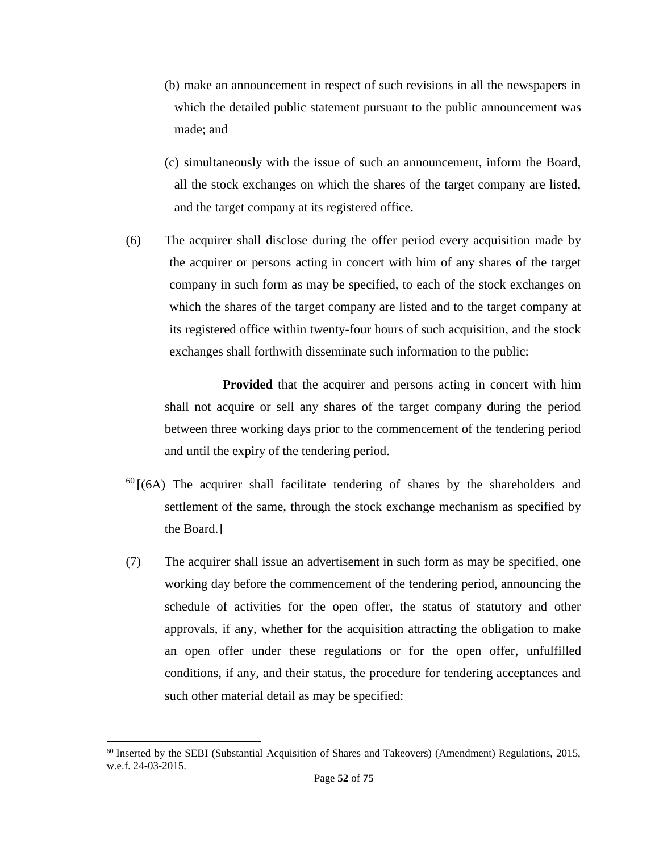- (b) make an announcement in respect of such revisions in all the newspapers in which the detailed public statement pursuant to the public announcement was made; and
- (c) simultaneously with the issue of such an announcement, inform the Board, all the stock exchanges on which the shares of the target company are listed, and the target company at its registered office.
- (6) The acquirer shall disclose during the offer period every acquisition made by the acquirer or persons acting in concert with him of any shares of the target company in such form as may be specified, to each of the stock exchanges on which the shares of the target company are listed and to the target company at its registered office within twenty-four hours of such acquisition, and the stock exchanges shall forthwith disseminate such information to the public:

**Provided** that the acquirer and persons acting in concert with him shall not acquire or sell any shares of the target company during the period between three working days prior to the commencement of the tendering period and until the expiry of the tendering period.

- $60$  [(6A) The acquirer shall facilitate tendering of shares by the shareholders and settlement of the same, through the stock exchange mechanism as specified by the Board.]
- (7) The acquirer shall issue an advertisement in such form as may be specified, one working day before the commencement of the tendering period, announcing the schedule of activities for the open offer, the status of statutory and other approvals, if any, whether for the acquisition attracting the obligation to make an open offer under these regulations or for the open offer, unfulfilled conditions, if any, and their status, the procedure for tendering acceptances and such other material detail as may be specified:

 $60$  Inserted by the SEBI (Substantial Acquisition of Shares and Takeovers) (Amendment) Regulations, 2015, w.e.f. 24-03-2015.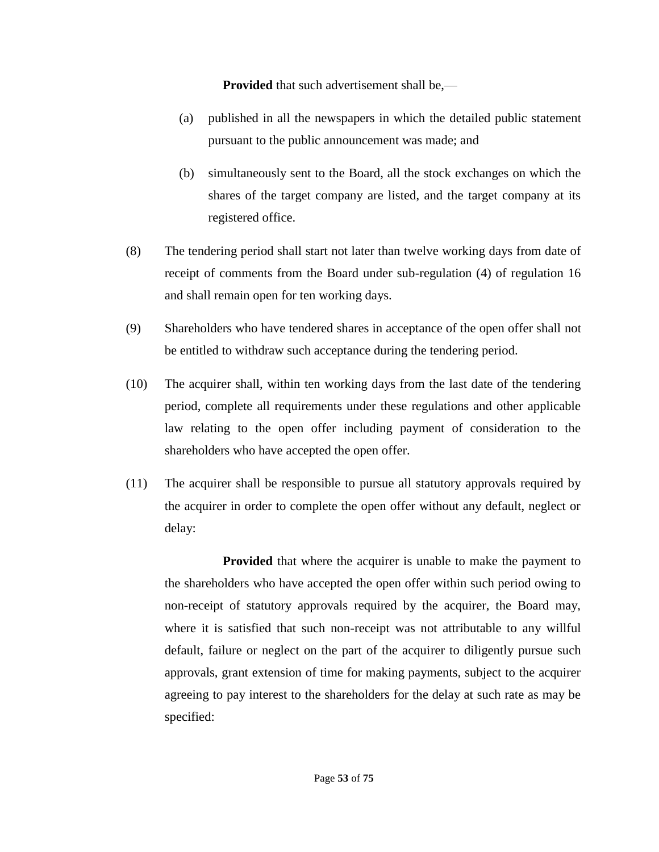**Provided** that such advertisement shall be,—

- (a) published in all the newspapers in which the detailed public statement pursuant to the public announcement was made; and
- (b) simultaneously sent to the Board, all the stock exchanges on which the shares of the target company are listed, and the target company at its registered office.
- (8) The tendering period shall start not later than twelve working days from date of receipt of comments from the Board under sub-regulation (4) of regulation 16 and shall remain open for ten working days.
- (9) Shareholders who have tendered shares in acceptance of the open offer shall not be entitled to withdraw such acceptance during the tendering period.
- (10) The acquirer shall, within ten working days from the last date of the tendering period, complete all requirements under these regulations and other applicable law relating to the open offer including payment of consideration to the shareholders who have accepted the open offer.
- (11) The acquirer shall be responsible to pursue all statutory approvals required by the acquirer in order to complete the open offer without any default, neglect or delay:

**Provided** that where the acquirer is unable to make the payment to the shareholders who have accepted the open offer within such period owing to non-receipt of statutory approvals required by the acquirer, the Board may, where it is satisfied that such non-receipt was not attributable to any willful default, failure or neglect on the part of the acquirer to diligently pursue such approvals, grant extension of time for making payments, subject to the acquirer agreeing to pay interest to the shareholders for the delay at such rate as may be specified: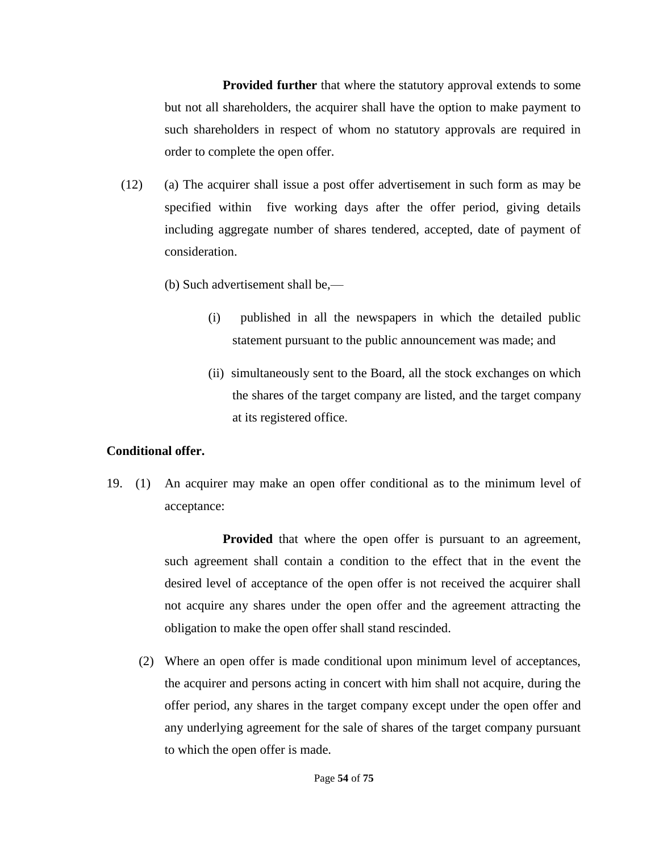**Provided further** that where the statutory approval extends to some but not all shareholders, the acquirer shall have the option to make payment to such shareholders in respect of whom no statutory approvals are required in order to complete the open offer.

- (12) (a) The acquirer shall issue a post offer advertisement in such form as may be specified within five working days after the offer period, giving details including aggregate number of shares tendered, accepted, date of payment of consideration.
	- (b) Such advertisement shall be,—
		- (i) published in all the newspapers in which the detailed public statement pursuant to the public announcement was made; and
		- (ii) simultaneously sent to the Board, all the stock exchanges on which the shares of the target company are listed, and the target company at its registered office.

# **Conditional offer.**

19. (1) An acquirer may make an open offer conditional as to the minimum level of acceptance:

> **Provided** that where the open offer is pursuant to an agreement, such agreement shall contain a condition to the effect that in the event the desired level of acceptance of the open offer is not received the acquirer shall not acquire any shares under the open offer and the agreement attracting the obligation to make the open offer shall stand rescinded.

(2) Where an open offer is made conditional upon minimum level of acceptances, the acquirer and persons acting in concert with him shall not acquire, during the offer period, any shares in the target company except under the open offer and any underlying agreement for the sale of shares of the target company pursuant to which the open offer is made.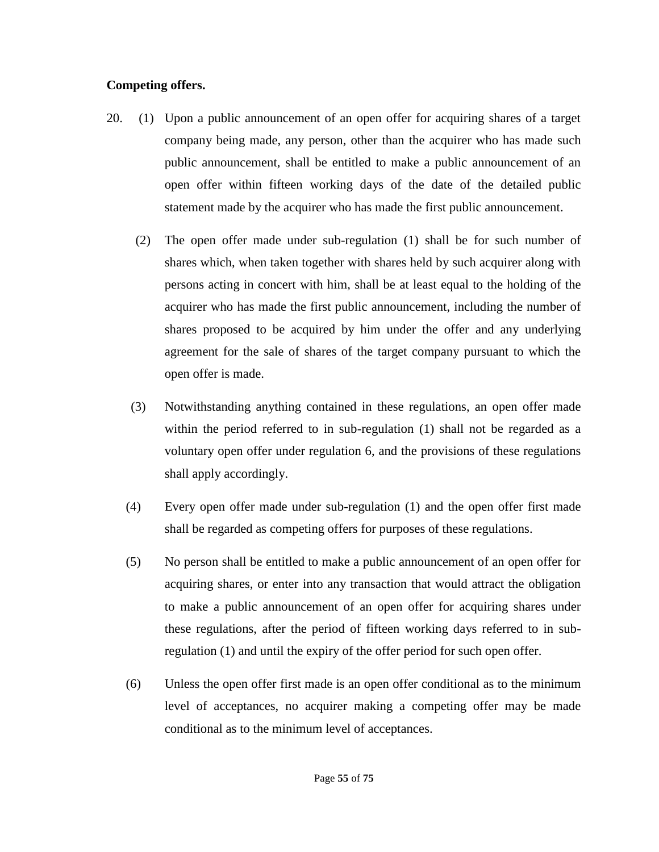## **Competing offers.**

- 20. (1) Upon a public announcement of an open offer for acquiring shares of a target company being made, any person, other than the acquirer who has made such public announcement, shall be entitled to make a public announcement of an open offer within fifteen working days of the date of the detailed public statement made by the acquirer who has made the first public announcement.
	- (2) The open offer made under sub-regulation (1) shall be for such number of shares which, when taken together with shares held by such acquirer along with persons acting in concert with him, shall be at least equal to the holding of the acquirer who has made the first public announcement, including the number of shares proposed to be acquired by him under the offer and any underlying agreement for the sale of shares of the target company pursuant to which the open offer is made.
	- (3) Notwithstanding anything contained in these regulations, an open offer made within the period referred to in sub-regulation (1) shall not be regarded as a voluntary open offer under regulation 6, and the provisions of these regulations shall apply accordingly.
	- (4) Every open offer made under sub-regulation (1) and the open offer first made shall be regarded as competing offers for purposes of these regulations.
	- (5) No person shall be entitled to make a public announcement of an open offer for acquiring shares, or enter into any transaction that would attract the obligation to make a public announcement of an open offer for acquiring shares under these regulations, after the period of fifteen working days referred to in subregulation (1) and until the expiry of the offer period for such open offer.
	- (6) Unless the open offer first made is an open offer conditional as to the minimum level of acceptances, no acquirer making a competing offer may be made conditional as to the minimum level of acceptances.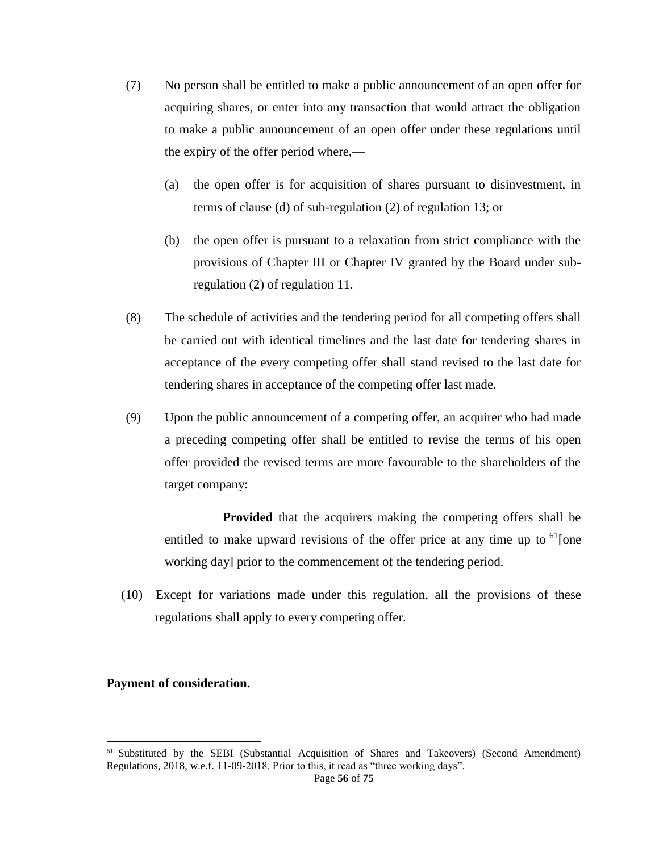- (7) No person shall be entitled to make a public announcement of an open offer for acquiring shares, or enter into any transaction that would attract the obligation to make a public announcement of an open offer under these regulations until the expiry of the offer period where,—
	- (a) the open offer is for acquisition of shares pursuant to disinvestment, in terms of clause (d) of sub-regulation (2) of regulation 13; or
	- (b) the open offer is pursuant to a relaxation from strict compliance with the provisions of Chapter III or Chapter IV granted by the Board under subregulation (2) of regulation 11.
- (8) The schedule of activities and the tendering period for all competing offers shall be carried out with identical timelines and the last date for tendering shares in acceptance of the every competing offer shall stand revised to the last date for tendering shares in acceptance of the competing offer last made.
- (9) Upon the public announcement of a competing offer, an acquirer who had made a preceding competing offer shall be entitled to revise the terms of his open offer provided the revised terms are more favourable to the shareholders of the target company:

**Provided** that the acquirers making the competing offers shall be entitled to make upward revisions of the offer price at any time up to  $^{61}$ [one working day] prior to the commencement of the tendering period.

(10) Except for variations made under this regulation, all the provisions of these regulations shall apply to every competing offer.

#### **Payment of consideration.**

<sup>&</sup>lt;sup>61</sup> Substituted by the SEBI (Substantial Acquisition of Shares and Takeovers) (Second Amendment) Regulations, 2018, w.e.f. 11-09-2018. Prior to this, it read as "three working days".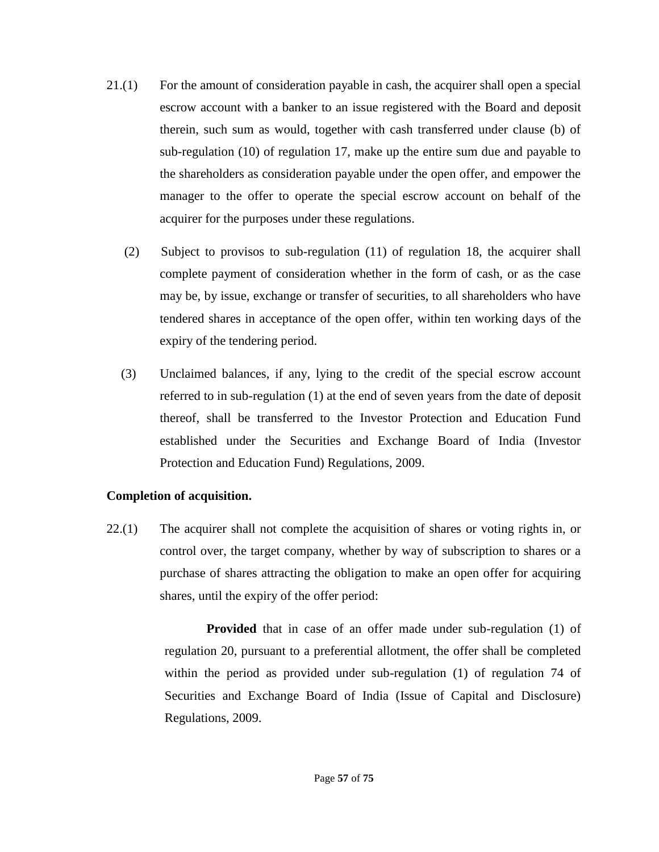- 21.(1) For the amount of consideration payable in cash, the acquirer shall open a special escrow account with a banker to an issue registered with the Board and deposit therein, such sum as would, together with cash transferred under clause (b) of sub-regulation (10) of regulation 17, make up the entire sum due and payable to the shareholders as consideration payable under the open offer, and empower the manager to the offer to operate the special escrow account on behalf of the acquirer for the purposes under these regulations.
	- (2) Subject to provisos to sub-regulation (11) of regulation 18, the acquirer shall complete payment of consideration whether in the form of cash, or as the case may be, by issue, exchange or transfer of securities, to all shareholders who have tendered shares in acceptance of the open offer, within ten working days of the expiry of the tendering period.
	- (3) Unclaimed balances, if any, lying to the credit of the special escrow account referred to in sub-regulation (1) at the end of seven years from the date of deposit thereof, shall be transferred to the Investor Protection and Education Fund established under the Securities and Exchange Board of India (Investor Protection and Education Fund) Regulations, 2009.

### **Completion of acquisition.**

22.(1) The acquirer shall not complete the acquisition of shares or voting rights in, or control over, the target company, whether by way of subscription to shares or a purchase of shares attracting the obligation to make an open offer for acquiring shares, until the expiry of the offer period:

> **Provided** that in case of an offer made under sub-regulation (1) of regulation 20, pursuant to a preferential allotment, the offer shall be completed within the period as provided under sub-regulation (1) of regulation 74 of Securities and Exchange Board of India (Issue of Capital and Disclosure) Regulations, 2009.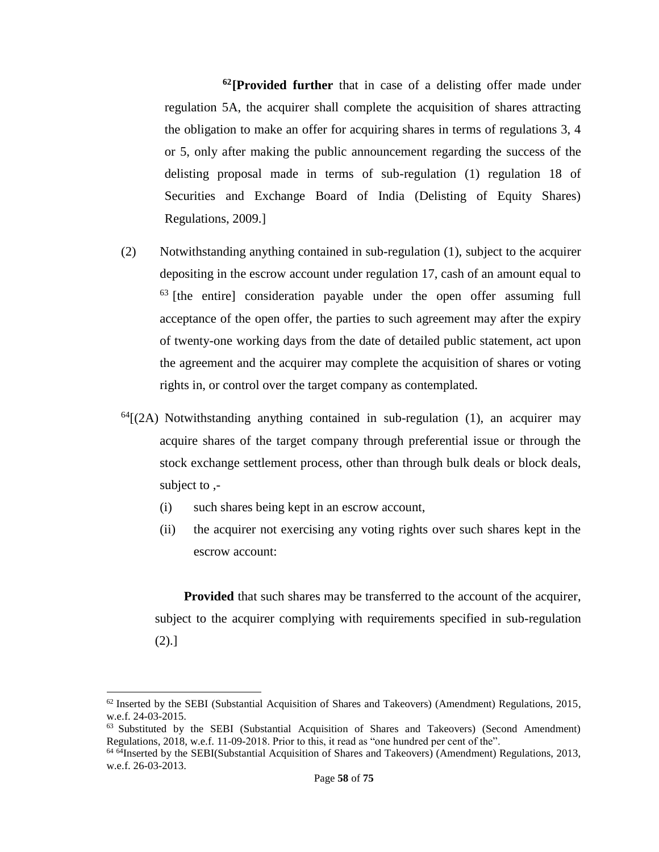**<sup>62</sup>[Provided further** that in case of a delisting offer made under regulation 5A, the acquirer shall complete the acquisition of shares attracting the obligation to make an offer for acquiring shares in terms of regulations 3, 4 or 5, only after making the public announcement regarding the success of the delisting proposal made in terms of sub-regulation (1) regulation 18 of Securities and Exchange Board of India (Delisting of Equity Shares) Regulations, 2009.]

- (2) Notwithstanding anything contained in sub-regulation (1), subject to the acquirer depositing in the escrow account under regulation 17, cash of an amount equal to <sup>63</sup> [the entire] consideration payable under the open offer assuming full acceptance of the open offer, the parties to such agreement may after the expiry of twenty-one working days from the date of detailed public statement, act upon the agreement and the acquirer may complete the acquisition of shares or voting rights in, or control over the target company as contemplated.
- $64$ [(2A) Notwithstanding anything contained in sub-regulation (1), an acquirer may acquire shares of the target company through preferential issue or through the stock exchange settlement process, other than through bulk deals or block deals, subject to ,-
	- (i) such shares being kept in an escrow account,

 $\overline{a}$ 

(ii) the acquirer not exercising any voting rights over such shares kept in the escrow account:

**Provided** that such shares may be transferred to the account of the acquirer, subject to the acquirer complying with requirements specified in sub-regulation  $(2).]$ 

<sup>62</sup> Inserted by the SEBI (Substantial Acquisition of Shares and Takeovers) (Amendment) Regulations, 2015, w.e.f. 24-03-2015.

<sup>63</sup> Substituted by the SEBI (Substantial Acquisition of Shares and Takeovers) (Second Amendment) Regulations, 2018, w.e.f. 11-09-2018. Prior to this, it read as "one hundred per cent of the".

<sup>64</sup> <sup>64</sup>Inserted by the SEBI(Substantial Acquisition of Shares and Takeovers) (Amendment) Regulations, 2013, w.e.f. 26-03-2013.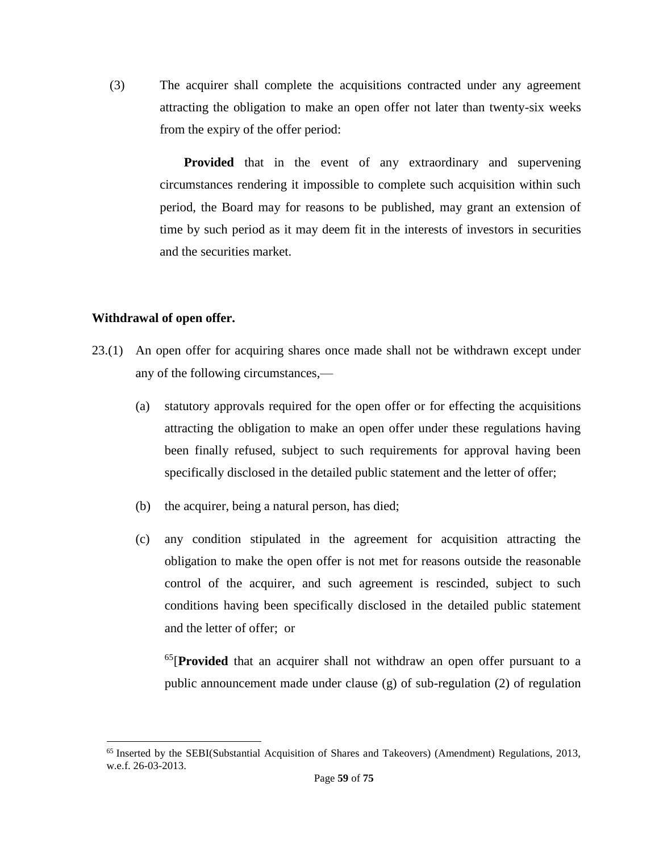(3) The acquirer shall complete the acquisitions contracted under any agreement attracting the obligation to make an open offer not later than twenty-six weeks from the expiry of the offer period:

> **Provided** that in the event of any extraordinary and supervening circumstances rendering it impossible to complete such acquisition within such period, the Board may for reasons to be published, may grant an extension of time by such period as it may deem fit in the interests of investors in securities and the securities market.

### **Withdrawal of open offer.**

 $\overline{\phantom{a}}$ 

- 23.(1) An open offer for acquiring shares once made shall not be withdrawn except under any of the following circumstances,—
	- (a) statutory approvals required for the open offer or for effecting the acquisitions attracting the obligation to make an open offer under these regulations having been finally refused, subject to such requirements for approval having been specifically disclosed in the detailed public statement and the letter of offer;
	- (b) the acquirer, being a natural person, has died;
	- (c) any condition stipulated in the agreement for acquisition attracting the obligation to make the open offer is not met for reasons outside the reasonable control of the acquirer, and such agreement is rescinded, subject to such conditions having been specifically disclosed in the detailed public statement and the letter of offer; or

<sup>65</sup>[**Provided** that an acquirer shall not withdraw an open offer pursuant to a public announcement made under clause (g) of sub-regulation (2) of regulation

<sup>&</sup>lt;sup>65</sup> Inserted by the SEBI(Substantial Acquisition of Shares and Takeovers) (Amendment) Regulations, 2013, w.e.f. 26-03-2013.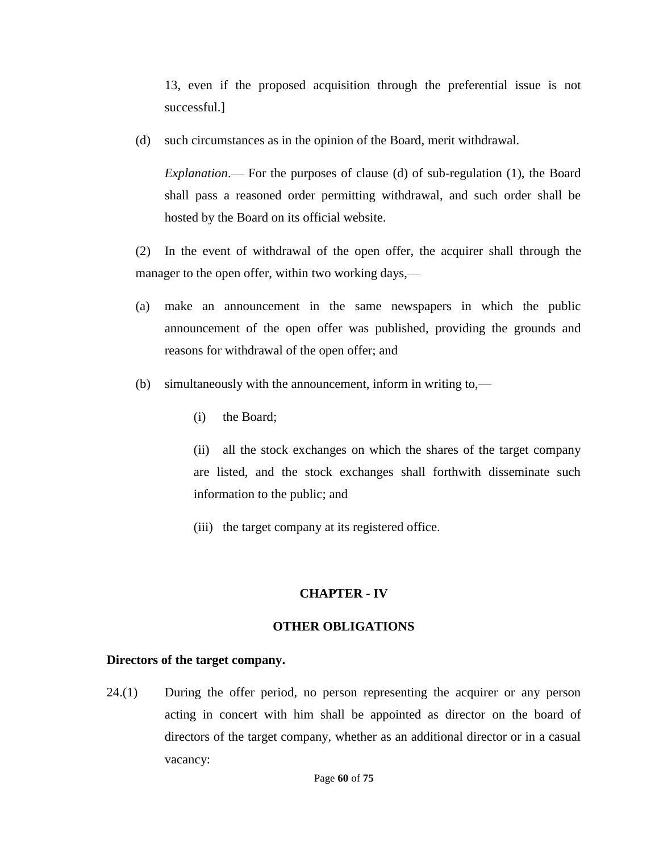13, even if the proposed acquisition through the preferential issue is not successful.]

(d) such circumstances as in the opinion of the Board, merit withdrawal.

*Explanation*.— For the purposes of clause (d) of sub-regulation (1), the Board shall pass a reasoned order permitting withdrawal, and such order shall be hosted by the Board on its official website.

(2) In the event of withdrawal of the open offer, the acquirer shall through the manager to the open offer, within two working days,—

- (a) make an announcement in the same newspapers in which the public announcement of the open offer was published, providing the grounds and reasons for withdrawal of the open offer; and
- (b) simultaneously with the announcement, inform in writing to,—
	- (i) the Board;

(ii) all the stock exchanges on which the shares of the target company are listed, and the stock exchanges shall forthwith disseminate such information to the public; and

(iii) the target company at its registered office.

### **CHAPTER - IV**

#### **OTHER OBLIGATIONS**

#### **Directors of the target company.**

24.(1) During the offer period, no person representing the acquirer or any person acting in concert with him shall be appointed as director on the board of directors of the target company, whether as an additional director or in a casual vacancy: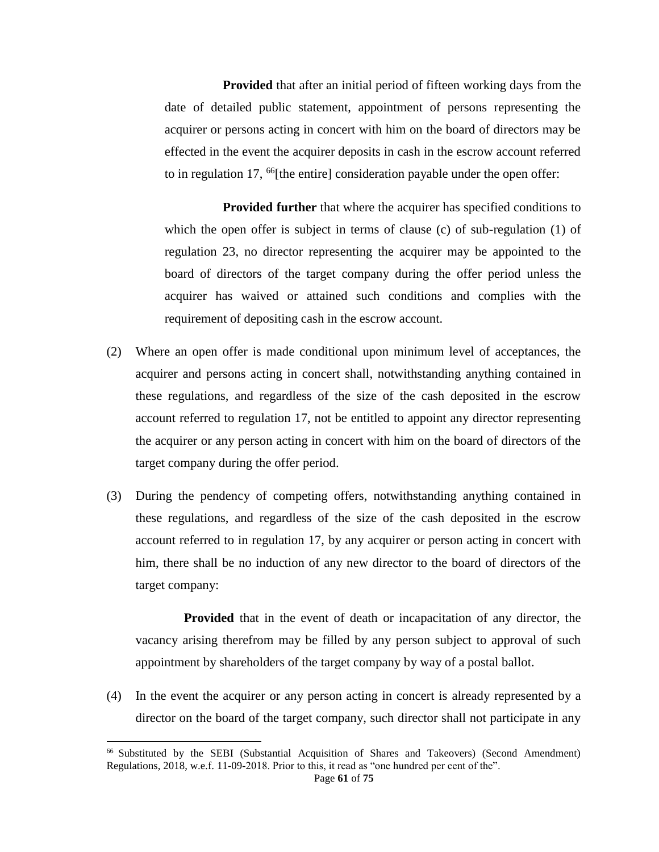**Provided** that after an initial period of fifteen working days from the date of detailed public statement, appointment of persons representing the acquirer or persons acting in concert with him on the board of directors may be effected in the event the acquirer deposits in cash in the escrow account referred to in regulation 17,  $^{66}$ [the entire] consideration payable under the open offer:

**Provided further** that where the acquirer has specified conditions to which the open offer is subject in terms of clause (c) of sub-regulation (1) of regulation 23, no director representing the acquirer may be appointed to the board of directors of the target company during the offer period unless the acquirer has waived or attained such conditions and complies with the requirement of depositing cash in the escrow account.

- (2) Where an open offer is made conditional upon minimum level of acceptances, the acquirer and persons acting in concert shall, notwithstanding anything contained in these regulations, and regardless of the size of the cash deposited in the escrow account referred to regulation 17, not be entitled to appoint any director representing the acquirer or any person acting in concert with him on the board of directors of the target company during the offer period.
- (3) During the pendency of competing offers, notwithstanding anything contained in these regulations, and regardless of the size of the cash deposited in the escrow account referred to in regulation 17, by any acquirer or person acting in concert with him, there shall be no induction of any new director to the board of directors of the target company:

**Provided** that in the event of death or incapacitation of any director, the vacancy arising therefrom may be filled by any person subject to approval of such appointment by shareholders of the target company by way of a postal ballot.

(4) In the event the acquirer or any person acting in concert is already represented by a director on the board of the target company, such director shall not participate in any

<sup>66</sup> Substituted by the SEBI (Substantial Acquisition of Shares and Takeovers) (Second Amendment) Regulations, 2018, w.e.f. 11-09-2018. Prior to this, it read as "one hundred per cent of the".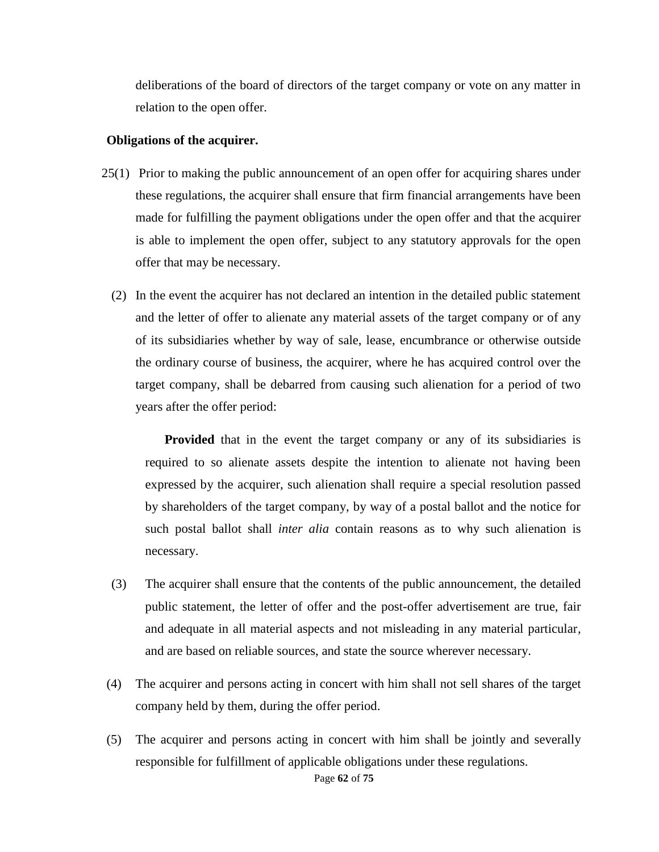deliberations of the board of directors of the target company or vote on any matter in relation to the open offer.

#### **Obligations of the acquirer.**

- 25(1) Prior to making the public announcement of an open offer for acquiring shares under these regulations, the acquirer shall ensure that firm financial arrangements have been made for fulfilling the payment obligations under the open offer and that the acquirer is able to implement the open offer, subject to any statutory approvals for the open offer that may be necessary.
	- (2) In the event the acquirer has not declared an intention in the detailed public statement and the letter of offer to alienate any material assets of the target company or of any of its subsidiaries whether by way of sale, lease, encumbrance or otherwise outside the ordinary course of business, the acquirer, where he has acquired control over the target company, shall be debarred from causing such alienation for a period of two years after the offer period:

**Provided** that in the event the target company or any of its subsidiaries is required to so alienate assets despite the intention to alienate not having been expressed by the acquirer, such alienation shall require a special resolution passed by shareholders of the target company, by way of a postal ballot and the notice for such postal ballot shall *inter alia* contain reasons as to why such alienation is necessary.

- (3) The acquirer shall ensure that the contents of the public announcement, the detailed public statement, the letter of offer and the post-offer advertisement are true, fair and adequate in all material aspects and not misleading in any material particular, and are based on reliable sources, and state the source wherever necessary.
- (4) The acquirer and persons acting in concert with him shall not sell shares of the target company held by them, during the offer period.
- (5) The acquirer and persons acting in concert with him shall be jointly and severally responsible for fulfillment of applicable obligations under these regulations.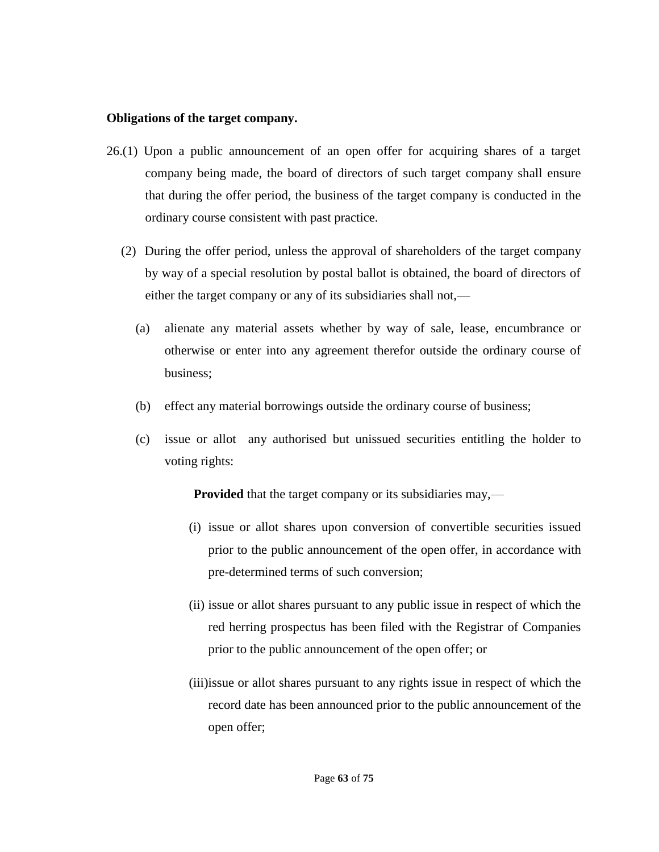#### **Obligations of the target company.**

- 26.(1) Upon a public announcement of an open offer for acquiring shares of a target company being made, the board of directors of such target company shall ensure that during the offer period, the business of the target company is conducted in the ordinary course consistent with past practice.
	- (2) During the offer period, unless the approval of shareholders of the target company by way of a special resolution by postal ballot is obtained, the board of directors of either the target company or any of its subsidiaries shall not,—
		- (a) alienate any material assets whether by way of sale, lease, encumbrance or otherwise or enter into any agreement therefor outside the ordinary course of business;
		- (b) effect any material borrowings outside the ordinary course of business;
		- (c) issue or allot any authorised but unissued securities entitling the holder to voting rights:

**Provided** that the target company or its subsidiaries may,—

- (i) issue or allot shares upon conversion of convertible securities issued prior to the public announcement of the open offer, in accordance with pre-determined terms of such conversion;
- (ii) issue or allot shares pursuant to any public issue in respect of which the red herring prospectus has been filed with the Registrar of Companies prior to the public announcement of the open offer; or
- (iii)issue or allot shares pursuant to any rights issue in respect of which the record date has been announced prior to the public announcement of the open offer;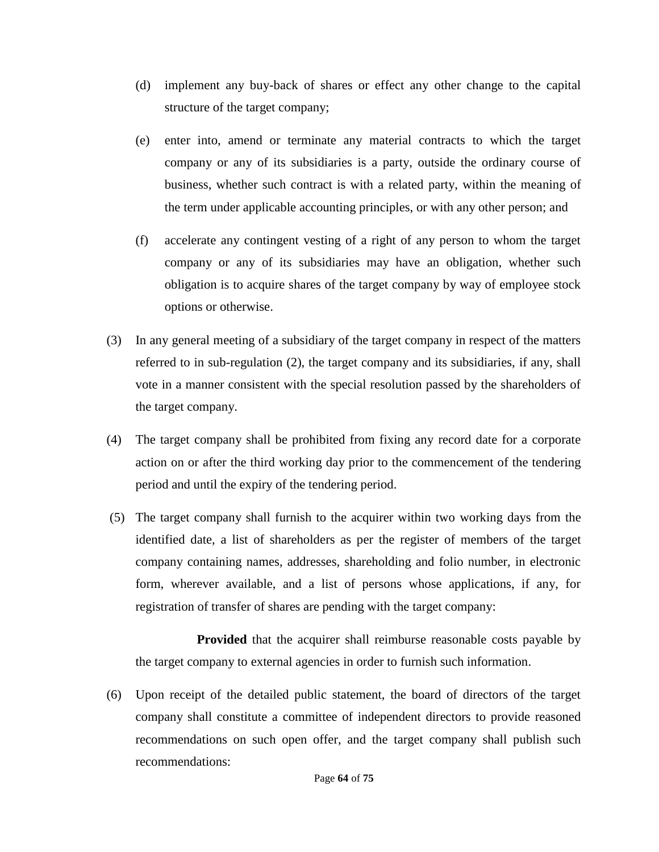- (d) implement any buy-back of shares or effect any other change to the capital structure of the target company;
- (e) enter into, amend or terminate any material contracts to which the target company or any of its subsidiaries is a party, outside the ordinary course of business, whether such contract is with a related party, within the meaning of the term under applicable accounting principles, or with any other person; and
- (f) accelerate any contingent vesting of a right of any person to whom the target company or any of its subsidiaries may have an obligation, whether such obligation is to acquire shares of the target company by way of employee stock options or otherwise.
- (3) In any general meeting of a subsidiary of the target company in respect of the matters referred to in sub-regulation (2), the target company and its subsidiaries, if any, shall vote in a manner consistent with the special resolution passed by the shareholders of the target company.
- (4) The target company shall be prohibited from fixing any record date for a corporate action on or after the third working day prior to the commencement of the tendering period and until the expiry of the tendering period.
- (5) The target company shall furnish to the acquirer within two working days from the identified date, a list of shareholders as per the register of members of the target company containing names, addresses, shareholding and folio number, in electronic form, wherever available, and a list of persons whose applications, if any, for registration of transfer of shares are pending with the target company:

**Provided** that the acquirer shall reimburse reasonable costs payable by the target company to external agencies in order to furnish such information.

(6) Upon receipt of the detailed public statement, the board of directors of the target company shall constitute a committee of independent directors to provide reasoned recommendations on such open offer, and the target company shall publish such recommendations: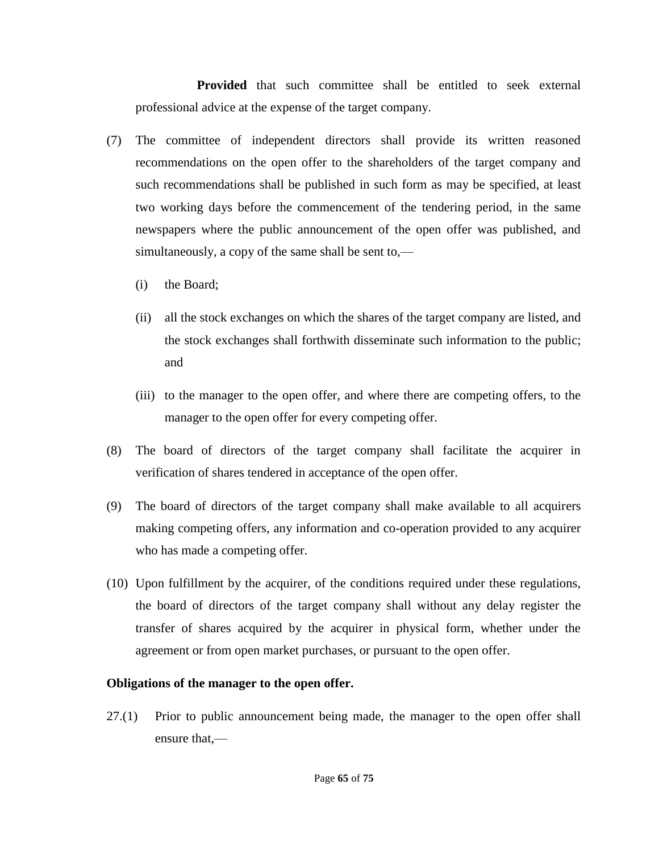**Provided** that such committee shall be entitled to seek external professional advice at the expense of the target company.

- (7) The committee of independent directors shall provide its written reasoned recommendations on the open offer to the shareholders of the target company and such recommendations shall be published in such form as may be specified, at least two working days before the commencement of the tendering period, in the same newspapers where the public announcement of the open offer was published, and simultaneously, a copy of the same shall be sent to,—
	- (i) the Board;
	- (ii) all the stock exchanges on which the shares of the target company are listed, and the stock exchanges shall forthwith disseminate such information to the public; and
	- (iii) to the manager to the open offer, and where there are competing offers, to the manager to the open offer for every competing offer.
- (8) The board of directors of the target company shall facilitate the acquirer in verification of shares tendered in acceptance of the open offer.
- (9) The board of directors of the target company shall make available to all acquirers making competing offers, any information and co-operation provided to any acquirer who has made a competing offer.
- (10) Upon fulfillment by the acquirer, of the conditions required under these regulations, the board of directors of the target company shall without any delay register the transfer of shares acquired by the acquirer in physical form, whether under the agreement or from open market purchases, or pursuant to the open offer.

### **Obligations of the manager to the open offer.**

27.(1) Prior to public announcement being made, the manager to the open offer shall ensure that,—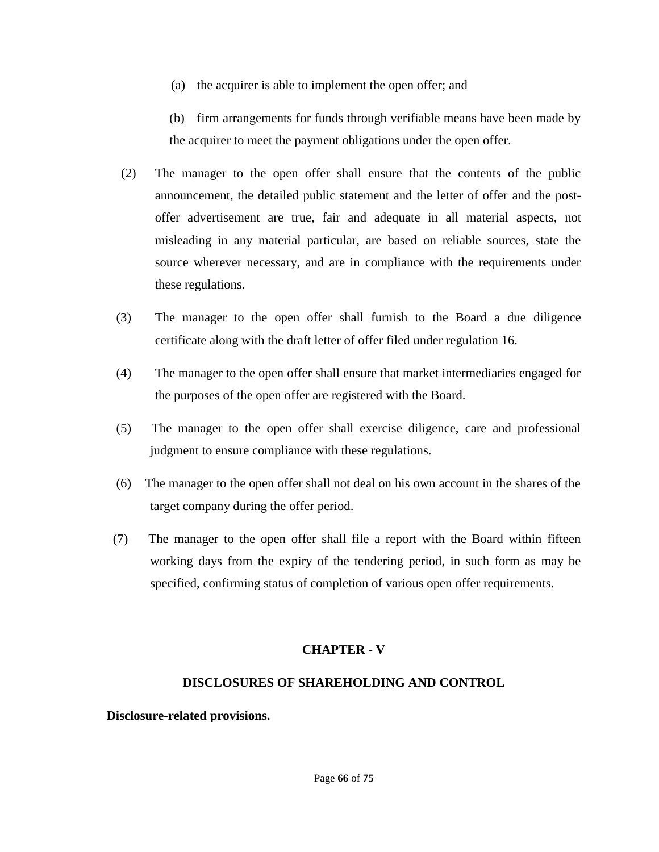(a) the acquirer is able to implement the open offer; and

(b) firm arrangements for funds through verifiable means have been made by the acquirer to meet the payment obligations under the open offer.

- (2) The manager to the open offer shall ensure that the contents of the public announcement, the detailed public statement and the letter of offer and the postoffer advertisement are true, fair and adequate in all material aspects, not misleading in any material particular, are based on reliable sources, state the source wherever necessary, and are in compliance with the requirements under these regulations.
- (3) The manager to the open offer shall furnish to the Board a due diligence certificate along with the draft letter of offer filed under regulation 16.
- (4) The manager to the open offer shall ensure that market intermediaries engaged for the purposes of the open offer are registered with the Board.
- (5) The manager to the open offer shall exercise diligence, care and professional judgment to ensure compliance with these regulations.
- (6) The manager to the open offer shall not deal on his own account in the shares of the target company during the offer period.
- (7) The manager to the open offer shall file a report with the Board within fifteen working days from the expiry of the tendering period, in such form as may be specified, confirming status of completion of various open offer requirements.

# **CHAPTER - V**

### **DISCLOSURES OF SHAREHOLDING AND CONTROL**

**Disclosure-related provisions.**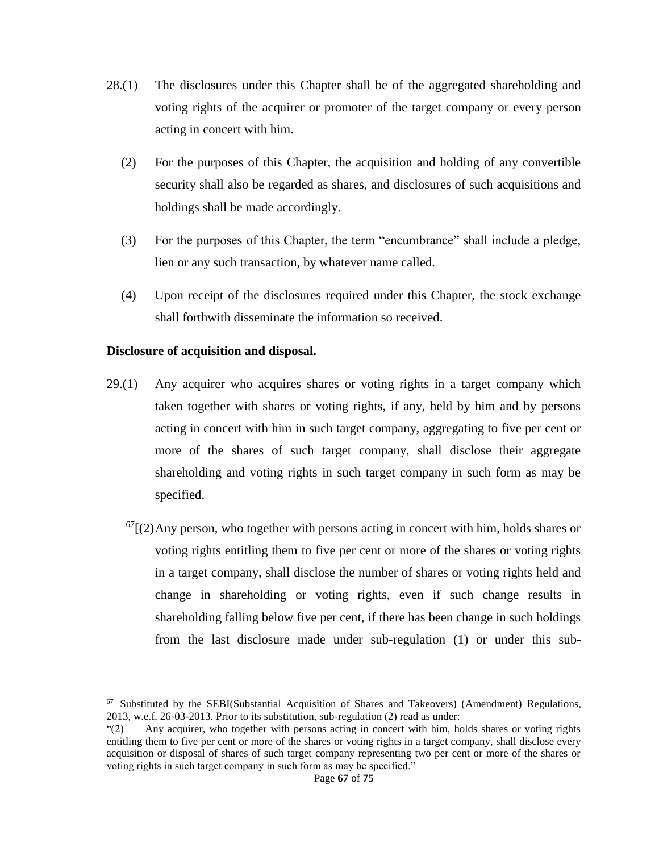- 28.(1) The disclosures under this Chapter shall be of the aggregated shareholding and voting rights of the acquirer or promoter of the target company or every person acting in concert with him.
	- (2) For the purposes of this Chapter, the acquisition and holding of any convertible security shall also be regarded as shares, and disclosures of such acquisitions and holdings shall be made accordingly.
	- (3) For the purposes of this Chapter, the term "encumbrance" shall include a pledge, lien or any such transaction, by whatever name called.
	- (4) Upon receipt of the disclosures required under this Chapter, the stock exchange shall forthwith disseminate the information so received.

#### **Disclosure of acquisition and disposal.**

 $\overline{a}$ 

- 29.(1) Any acquirer who acquires shares or voting rights in a target company which taken together with shares or voting rights, if any, held by him and by persons acting in concert with him in such target company, aggregating to five per cent or more of the shares of such target company, shall disclose their aggregate shareholding and voting rights in such target company in such form as may be specified.
	- $^{67}$ [(2)Any person, who together with persons acting in concert with him, holds shares or voting rights entitling them to five per cent or more of the shares or voting rights in a target company, shall disclose the number of shares or voting rights held and change in shareholding or voting rights, even if such change results in shareholding falling below five per cent, if there has been change in such holdings from the last disclosure made under sub-regulation (1) or under this sub-

<sup>67</sup> Substituted by the SEBI(Substantial Acquisition of Shares and Takeovers) (Amendment) Regulations, 2013, w.e.f. 26-03-2013. Prior to its substitution, sub-regulation (2) read as under:

<sup>&</sup>quot;(2) Any acquirer, who together with persons acting in concert with him, holds shares or voting rights entitling them to five per cent or more of the shares or voting rights in a target company, shall disclose every acquisition or disposal of shares of such target company representing two per cent or more of the shares or voting rights in such target company in such form as may be specified."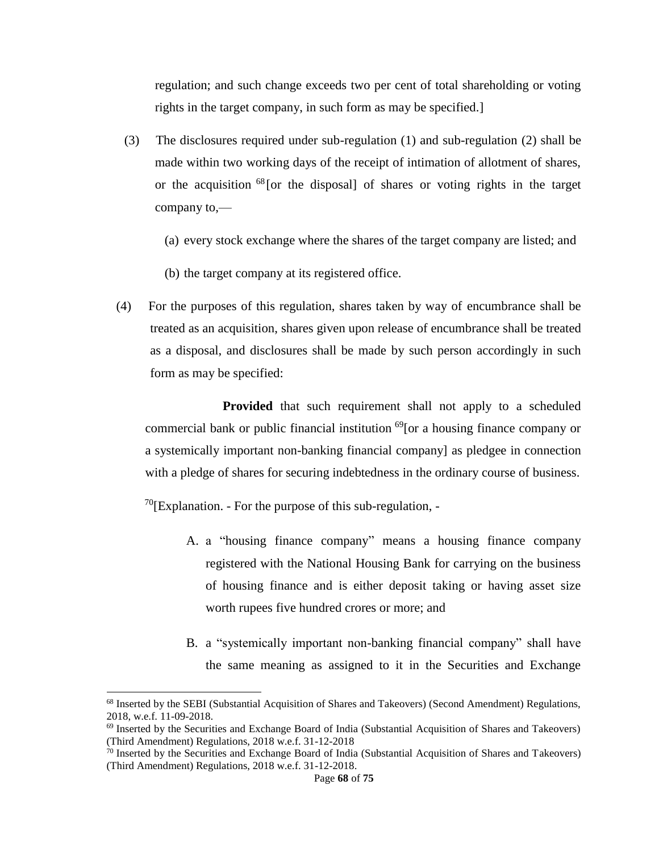regulation; and such change exceeds two per cent of total shareholding or voting rights in the target company, in such form as may be specified.]

- (3) The disclosures required under sub-regulation (1) and sub-regulation (2) shall be made within two working days of the receipt of intimation of allotment of shares, or the acquisition  $^{68}$  [or the disposal] of shares or voting rights in the target company to,—
	- (a) every stock exchange where the shares of the target company are listed; and
	- (b) the target company at its registered office.
- (4) For the purposes of this regulation, shares taken by way of encumbrance shall be treated as an acquisition, shares given upon release of encumbrance shall be treated as a disposal, and disclosures shall be made by such person accordingly in such form as may be specified:

**Provided** that such requirement shall not apply to a scheduled commercial bank or public financial institution <sup>69</sup>[or a housing finance company or a systemically important non-banking financial company] as pledgee in connection with a pledge of shares for securing indebtedness in the ordinary course of business.

 $^{70}$ [Explanation. - For the purpose of this sub-regulation. -

 $\overline{a}$ 

- A. a "housing finance company" means a housing finance company registered with the National Housing Bank for carrying on the business of housing finance and is either deposit taking or having asset size worth rupees five hundred crores or more; and
- B. a "systemically important non-banking financial company" shall have the same meaning as assigned to it in the Securities and Exchange

<sup>68</sup> Inserted by the SEBI (Substantial Acquisition of Shares and Takeovers) (Second Amendment) Regulations, 2018, w.e.f. 11-09-2018.

<sup>69</sup> Inserted by the Securities and Exchange Board of India (Substantial Acquisition of Shares and Takeovers) (Third Amendment) Regulations, 2018 w.e.f. 31-12-2018

 $70$  Inserted by the Securities and Exchange Board of India (Substantial Acquisition of Shares and Takeovers) (Third Amendment) Regulations, 2018 w.e.f. 31-12-2018.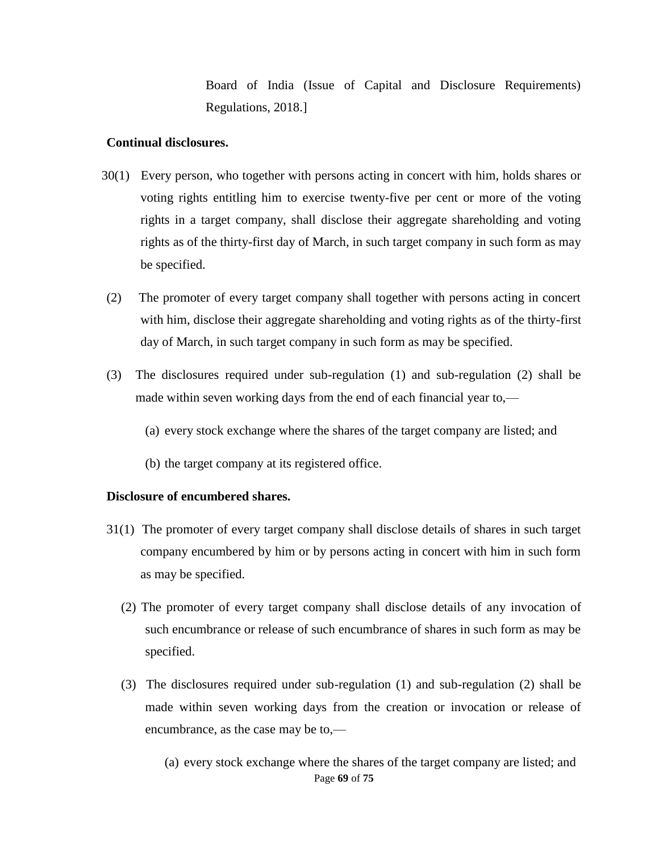Board of India (Issue of Capital and Disclosure Requirements) Regulations, 2018.]

#### **Continual disclosures.**

- 30(1) Every person, who together with persons acting in concert with him, holds shares or voting rights entitling him to exercise twenty-five per cent or more of the voting rights in a target company, shall disclose their aggregate shareholding and voting rights as of the thirty-first day of March, in such target company in such form as may be specified.
- (2) The promoter of every target company shall together with persons acting in concert with him, disclose their aggregate shareholding and voting rights as of the thirty-first day of March, in such target company in such form as may be specified.
- (3) The disclosures required under sub-regulation (1) and sub-regulation (2) shall be made within seven working days from the end of each financial year to,—
	- (a) every stock exchange where the shares of the target company are listed; and
	- (b) the target company at its registered office.

#### **Disclosure of encumbered shares.**

- 31(1) The promoter of every target company shall disclose details of shares in such target company encumbered by him or by persons acting in concert with him in such form as may be specified.
	- (2) The promoter of every target company shall disclose details of any invocation of such encumbrance or release of such encumbrance of shares in such form as may be specified.
	- (3) The disclosures required under sub-regulation (1) and sub-regulation (2) shall be made within seven working days from the creation or invocation or release of encumbrance, as the case may be to,—
		- Page **69** of **75** (a) every stock exchange where the shares of the target company are listed; and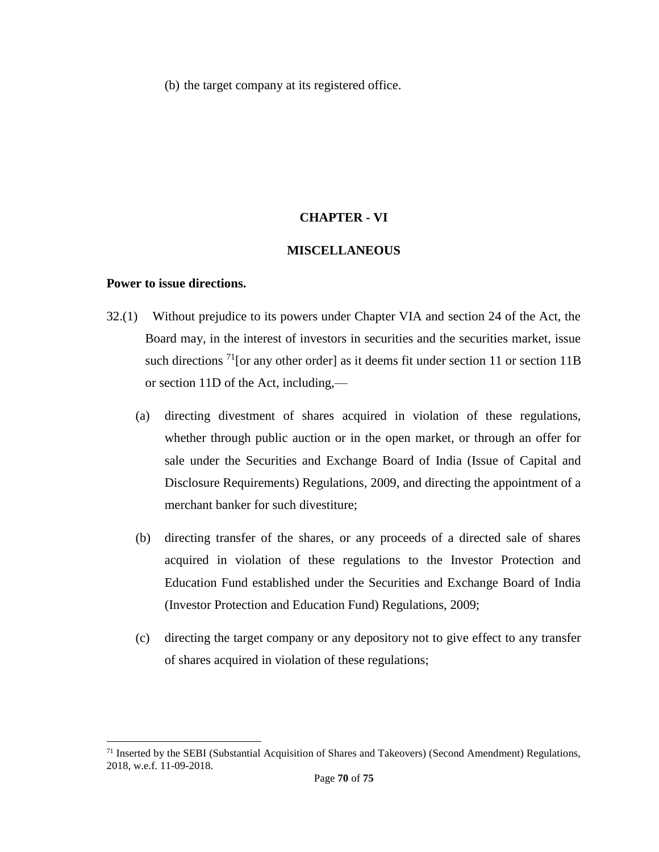(b) the target company at its registered office.

# **CHAPTER - VI**

## **MISCELLANEOUS**

## **Power to issue directions.**

- 32.(1) Without prejudice to its powers under Chapter VIA and section 24 of the Act, the Board may, in the interest of investors in securities and the securities market, issue such directions <sup>71</sup>[or any other order] as it deems fit under section 11 or section 11B or section 11D of the Act, including,—
	- (a) directing divestment of shares acquired in violation of these regulations, whether through public auction or in the open market, or through an offer for sale under the Securities and Exchange Board of India (Issue of Capital and Disclosure Requirements) Regulations, 2009, and directing the appointment of a merchant banker for such divestiture;
	- (b) directing transfer of the shares, or any proceeds of a directed sale of shares acquired in violation of these regulations to the Investor Protection and Education Fund established under the Securities and Exchange Board of India (Investor Protection and Education Fund) Regulations, 2009;
	- (c) directing the target company or any depository not to give effect to any transfer of shares acquired in violation of these regulations;

 $71$  Inserted by the SEBI (Substantial Acquisition of Shares and Takeovers) (Second Amendment) Regulations, 2018, w.e.f. 11-09-2018.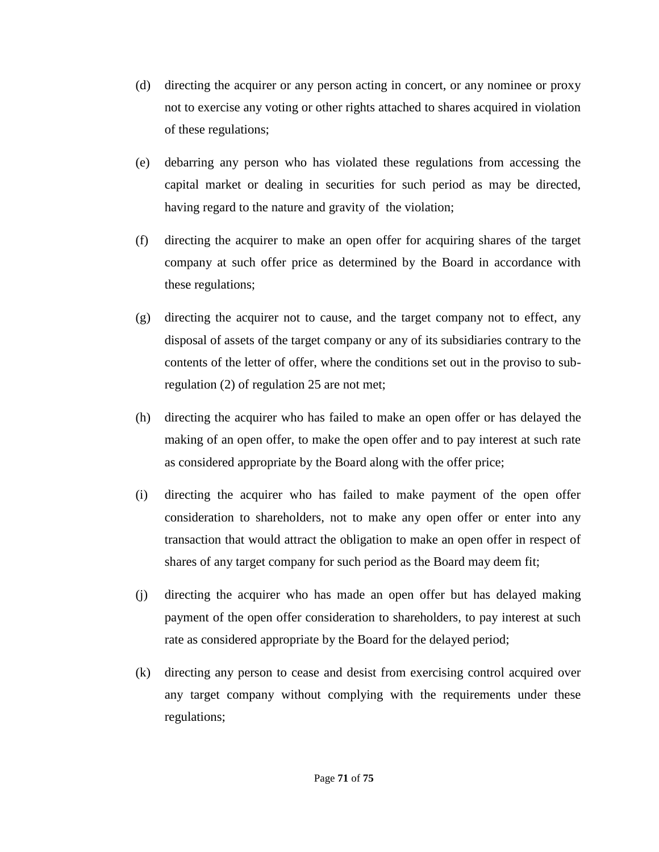- (d) directing the acquirer or any person acting in concert, or any nominee or proxy not to exercise any voting or other rights attached to shares acquired in violation of these regulations;
- (e) debarring any person who has violated these regulations from accessing the capital market or dealing in securities for such period as may be directed, having regard to the nature and gravity of the violation;
- (f) directing the acquirer to make an open offer for acquiring shares of the target company at such offer price as determined by the Board in accordance with these regulations;
- (g) directing the acquirer not to cause, and the target company not to effect, any disposal of assets of the target company or any of its subsidiaries contrary to the contents of the letter of offer, where the conditions set out in the proviso to subregulation (2) of regulation 25 are not met;
- (h) directing the acquirer who has failed to make an open offer or has delayed the making of an open offer, to make the open offer and to pay interest at such rate as considered appropriate by the Board along with the offer price;
- (i) directing the acquirer who has failed to make payment of the open offer consideration to shareholders, not to make any open offer or enter into any transaction that would attract the obligation to make an open offer in respect of shares of any target company for such period as the Board may deem fit;
- (j) directing the acquirer who has made an open offer but has delayed making payment of the open offer consideration to shareholders, to pay interest at such rate as considered appropriate by the Board for the delayed period;
- (k) directing any person to cease and desist from exercising control acquired over any target company without complying with the requirements under these regulations;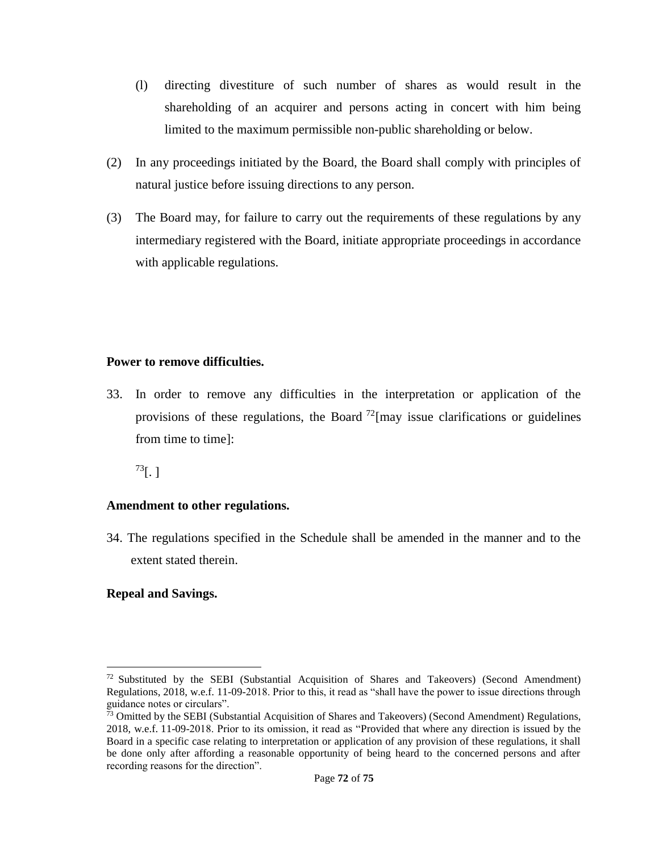- (l) directing divestiture of such number of shares as would result in the shareholding of an acquirer and persons acting in concert with him being limited to the maximum permissible non-public shareholding or below.
- (2) In any proceedings initiated by the Board, the Board shall comply with principles of natural justice before issuing directions to any person.
- (3) The Board may, for failure to carry out the requirements of these regulations by any intermediary registered with the Board, initiate appropriate proceedings in accordance with applicable regulations.

#### **Power to remove difficulties.**

33. In order to remove any difficulties in the interpretation or application of the provisions of these regulations, the Board  $^{72}$ [may issue clarifications or guidelines from time to time]:

 $^{73}$ [. ]

### **Amendment to other regulations.**

34. The regulations specified in the Schedule shall be amended in the manner and to the extent stated therein.

### **Repeal and Savings.**

 $\overline{\phantom{a}}$  $72$  Substituted by the SEBI (Substantial Acquisition of Shares and Takeovers) (Second Amendment) Regulations, 2018, w.e.f. 11-09-2018. Prior to this, it read as "shall have the power to issue directions through guidance notes or circulars".

<sup>&</sup>lt;sup>73</sup> Omitted by the SEBI (Substantial Acquisition of Shares and Takeovers) (Second Amendment) Regulations, 2018, w.e.f. 11-09-2018. Prior to its omission, it read as "Provided that where any direction is issued by the Board in a specific case relating to interpretation or application of any provision of these regulations, it shall be done only after affording a reasonable opportunity of being heard to the concerned persons and after recording reasons for the direction".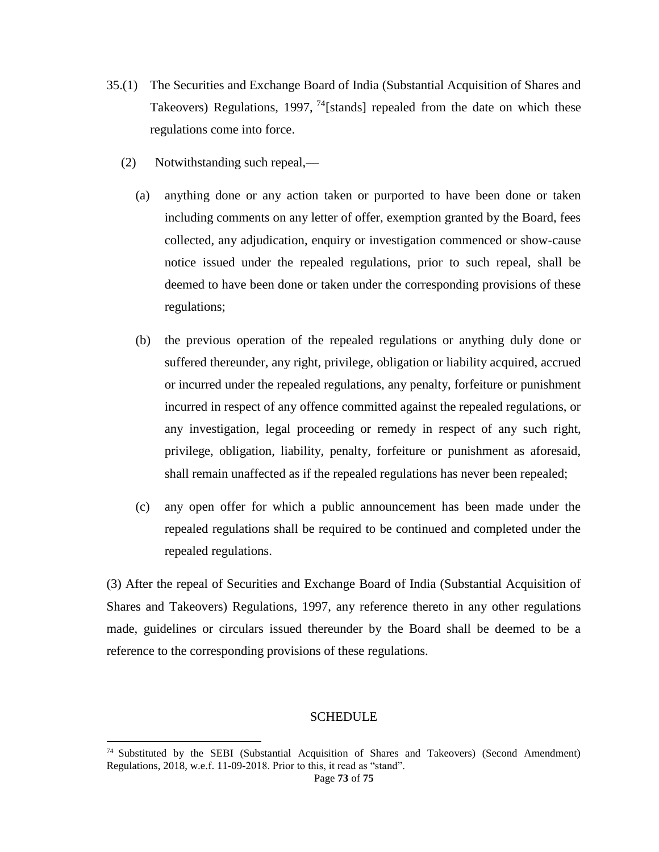- 35.(1) The Securities and Exchange Board of India (Substantial Acquisition of Shares and Takeovers) Regulations, 1997,  $^{74}$ [stands] repealed from the date on which these regulations come into force.
	- (2) Notwithstanding such repeal,—

 $\overline{\phantom{a}}$ 

- (a) anything done or any action taken or purported to have been done or taken including comments on any letter of offer, exemption granted by the Board, fees collected, any adjudication, enquiry or investigation commenced or show-cause notice issued under the repealed regulations, prior to such repeal, shall be deemed to have been done or taken under the corresponding provisions of these regulations;
- (b) the previous operation of the repealed regulations or anything duly done or suffered thereunder, any right, privilege, obligation or liability acquired, accrued or incurred under the repealed regulations, any penalty, forfeiture or punishment incurred in respect of any offence committed against the repealed regulations, or any investigation, legal proceeding or remedy in respect of any such right, privilege, obligation, liability, penalty, forfeiture or punishment as aforesaid, shall remain unaffected as if the repealed regulations has never been repealed;
- (c) any open offer for which a public announcement has been made under the repealed regulations shall be required to be continued and completed under the repealed regulations.

(3) After the repeal of Securities and Exchange Board of India (Substantial Acquisition of Shares and Takeovers) Regulations, 1997, any reference thereto in any other regulations made, guidelines or circulars issued thereunder by the Board shall be deemed to be a reference to the corresponding provisions of these regulations.

### **SCHEDULE**

<sup>&</sup>lt;sup>74</sup> Substituted by the SEBI (Substantial Acquisition of Shares and Takeovers) (Second Amendment) Regulations, 2018, w.e.f. 11-09-2018. Prior to this, it read as "stand".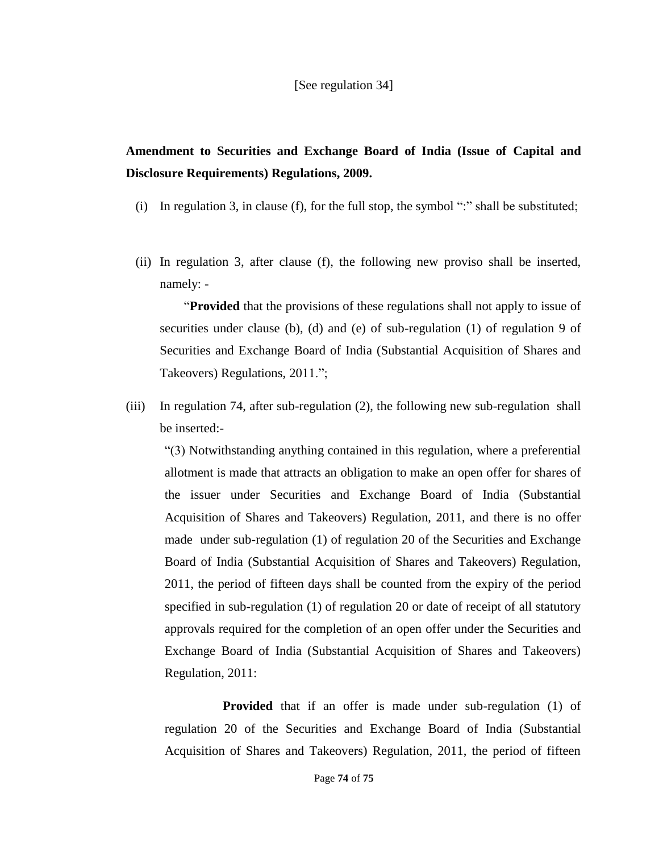### [See regulation 34]

# **Amendment to Securities and Exchange Board of India (Issue of Capital and Disclosure Requirements) Regulations, 2009.**

- (i) In regulation 3, in clause (f), for the full stop, the symbol ":" shall be substituted;
- (ii) In regulation 3, after clause (f), the following new proviso shall be inserted, namely: -

"**Provided** that the provisions of these regulations shall not apply to issue of securities under clause (b), (d) and (e) of sub-regulation (1) of regulation 9 of Securities and Exchange Board of India (Substantial Acquisition of Shares and Takeovers) Regulations, 2011.";

(iii) In regulation 74, after sub-regulation (2), the following new sub-regulation shall be inserted:-

"(3) Notwithstanding anything contained in this regulation, where a preferential allotment is made that attracts an obligation to make an open offer for shares of the issuer under Securities and Exchange Board of India (Substantial Acquisition of Shares and Takeovers) Regulation, 2011, and there is no offer made under sub-regulation (1) of regulation 20 of the Securities and Exchange Board of India (Substantial Acquisition of Shares and Takeovers) Regulation, 2011, the period of fifteen days shall be counted from the expiry of the period specified in sub-regulation (1) of regulation 20 or date of receipt of all statutory approvals required for the completion of an open offer under the Securities and Exchange Board of India (Substantial Acquisition of Shares and Takeovers) Regulation, 2011:

**Provided** that if an offer is made under sub-regulation (1) of regulation 20 of the Securities and Exchange Board of India (Substantial Acquisition of Shares and Takeovers) Regulation, 2011, the period of fifteen